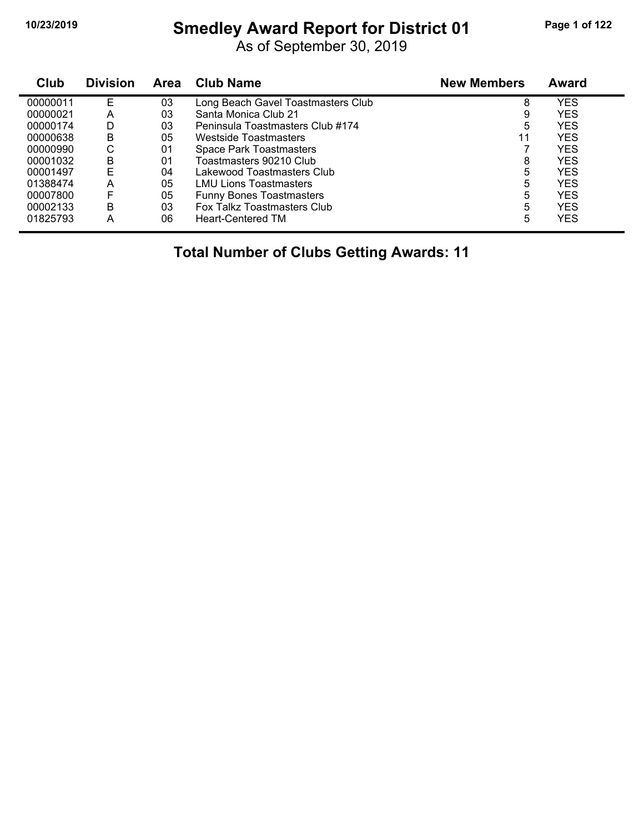# **10/23/2019 Smedley Award Report for District 01 Page 1 of 122**

As of September 30, 2019

| Club     | <b>Division</b> | Area | <b>Club Name</b>                   | <b>New Members</b> | Award      |  |
|----------|-----------------|------|------------------------------------|--------------------|------------|--|
| 00000011 | E               | 03   | Long Beach Gavel Toastmasters Club | 8                  | YES        |  |
| 00000021 | А               | 03   | Santa Monica Club 21               | 9                  | <b>YES</b> |  |
| 00000174 | D               | 03   | Peninsula Toastmasters Club #174   | 5                  | <b>YES</b> |  |
| 00000638 | в               | 05   | Westside Toastmasters              | 11                 | YES        |  |
| 00000990 | С               | 01   | <b>Space Park Toastmasters</b>     |                    | <b>YES</b> |  |
| 00001032 | в               | 01   | Toastmasters 90210 Club            | 8                  | <b>YES</b> |  |
| 00001497 | F               | 04   | Lakewood Toastmasters Club         | 5                  | <b>YES</b> |  |
| 01388474 | А               | 05   | <b>LMU Lions Toastmasters</b>      | 5                  | <b>YES</b> |  |
| 00007800 | F               | 05   | <b>Funny Bones Toastmasters</b>    | 5                  | <b>YES</b> |  |
| 00002133 | в               | 03   | Fox Talkz Toastmasters Club        | 5                  | <b>YES</b> |  |
| 01825793 | А               | 06   | <b>Heart-Centered TM</b>           | 5                  | <b>YES</b> |  |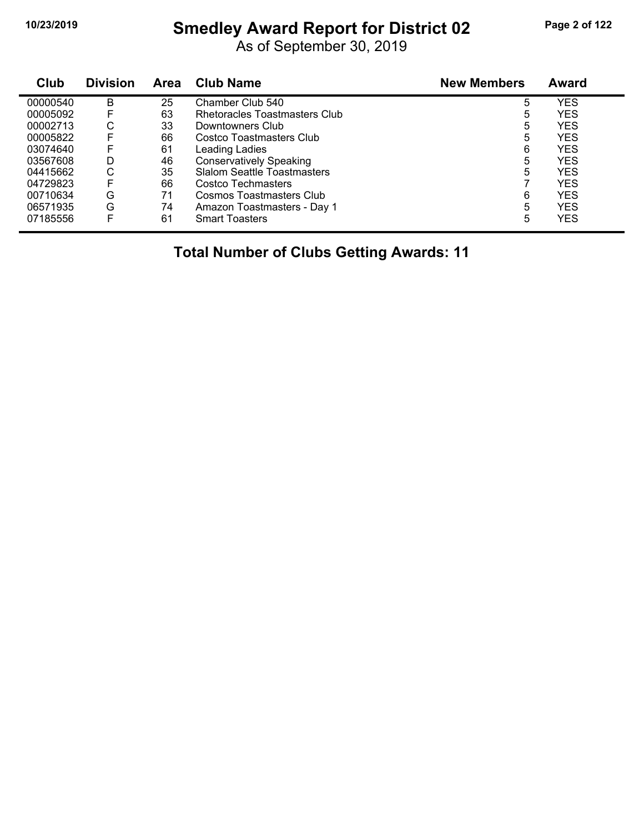# **10/23/2019 Smedley Award Report for District 02 Page 2 of 122**

As of September 30, 2019

| Club     | <b>Division</b> | Area | <b>Club Name</b>                   | <b>New Members</b> | Award      |
|----------|-----------------|------|------------------------------------|--------------------|------------|
| 00000540 | в               | 25   | Chamber Club 540                   | 5                  | <b>YES</b> |
| 00005092 | F               | 63   | Rhetoracles Toastmasters Club      | 5                  | <b>YES</b> |
| 00002713 | С               | 33   | Downtowners Club                   | 5                  | <b>YES</b> |
| 00005822 | F               | 66   | Costco Toastmasters Club           | 5                  | <b>YES</b> |
| 03074640 | F               | 61   | Leading Ladies                     | 6                  | <b>YES</b> |
| 03567608 | D               | 46   | <b>Conservatively Speaking</b>     | 5                  | <b>YES</b> |
| 04415662 | С               | 35   | <b>Slalom Seattle Toastmasters</b> | 5                  | <b>YES</b> |
| 04729823 | F               | 66   | Costco Techmasters                 |                    | <b>YES</b> |
| 00710634 | G               | 71   | Cosmos Toastmasters Club           | 6                  | <b>YES</b> |
| 06571935 | G               | 74   | Amazon Toastmasters - Day 1        | 5                  | <b>YES</b> |
| 07185556 | F               | 61   | <b>Smart Toasters</b>              | 5                  | <b>YES</b> |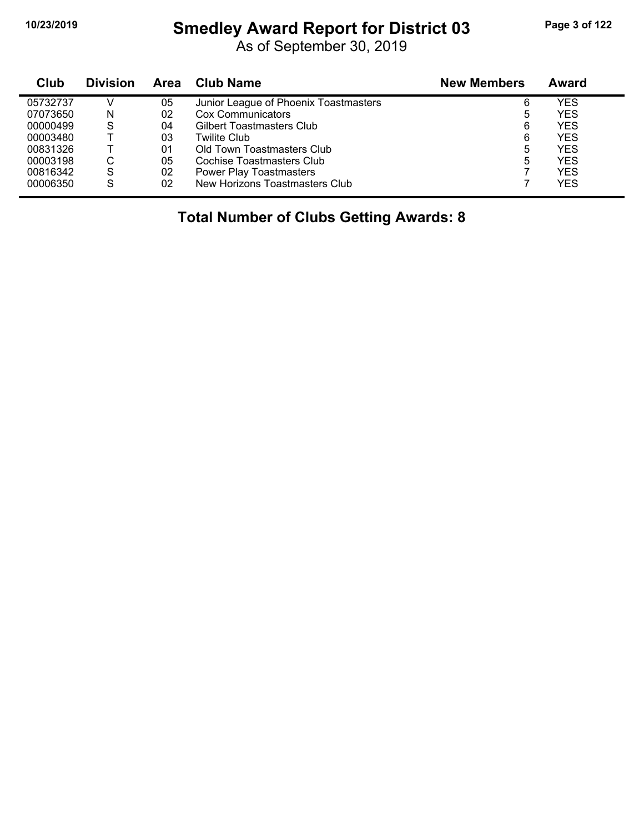#### **10/23/2019 Smedley Award Report for District 03 Page 3 of 122**

As of September 30, 2019

| Club     | <b>Division</b> | Area | Club Name                             | <b>New Members</b> | Award      |  |
|----------|-----------------|------|---------------------------------------|--------------------|------------|--|
| 05732737 |                 | 05   | Junior League of Phoenix Toastmasters | 6                  | YES        |  |
| 07073650 | N               | 02   | Cox Communicators                     | 5                  | <b>YES</b> |  |
| 00000499 | S               | 04   | <b>Gilbert Toastmasters Club</b>      | 6                  | <b>YES</b> |  |
| 00003480 |                 | 03   | Twilite Club                          | 6                  | <b>YES</b> |  |
| 00831326 |                 | 01   | Old Town Toastmasters Club            | 5                  | YES        |  |
| 00003198 | С               | 05   | Cochise Toastmasters Club             | 5                  | YES        |  |
| 00816342 | S               | 02   | <b>Power Play Toastmasters</b>        |                    | YES        |  |
| 00006350 | S               | 02   | New Horizons Toastmasters Club        |                    | <b>YES</b> |  |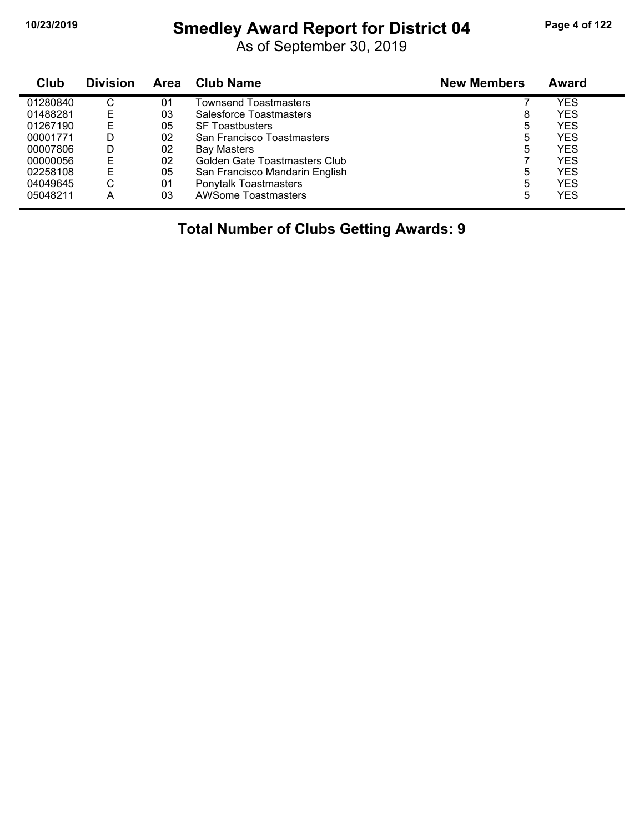# **10/23/2019 Smedley Award Report for District 04 Page 4 of 122**

As of September 30, 2019

| Club     | <b>Division</b> | <b>Area</b> | <b>Club Name</b>               | <b>New Members</b> | Award      |
|----------|-----------------|-------------|--------------------------------|--------------------|------------|
| 01280840 | С               | 01          | Townsend Toastmasters          |                    | YES        |
| 01488281 | E               | 03          | Salesforce Toastmasters        | 8                  | YES        |
| 01267190 | E               | 05          | <b>SF Toastbusters</b>         | 5                  | YES        |
| 00001771 | D               | 02          | San Francisco Toastmasters     | 5                  | YES        |
| 00007806 | D               | 02          | Bay Masters                    | 5                  | YES        |
| 00000056 | Е               | 02          | Golden Gate Toastmasters Club  |                    | YES        |
| 02258108 | E               | 05          | San Francisco Mandarin English | 5                  | YES        |
| 04049645 | С               | 01          | <b>Ponytalk Toastmasters</b>   | 5                  | <b>YES</b> |
| 05048211 | Α               | 03          | <b>AWSome Toastmasters</b>     | 5                  | YES        |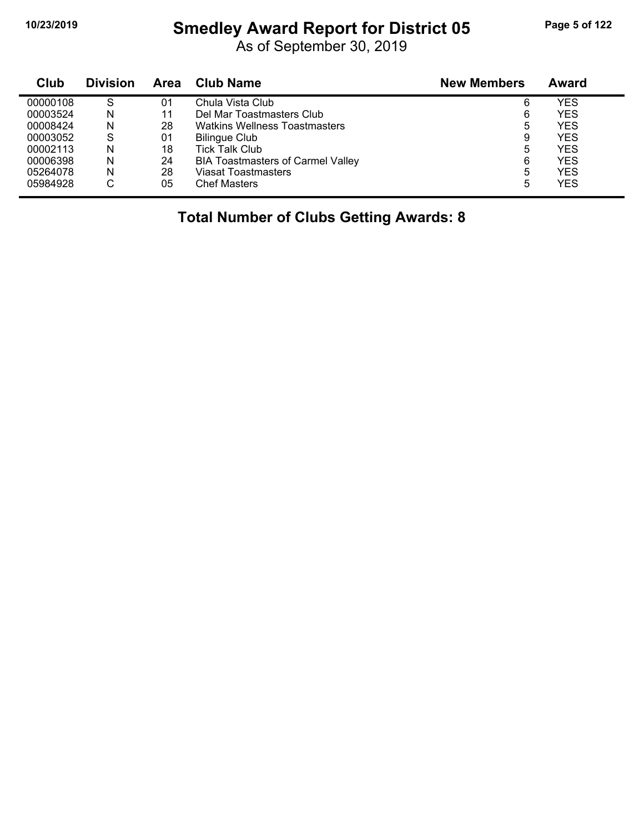#### **10/23/2019 Smedley Award Report for District 05 Page 5 of 122**

As of September 30, 2019

| Club     | <b>Division</b> | Area | <b>Club Name</b>                         | <b>New Members</b> | <b>Award</b> |  |
|----------|-----------------|------|------------------------------------------|--------------------|--------------|--|
| 00000108 | S               | 01   | Chula Vista Club                         | 6                  | YES          |  |
| 00003524 | N               | 11   | Del Mar Toastmasters Club                | 6                  | YES          |  |
| 00008424 | N               | 28   | <b>Watkins Wellness Toastmasters</b>     | 5                  | YES          |  |
| 00003052 | S               | 01   | <b>Bilingue Club</b>                     | 9                  | <b>YES</b>   |  |
| 00002113 | N               | 18   | <b>Tick Talk Club</b>                    | 5                  | YES          |  |
| 00006398 | N               | 24   | <b>BIA Toastmasters of Carmel Valley</b> | 6                  | YES          |  |
| 05264078 | N               | 28   | Viasat Toastmasters                      | 5                  | YES          |  |
| 05984928 | С               | 05   | <b>Chef Masters</b>                      | 5                  | YES          |  |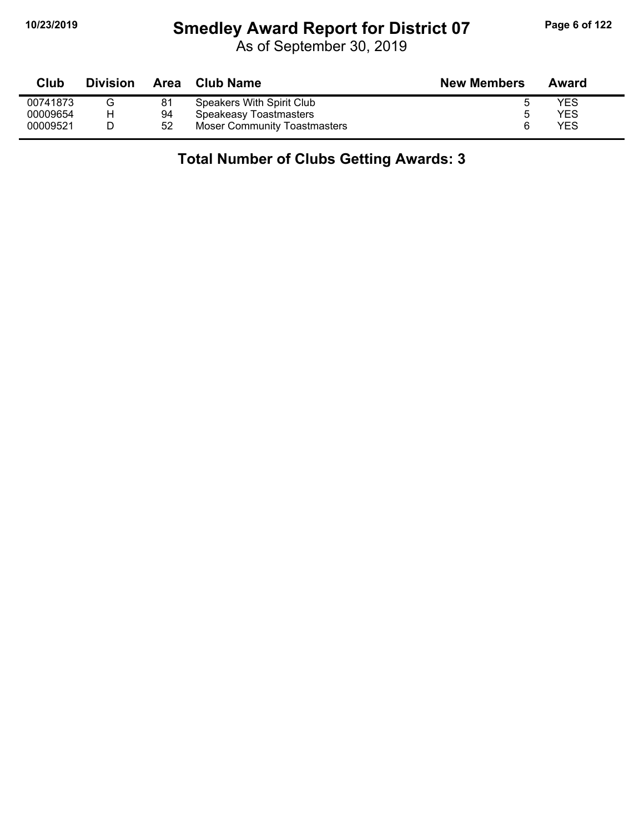# **10/23/2019 Smedley Award Report for District 07 Page 6 of 122**

As of September 30, 2019

| Club     | <b>Division</b> | Area | Club Name                    | <b>New Members</b> | Award |
|----------|-----------------|------|------------------------------|--------------------|-------|
| 00741873 |                 | 81   | Speakers With Spirit Club    |                    | YES   |
| 00009654 | н               | 94   | Speakeasy Toastmasters       |                    | YES   |
| 00009521 |                 | 52   | Moser Community Toastmasters |                    | YES   |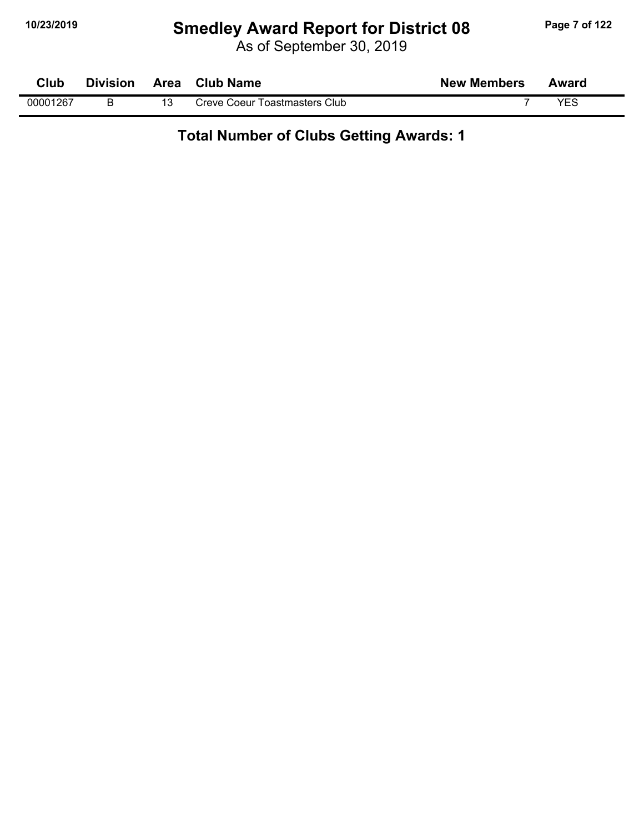# **10/23/2019 Smedley Award Report for District 08 Page 7 of 122**

As of September 30, 2019

| Club     | <b>Division</b> | <b>Area</b> | <b>Club Name</b>              | <b>New Members</b> | Award |  |
|----------|-----------------|-------------|-------------------------------|--------------------|-------|--|
| 00001267 |                 |             | Creve Coeur Toastmasters Club |                    | VEC   |  |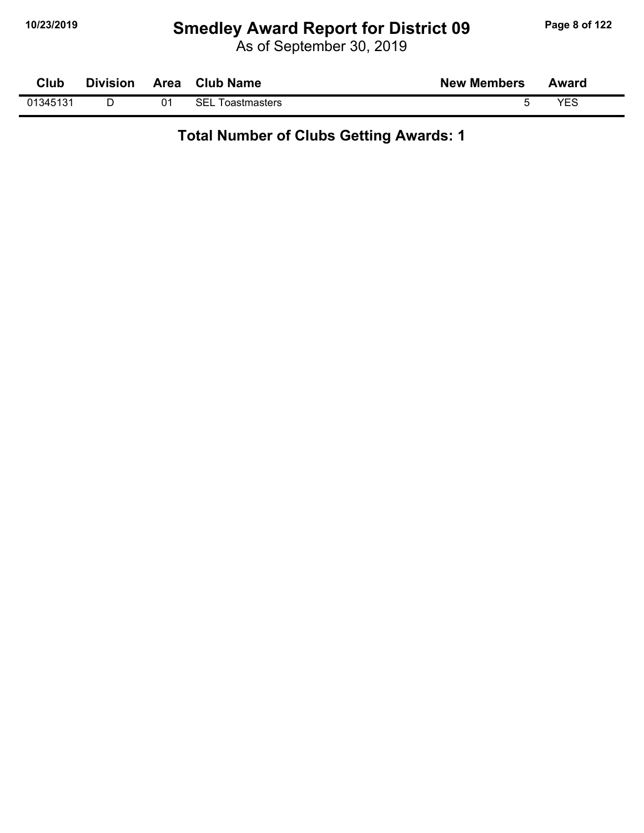# **10/23/2019 Smedley Award Report for District 09 Page 8 of 122**

As of September 30, 2019

| Club     | <b>Division</b> | Area | <b>Club Name</b>           | <b>New Members</b> | Award |  |
|----------|-----------------|------|----------------------------|--------------------|-------|--|
| 01345131 |                 |      | <b>SEL</b><br>Toastmasters |                    | YES   |  |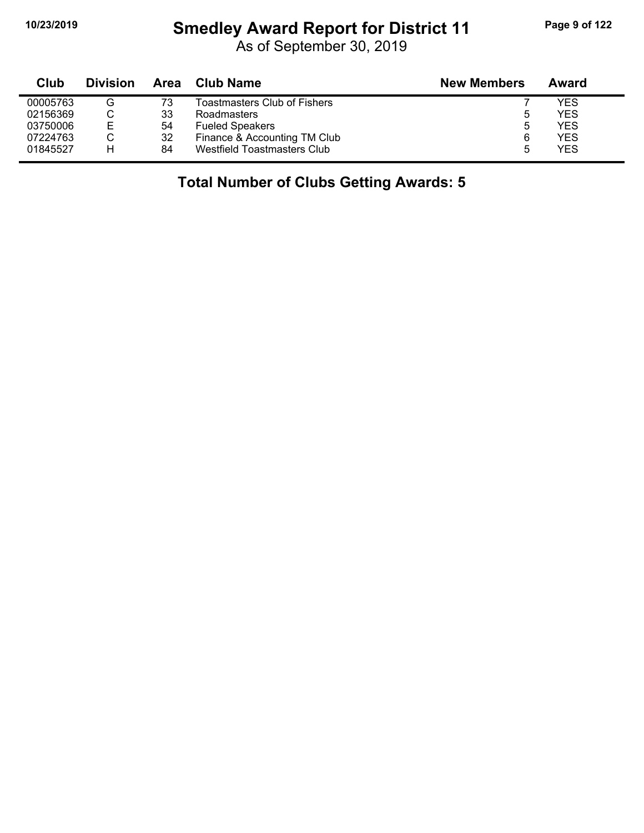$\blacksquare$ 

# **10/23/2019 Smedley Award Report for District 11 Page 9 of 122**

As of September 30, 2019

| Club     | <b>Division</b> | Area | Club Name                    | <b>New Members</b> | Award      |
|----------|-----------------|------|------------------------------|--------------------|------------|
| 00005763 | G               | 73   | Toastmasters Club of Fishers |                    | YES        |
| 02156369 |                 | 33   | Roadmasters                  | b                  | YES        |
| 03750006 | Е               | 54   | <b>Fueled Speakers</b>       | b                  | YES        |
| 07224763 |                 | 32   | Finance & Accounting TM Club | 6                  | YES        |
| 01845527 | н               | 84   | Westfield Toastmasters Club  |                    | <b>YES</b> |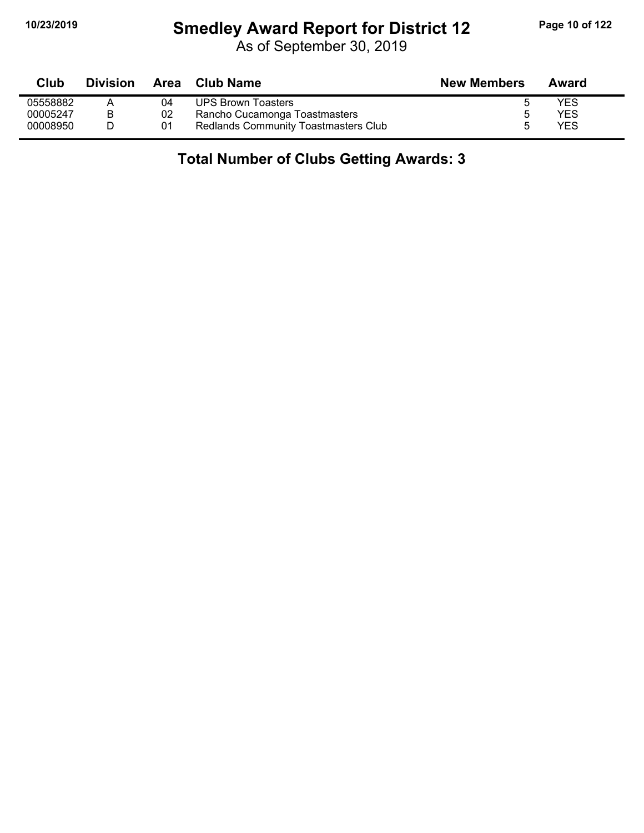# **10/23/2019 Smedley Award Report for District 12 Page 10 of 122**

As of September 30, 2019

| Club     | <b>Division</b> |    | Area Club Name                              | <b>New Members</b> | Award |
|----------|-----------------|----|---------------------------------------------|--------------------|-------|
| 05558882 |                 | 04 | <b>UPS Brown Toasters</b>                   |                    | YES   |
| 00005247 |                 | 02 | Rancho Cucamonga Toastmasters               |                    | YES   |
| 00008950 |                 | 01 | <b>Redlands Community Toastmasters Club</b> |                    | YES   |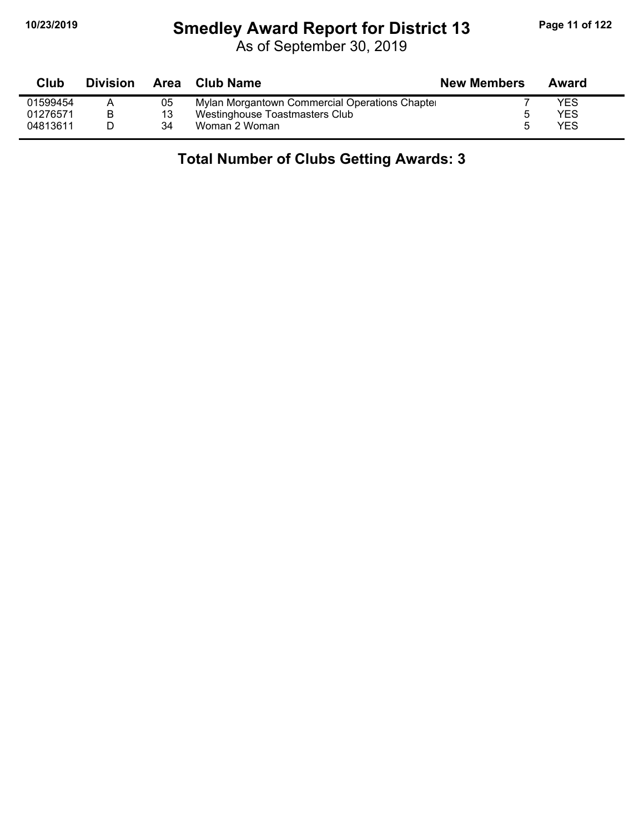# **10/23/2019 Smedley Award Report for District 13 Page 11 of 122**

| Club     | <b>Division</b> |    | Area Club Name                                | <b>New Members</b> | Award |
|----------|-----------------|----|-----------------------------------------------|--------------------|-------|
| 01599454 |                 | 05 | Mylan Morgantown Commercial Operations Chapte |                    | YES   |
| 01276571 | B               | 13 | Westinghouse Toastmasters Club                |                    | YES   |
| 04813611 |                 | 34 | Woman 2 Woman                                 |                    | YFS   |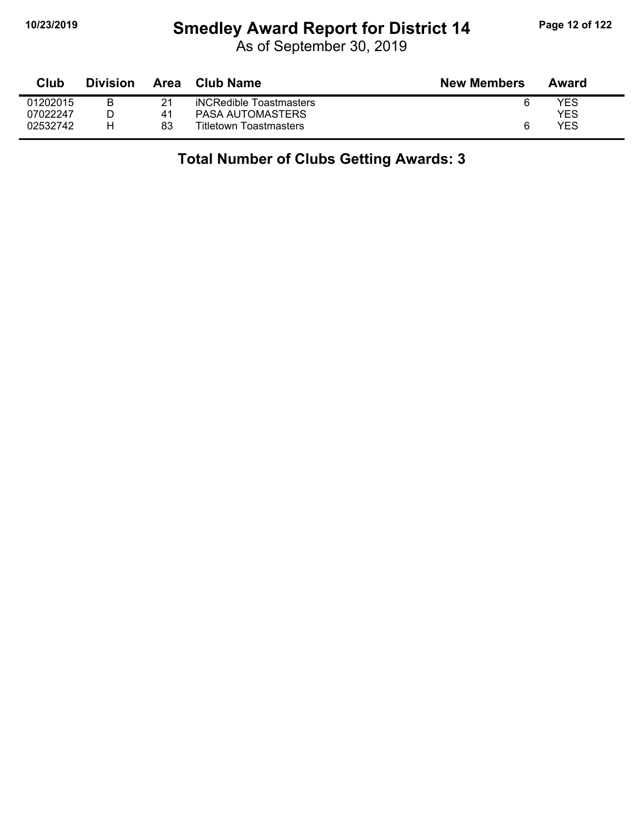# **10/23/2019 Smedley Award Report for District 14 Page 12 of 122**

As of September 30, 2019

| Club     | <b>Division</b> | Area | Club Name                     | <b>New Members</b> | Award |
|----------|-----------------|------|-------------------------------|--------------------|-------|
| 01202015 |                 | 21   | iNCRedible Toastmasters       | 6                  | YES   |
| 07022247 |                 | 41   | PASA AUTOMASTERS              |                    | YES   |
| 02532742 | н               | 83   | <b>Titletown Toastmasters</b> | 6                  | YES   |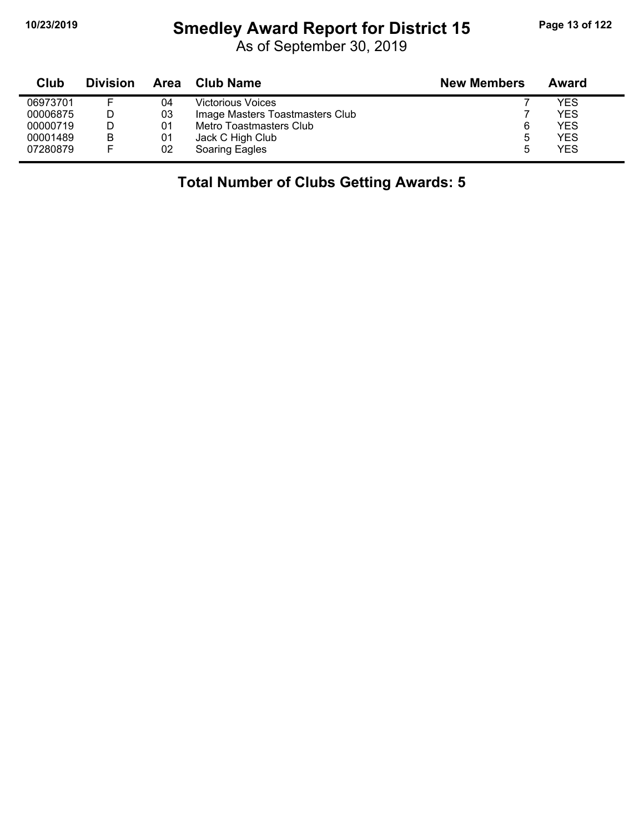# **10/23/2019 Smedley Award Report for District 15 Page 13 of 122**

As of September 30, 2019

| Club     | <b>Division</b> | Area | <b>Club Name</b>                | <b>New Members</b> | Award      |
|----------|-----------------|------|---------------------------------|--------------------|------------|
| 06973701 |                 | 04   | <b>Victorious Voices</b>        |                    | YES        |
| 00006875 |                 | 03   | Image Masters Toastmasters Club |                    | YES        |
| 00000719 |                 | 01   | Metro Toastmasters Club         | 6                  | YES        |
| 00001489 | B               | 01   | Jack C High Club                | ა                  | YES        |
| 07280879 |                 | 02   | Soaring Eagles                  |                    | <b>YES</b> |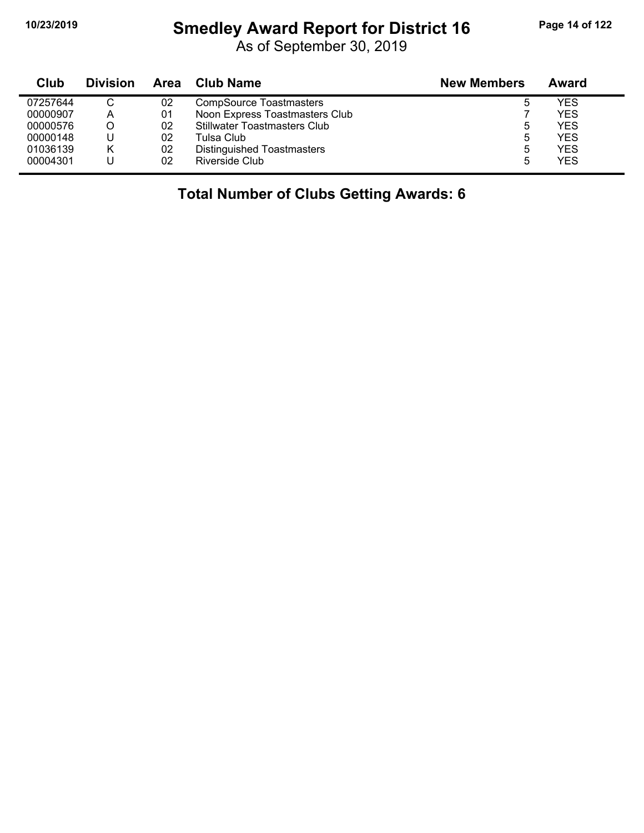#### **10/23/2019 Smedley Award Report for District 16 Page 14 of 122**

As of September 30, 2019

| Club     | <b>Division</b> |    | Area Club Name                      | <b>New Members</b> | Award      |
|----------|-----------------|----|-------------------------------------|--------------------|------------|
| 07257644 |                 | 02 | <b>CompSource Toastmasters</b>      |                    | <b>YES</b> |
| 00000907 | А               | 01 | Noon Express Toastmasters Club      |                    | <b>YES</b> |
| 00000576 |                 | 02 | <b>Stillwater Toastmasters Club</b> |                    | <b>YES</b> |
| 00000148 |                 | 02 | Tulsa Club                          |                    | <b>YES</b> |
| 01036139 | Κ               | 02 | Distinguished Toastmasters          |                    | <b>YES</b> |
| 00004301 |                 | 02 | Riverside Club                      |                    | <b>YES</b> |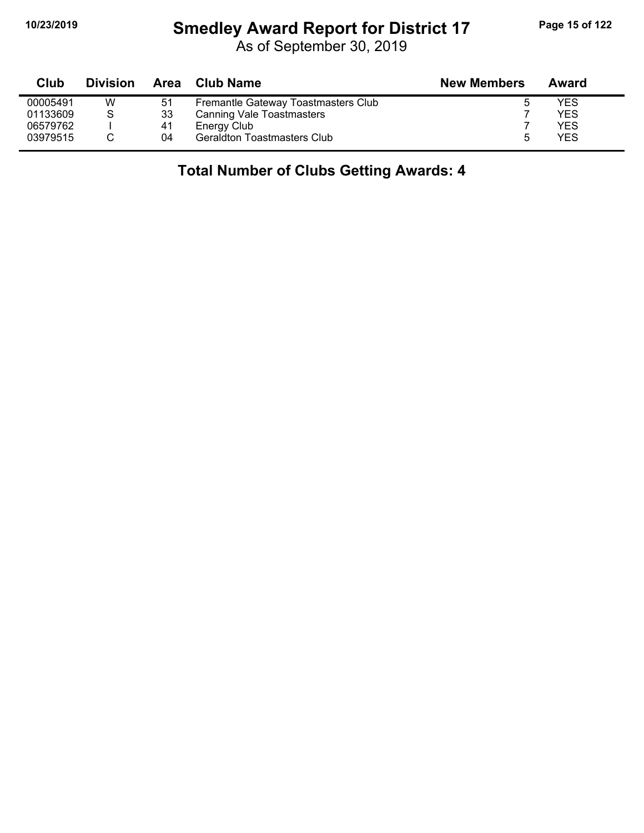#### **10/23/2019 Smedley Award Report for District 17 Page 15 of 122**

As of September 30, 2019

| Club     | <b>Division</b> |    | Area Club Name                      | <b>New Members</b> | Award |  |
|----------|-----------------|----|-------------------------------------|--------------------|-------|--|
| 00005491 | W               | 51 | Fremantle Gateway Toastmasters Club |                    | YES   |  |
| 01133609 | S               | 33 | <b>Canning Vale Toastmasters</b>    |                    | YES   |  |
| 06579762 |                 | 41 | Energy Club                         |                    | YES   |  |
| 03979515 |                 | 04 | <b>Geraldton Toastmasters Club</b>  |                    | YFS   |  |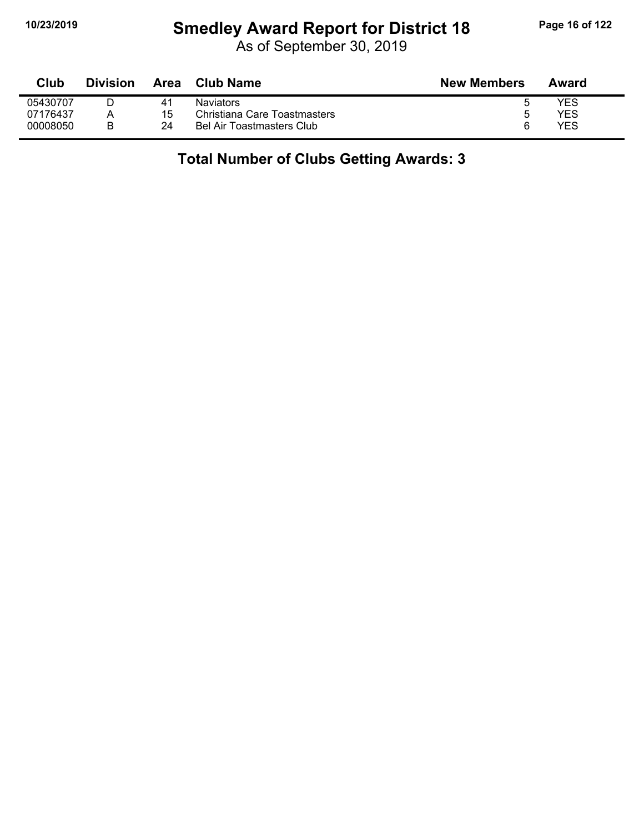# **10/23/2019 Smedley Award Report for District 18 Page 16 of 122**

| Club     | <b>Division</b> | <b>Area</b>    | <b>Club Name</b>             | <b>New Members</b> | Award |
|----------|-----------------|----------------|------------------------------|--------------------|-------|
| 05430707 |                 | 4 <sup>1</sup> | <b>Naviators</b>             | ა                  | YES   |
| 07176437 |                 | 15             | Christiana Care Toastmasters | ა                  | YES   |
| 00008050 | R               | 24             | Bel Air Toastmasters Club    | 6                  | YES   |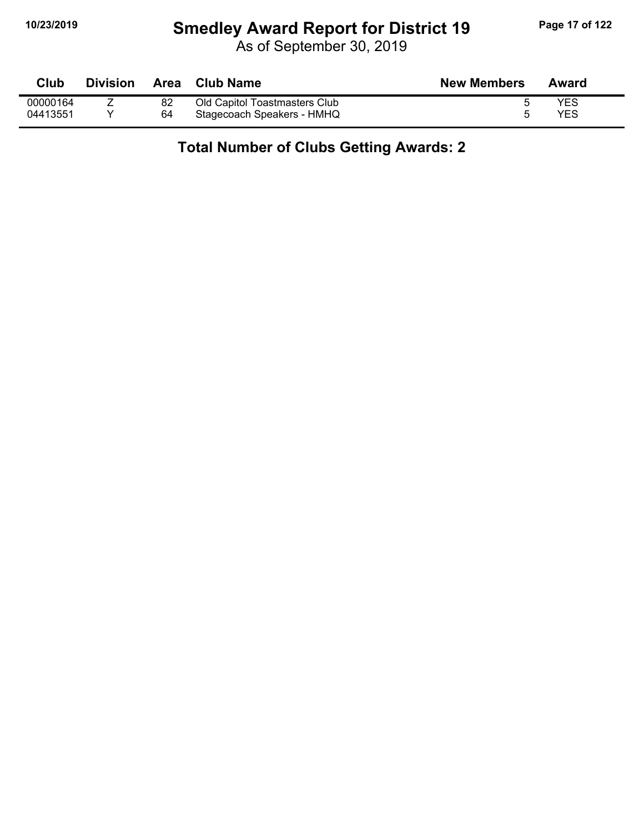#### **10/23/2019 Smedley Award Report for District 19 Page 17 of 122**

As of September 30, 2019

| Club     | <b>Division</b> | <b>Area</b> | Club Name                     | <b>New Members</b> | Award |
|----------|-----------------|-------------|-------------------------------|--------------------|-------|
| 00000164 |                 | 82          | Old Capitol Toastmasters Club |                    | YES   |
| 04413551 |                 | 64          | Stagecoach Speakers - HMHQ    |                    | YES   |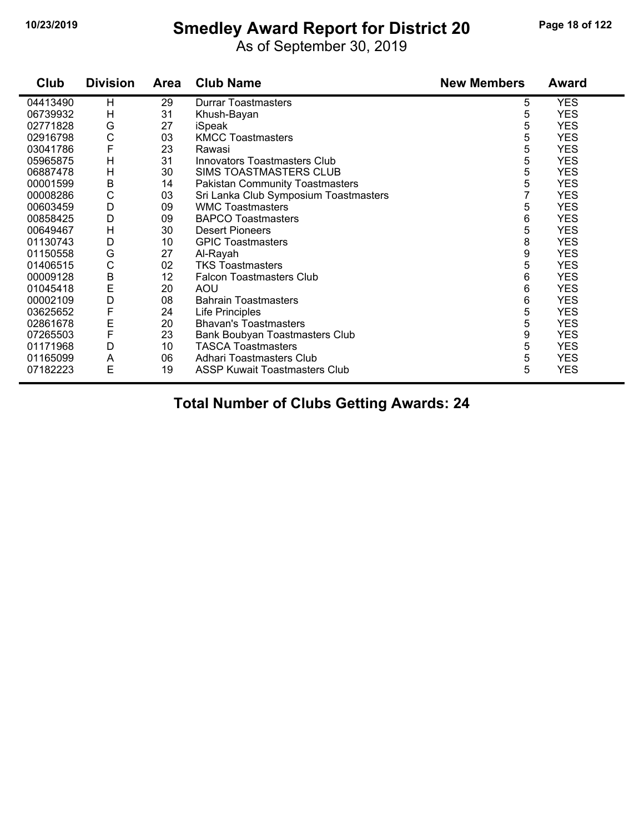# **10/23/2019 Smedley Award Report for District 20 Page 18 of 122**

As of September 30, 2019

| Club     | <b>Division</b> | Area | <b>Club Name</b>                       | <b>New Members</b> | <b>Award</b> |
|----------|-----------------|------|----------------------------------------|--------------------|--------------|
| 04413490 | H               | 29   | <b>Durrar Toastmasters</b>             | 5                  | <b>YES</b>   |
| 06739932 | H               | 31   | Khush-Bayan                            | 5                  | <b>YES</b>   |
| 02771828 | G               | 27   | iSpeak                                 | 5                  | <b>YES</b>   |
| 02916798 | C               | 03   | <b>KMCC Toastmasters</b>               | 5                  | <b>YES</b>   |
| 03041786 | F               | 23   | Rawasi                                 | 5                  | <b>YES</b>   |
| 05965875 | H               | 31   | Innovators Toastmasters Club           | 5                  | <b>YES</b>   |
| 06887478 | H               | 30   | SIMS TOASTMASTERS CLUB                 | 5                  | <b>YES</b>   |
| 00001599 | B               | 14   | <b>Pakistan Community Toastmasters</b> | 5                  | <b>YES</b>   |
| 00008286 | C               | 03   | Sri Lanka Club Symposium Toastmasters  | $\overline{7}$     | <b>YES</b>   |
| 00603459 | D               | 09   | <b>WMC Toastmasters</b>                | 5                  | <b>YES</b>   |
| 00858425 | D               | 09   | <b>BAPCO Toastmasters</b>              | 6                  | <b>YES</b>   |
| 00649467 | Η               | 30   | <b>Desert Pioneers</b>                 | 5                  | <b>YES</b>   |
| 01130743 | D               | 10   | <b>GPIC Toastmasters</b>               | 8                  | <b>YES</b>   |
| 01150558 | G               | 27   | Al-Rayah                               | 9                  | <b>YES</b>   |
| 01406515 | $\mathsf{C}$    | 02   | <b>TKS Toastmasters</b>                | 5                  | <b>YES</b>   |
| 00009128 | B               | 12   | <b>Falcon Toastmasters Club</b>        | 6                  | <b>YES</b>   |
| 01045418 | E               | 20   | <b>AOU</b>                             | 6                  | <b>YES</b>   |
| 00002109 | D               | 08   | <b>Bahrain Toastmasters</b>            | 6                  | <b>YES</b>   |
| 03625652 | F               | 24   | Life Principles                        | 5                  | <b>YES</b>   |
| 02861678 | E               | 20   | <b>Bhavan's Toastmasters</b>           | 5                  | <b>YES</b>   |
| 07265503 | F               | 23   | Bank Boubyan Toastmasters Club         | 9                  | <b>YES</b>   |
| 01171968 | D               | 10   | <b>TASCA Toastmasters</b>              | 5                  | <b>YES</b>   |
| 01165099 | A               | 06   | Adhari Toastmasters Club               | 5                  | <b>YES</b>   |
| 07182223 | E               | 19   | <b>ASSP Kuwait Toastmasters Club</b>   | 5                  | <b>YES</b>   |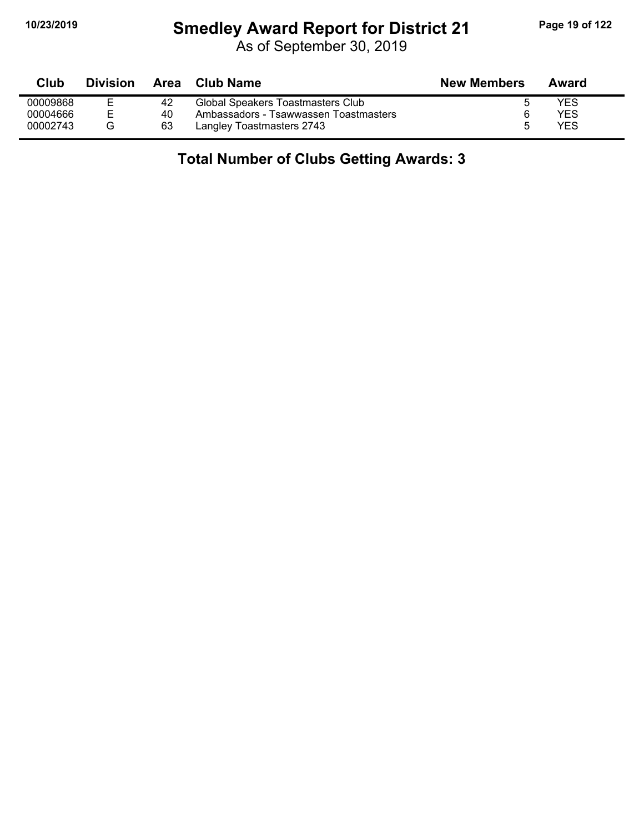# **10/23/2019 Smedley Award Report for District 21 Page 19 of 122**

As of September 30, 2019

| Club     | <b>Division</b> | Area | Club Name                             | <b>New Members</b> | Award |
|----------|-----------------|------|---------------------------------------|--------------------|-------|
| 00009868 |                 | 42   | Global Speakers Toastmasters Club     | đ                  | YES   |
| 00004666 | ᆮ               | 40   | Ambassadors - Tsawwassen Toastmasters | 6                  | YES   |
| 00002743 | G               | 63   | Langley Toastmasters 2743             | 5                  | YES   |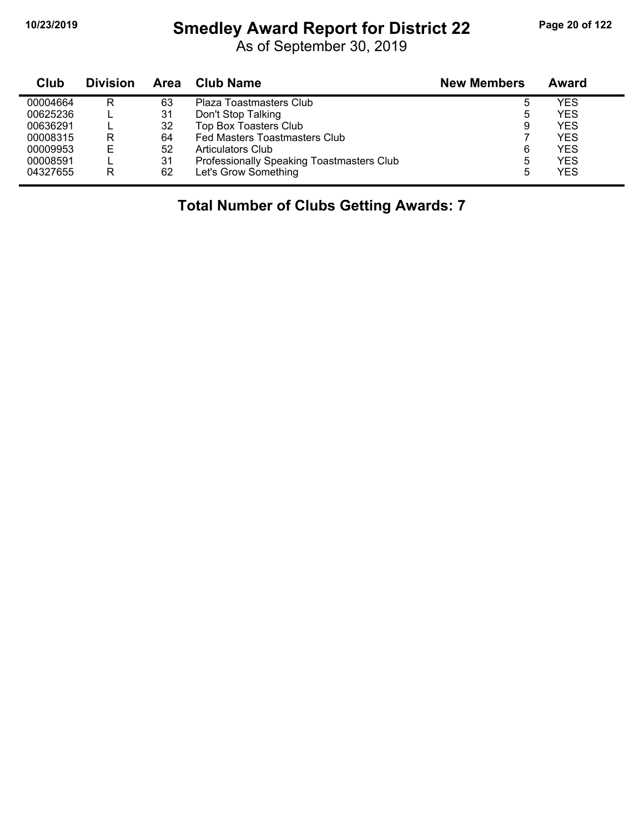$\blacksquare$ 

#### **10/23/2019 Smedley Award Report for District 22 Page 20 of 122**

As of September 30, 2019

| Club     | <b>Division</b> | Area | Club Name                                 | <b>New Members</b> | Award      |
|----------|-----------------|------|-------------------------------------------|--------------------|------------|
| 00004664 | R               | 63   | Plaza Toastmasters Club                   | 5                  | YES        |
| 00625236 |                 | 31   | Don't Stop Talking                        | 5                  | YES        |
| 00636291 |                 | 32   | Top Box Toasters Club                     | 9                  | YES        |
| 00008315 | R               | 64   | Fed Masters Toastmasters Club             |                    | YES        |
| 00009953 | Е               | 52   | <b>Articulators Club</b>                  | 6                  | <b>YES</b> |
| 00008591 |                 | 31   | Professionally Speaking Toastmasters Club | 5                  | YES        |
| 04327655 | R               | 62   | Let's Grow Something                      | 5                  | YES        |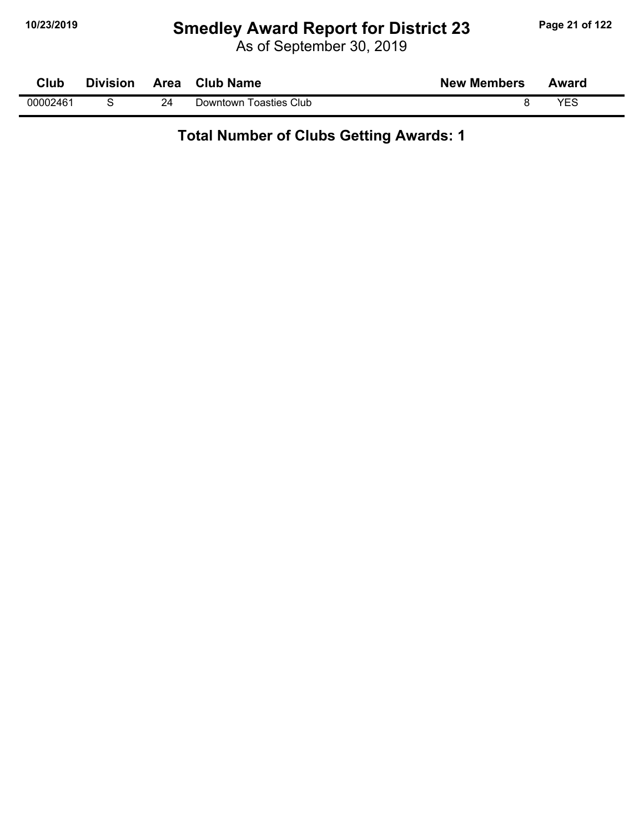# **10/23/2019 Smedley Award Report for District 23 Page 21 of 122**

As of September 30, 2019

| <b>Club</b> | <b>Division</b> | Area | <b>Club Name</b>       | <b>New Members</b> | Award |  |
|-------------|-----------------|------|------------------------|--------------------|-------|--|
| 00002461    |                 | 24   | Downtown Toasties Club |                    | YES   |  |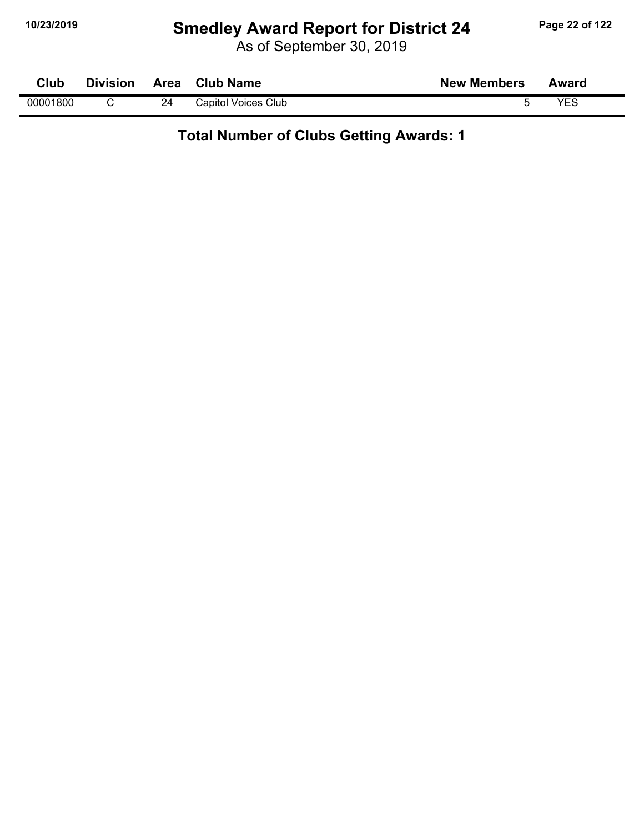# **10/23/2019 Smedley Award Report for District 24 Page 22 of 122**

As of September 30, 2019

| Club     | <b>Division</b> | Area | <b>Club Name</b>    | <b>New Members</b> | Award |
|----------|-----------------|------|---------------------|--------------------|-------|
| 00001800 |                 | 24   | Capitol Voices Club |                    | VEC   |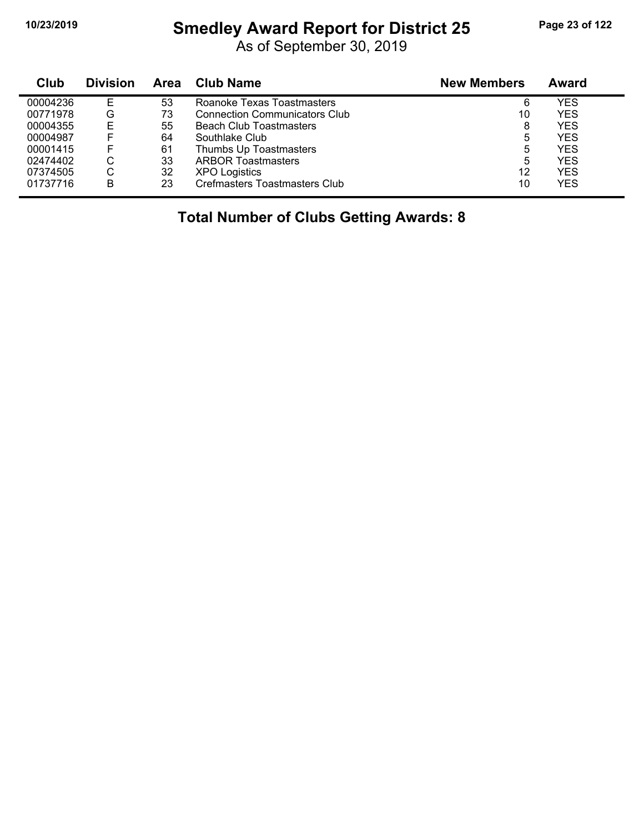#### **10/23/2019 Smedley Award Report for District 25 Page 23 of 122**

As of September 30, 2019

| Club     | <b>Division</b> | Area | Club Name                            | <b>New Members</b> | Award      |
|----------|-----------------|------|--------------------------------------|--------------------|------------|
| 00004236 | Е               | 53   | Roanoke Texas Toastmasters           | 6                  | YES        |
| 00771978 | G               | 73   | <b>Connection Communicators Club</b> | 10                 | <b>YES</b> |
| 00004355 | Е               | 55   | <b>Beach Club Toastmasters</b>       | 8                  | <b>YES</b> |
| 00004987 | F               | 64   | Southlake Club                       | 5                  | YES        |
| 00001415 | F               | 61   | Thumbs Up Toastmasters               | 5                  | YES        |
| 02474402 | C               | 33   | <b>ARBOR Toastmasters</b>            | 5                  | <b>YES</b> |
| 07374505 | С               | 32   | <b>XPO Logistics</b>                 | 12                 | YES        |
| 01737716 | B               | 23   | Crefmasters Toastmasters Club        | 10                 | <b>YES</b> |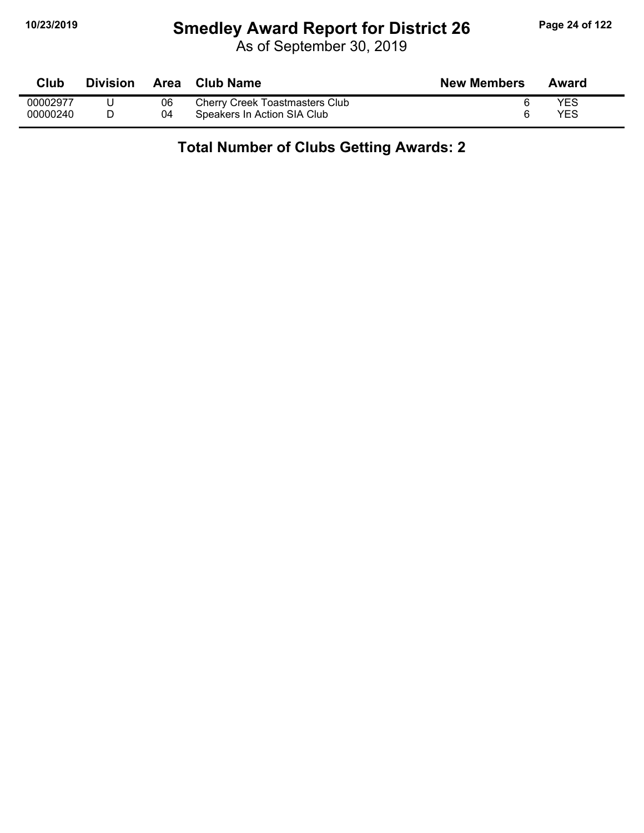# **10/23/2019 Smedley Award Report for District 26 Page 24 of 122**

As of September 30, 2019

| Club     | <b>Division</b> | Area | Club Name                      | <b>New Members</b> | Award |
|----------|-----------------|------|--------------------------------|--------------------|-------|
| 00002977 |                 | 06   | Cherry Creek Toastmasters Club |                    | YES   |
| 00000240 |                 | 04   | Speakers In Action SIA Club    |                    | YES   |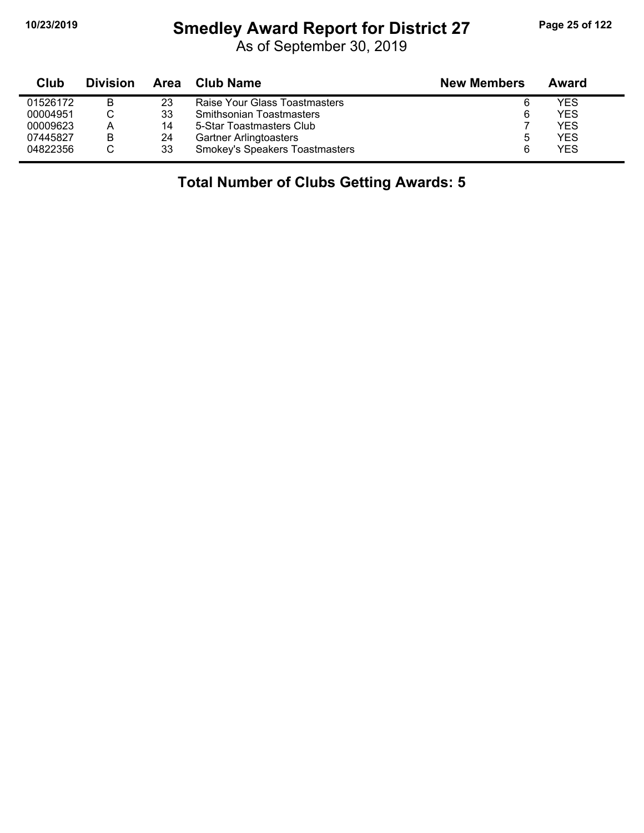# **10/23/2019 Smedley Award Report for District 27 Page 25 of 122**

As of September 30, 2019

| Club     | <b>Division</b> | Area | <b>Club Name</b>                      | <b>New Members</b> | Award      |
|----------|-----------------|------|---------------------------------------|--------------------|------------|
| 01526172 | В               | 23   | Raise Your Glass Toastmasters         | 6                  | YES        |
| 00004951 |                 | 33   | <b>Smithsonian Toastmasters</b>       | 6                  | <b>YES</b> |
| 00009623 | А               | 14   | 5-Star Toastmasters Club              |                    | <b>YES</b> |
| 07445827 | B               | 24   | <b>Gartner Arlingtoasters</b>         |                    | <b>YES</b> |
| 04822356 |                 | 33   | <b>Smokey's Speakers Toastmasters</b> | ิค                 | <b>YES</b> |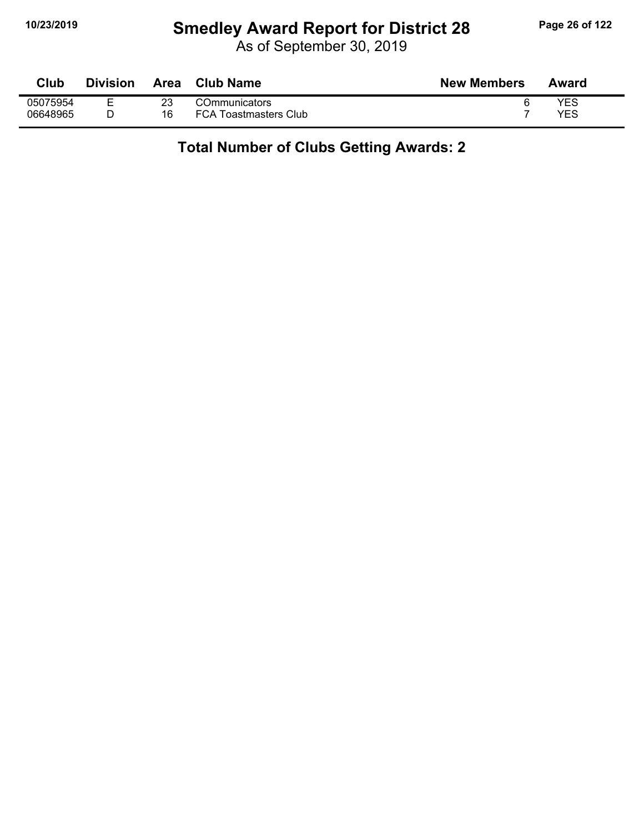# **10/23/2019 Smedley Award Report for District 28 Page 26 of 122**

As of September 30, 2019

| Club     | <b>Division</b> | Area | <b>Club Name</b>             | <b>New Members</b> | Award |
|----------|-----------------|------|------------------------------|--------------------|-------|
| 05075954 | -               |      | <b>COmmunicators</b>         |                    | YES   |
| 06648965 |                 | 16   | <b>FCA Toastmasters Club</b> |                    | YES   |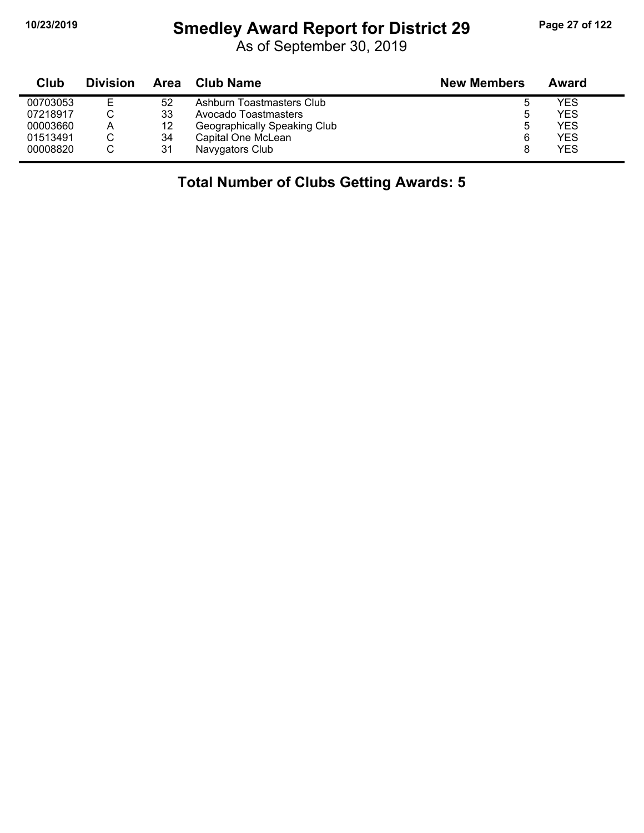# **10/23/2019 Smedley Award Report for District 29 Page 27 of 122**

As of September 30, 2019

| Club     | <b>Division</b> | Area | <b>Club Name</b>             | <b>New Members</b> | Award |  |
|----------|-----------------|------|------------------------------|--------------------|-------|--|
| 00703053 | E               | 52   | Ashburn Toastmasters Club    |                    | YES   |  |
| 07218917 |                 | 33   | Avocado Toastmasters         | b                  | YES   |  |
| 00003660 | А               | 12   | Geographically Speaking Club | b                  | YES   |  |
| 01513491 | ◡               | 34   | Capital One McLean           | 6                  | YES   |  |
| 00008820 | С               | 31   | Navygators Club              |                    | YES   |  |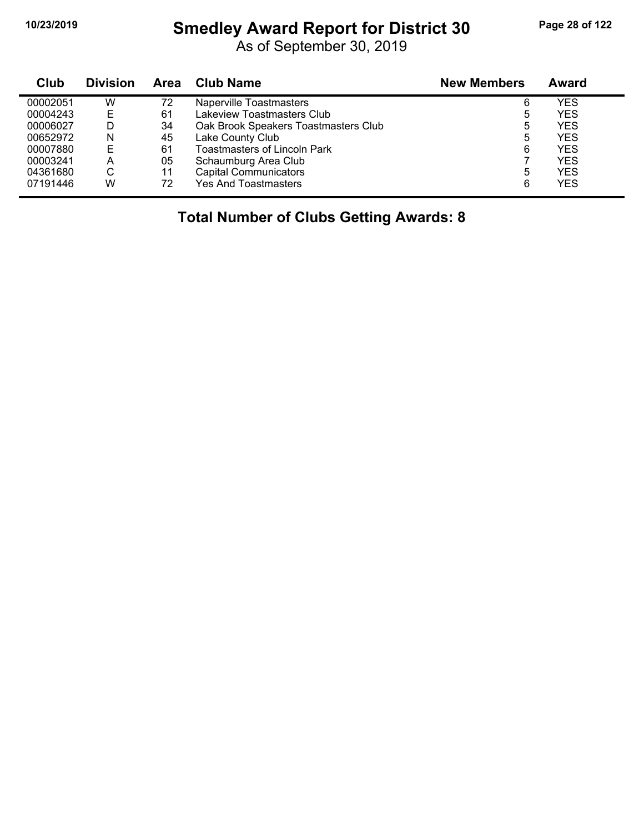#### **10/23/2019 Smedley Award Report for District 30 Page 28 of 122**

As of September 30, 2019

| <b>Club</b> | <b>Division</b> | Area | Club Name                            | <b>New Members</b> | Award      |
|-------------|-----------------|------|--------------------------------------|--------------------|------------|
| 00002051    | W               | 72   | Naperville Toastmasters              | 6                  | YES        |
| 00004243    | Е               | 61   | Lakeview Toastmasters Club           | 5                  | YES        |
| 00006027    | D               | 34   | Oak Brook Speakers Toastmasters Club | 5                  | YES        |
| 00652972    | N               | 45   | Lake County Club                     | 5                  | <b>YES</b> |
| 00007880    | E               | 61   | Toastmasters of Lincoln Park         | 6                  | YES        |
| 00003241    | A               | 05   | Schaumburg Area Club                 |                    | <b>YES</b> |
| 04361680    | С               | 11   | <b>Capital Communicators</b>         | 5                  | YES        |
| 07191446    | W               | 72   | <b>Yes And Toastmasters</b>          | 6                  | YES        |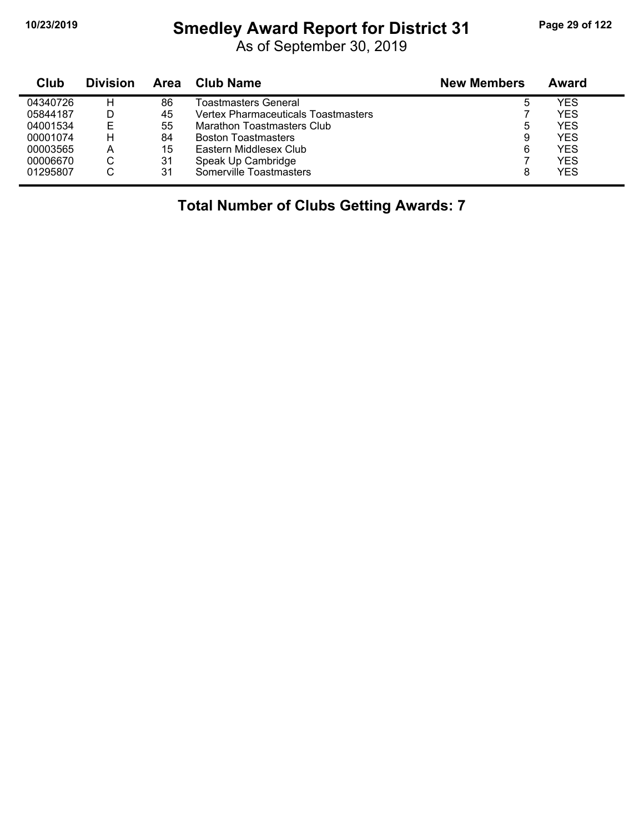# **10/23/2019 Smedley Award Report for District 31 Page 29 of 122**

As of September 30, 2019

| Club     | <b>Division</b> | Area | Club Name                           | <b>New Members</b> | Award      |  |
|----------|-----------------|------|-------------------------------------|--------------------|------------|--|
| 04340726 | н               | 86   | Toastmasters General                | 5                  | YES        |  |
| 05844187 |                 | 45   | Vertex Pharmaceuticals Toastmasters |                    | YES        |  |
| 04001534 | Е               | 55   | Marathon Toastmasters Club          | 5                  | YES        |  |
| 00001074 | н               | 84   | <b>Boston Toastmasters</b>          | 9                  | YES        |  |
| 00003565 | А               | 15   | Eastern Middlesex Club              | 6                  | <b>YES</b> |  |
| 00006670 | С               | 31   | Speak Up Cambridge                  |                    | YES        |  |
| 01295807 | U               | 31   | Somerville Toastmasters             | 8                  | YES        |  |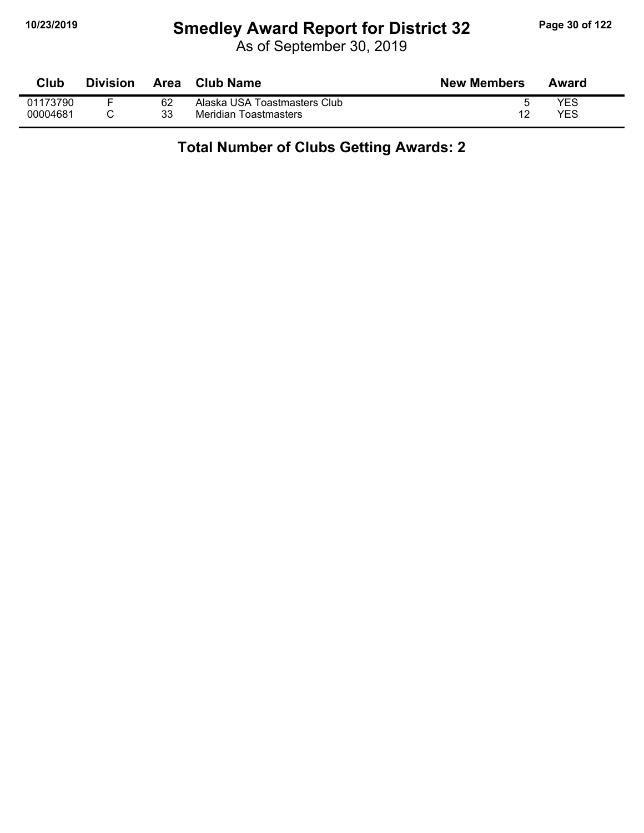# **10/23/2019 Smedley Award Report for District 32 Page 30 of 122**

As of September 30, 2019

| Club     | <b>Division</b> | <b>Area</b> | <b>Club Name</b>             | <b>New Members</b> | Award |
|----------|-----------------|-------------|------------------------------|--------------------|-------|
| 01173790 |                 | 62          | Alaska USA Toastmasters Club |                    | YES   |
| 00004681 |                 | 33          | Meridian Toastmasters        | 12                 | YES   |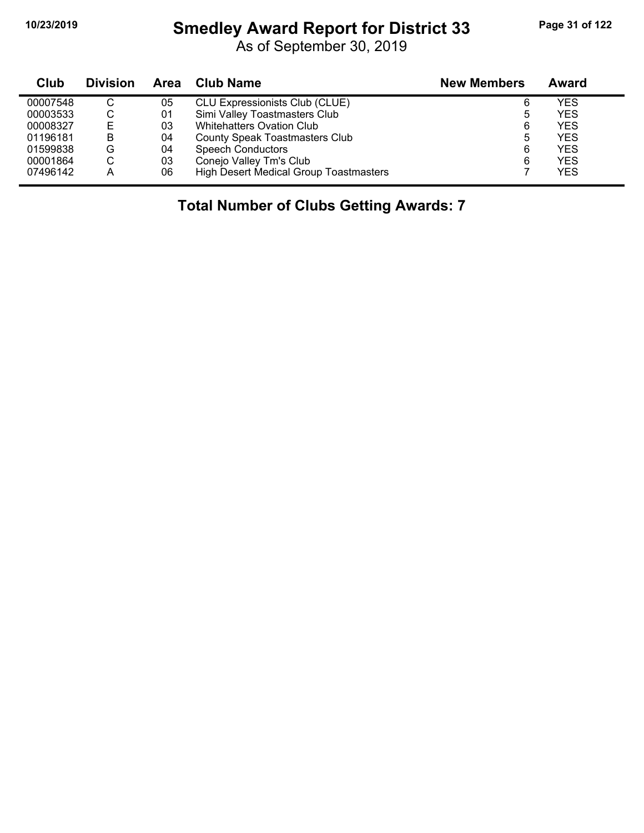# **10/23/2019 Smedley Award Report for District 33 Page 31 of 122**

As of September 30, 2019

| Club     | <b>Division</b> | Area | <b>Club Name</b>                       | <b>New Members</b> | Award      |
|----------|-----------------|------|----------------------------------------|--------------------|------------|
| 00007548 | C               | 05   | <b>CLU Expressionists Club (CLUE)</b>  | 6                  | YES        |
| 00003533 | ◡               | 01   | Simi Valley Toastmasters Club          | 5                  | <b>YES</b> |
| 00008327 | Е               | 03   | <b>Whitehatters Ovation Club</b>       | 6                  | <b>YES</b> |
| 01196181 | в               | 04   | County Speak Toastmasters Club         | 5                  | <b>YES</b> |
| 01599838 | G               | 04   | <b>Speech Conductors</b>               | 6                  | <b>YES</b> |
| 00001864 |                 | 03   | Conejo Valley Tm's Club                | 6                  | <b>YES</b> |
| 07496142 | A               | 06   | High Desert Medical Group Toastmasters |                    | <b>YES</b> |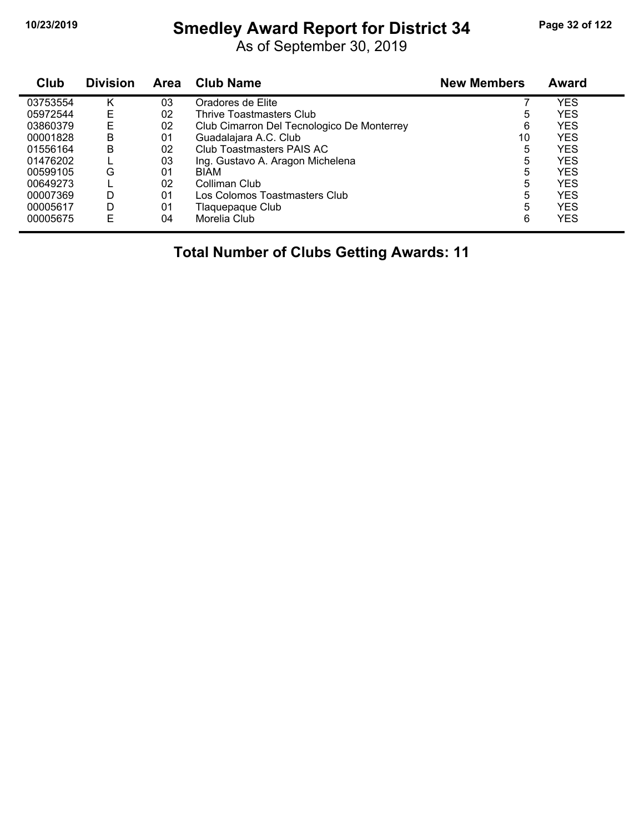# **10/23/2019 Smedley Award Report for District 34 Page 32 of 122**

As of September 30, 2019

| Club     | <b>Division</b> | Area | <b>Club Name</b>                           | <b>New Members</b> | Award      |  |
|----------|-----------------|------|--------------------------------------------|--------------------|------------|--|
| 03753554 | K               | 03   | Oradores de Elite                          |                    | YES        |  |
| 05972544 | E               | 02   | Thrive Toastmasters Club                   | 5                  | YES        |  |
| 03860379 | Е               | 02   | Club Cimarron Del Tecnologico De Monterrey | 6                  | <b>YES</b> |  |
| 00001828 | в               | 01   | Guadalajara A.C. Club                      | 10                 | YES        |  |
| 01556164 | в               | 02   | Club Toastmasters PAIS AC                  | 5                  | YES        |  |
| 01476202 |                 | 03   | Ing. Gustavo A. Aragon Michelena           | 5                  | YES        |  |
| 00599105 | G               | 01   | <b>BIAM</b>                                | 5                  | YES        |  |
| 00649273 |                 | 02   | Colliman Club                              | 5                  | YES        |  |
| 00007369 | D               | 01   | Los Colomos Toastmasters Club              | 5                  | YES        |  |
| 00005617 | D               | 01   | Tlaquepaque Club                           | 5                  | <b>YES</b> |  |
| 00005675 | F               | 04   | Morelia Club                               | 6                  | YES        |  |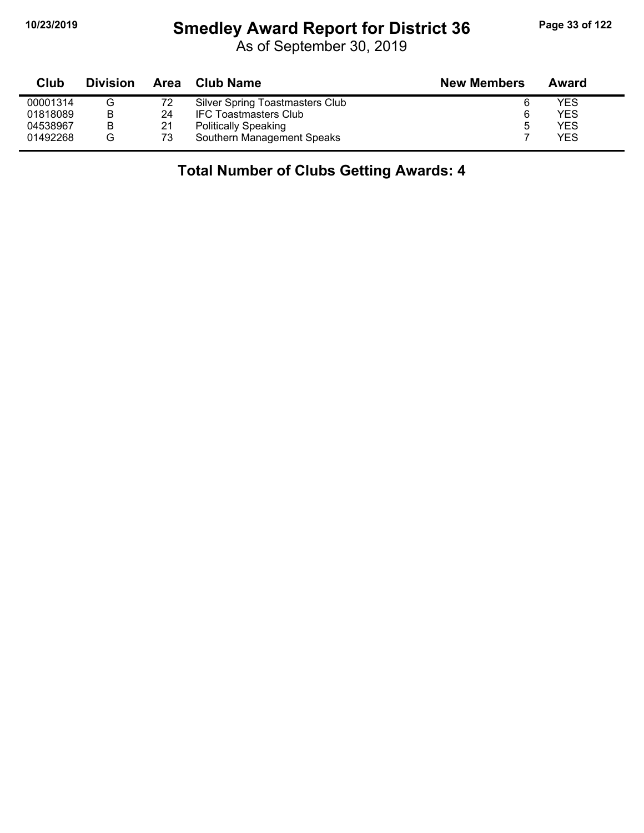#### **10/23/2019 Smedley Award Report for District 36 Page 33 of 122**

As of September 30, 2019

| Club     | <b>Division</b> |    | Area Club Name                  | <b>New Members</b> | Award |
|----------|-----------------|----|---------------------------------|--------------------|-------|
| 00001314 | G               | 72 | Silver Spring Toastmasters Club |                    | YES   |
| 01818089 | B               | 24 | <b>IFC Toastmasters Club</b>    | 6                  | YES   |
| 04538967 | B               | 21 | <b>Politically Speaking</b>     | 5                  | YES   |
| 01492268 | G               | 73 | Southern Management Speaks      |                    | YES   |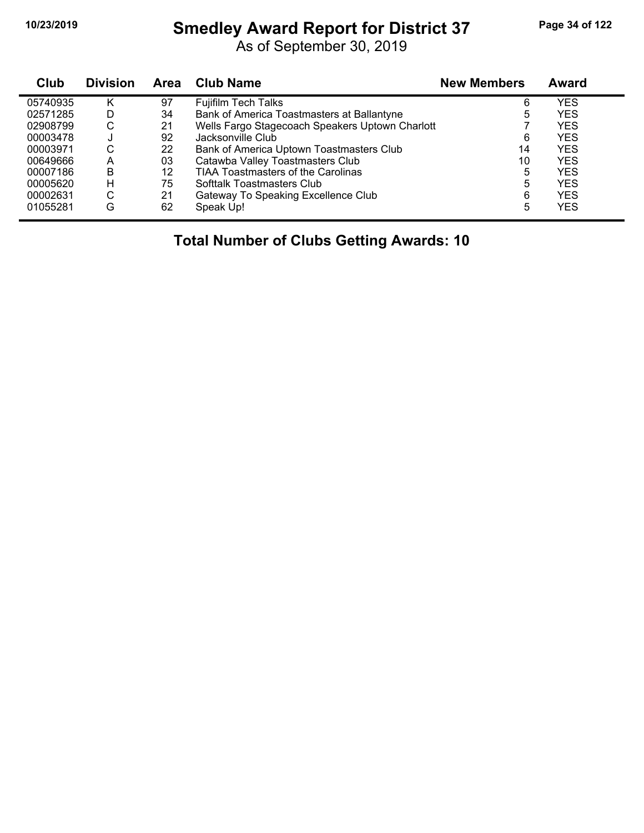# **10/23/2019 Smedley Award Report for District 37 Page 34 of 122**

As of September 30, 2019

| Club     | <b>Division</b> | <b>Area</b> | <b>Club Name</b>                                | <b>New Members</b> | Award      |
|----------|-----------------|-------------|-------------------------------------------------|--------------------|------------|
| 05740935 | Κ               | 97          | <b>Fujifilm Tech Talks</b>                      | 6                  | YES        |
| 02571285 | D               | 34          | Bank of America Toastmasters at Ballantyne      | 5                  | <b>YES</b> |
| 02908799 | С               | 21          | Wells Fargo Stagecoach Speakers Uptown Charlott |                    | <b>YES</b> |
| 00003478 |                 | 92          | Jacksonville Club                               | 6                  | <b>YES</b> |
| 00003971 | С               | 22          | Bank of America Uptown Toastmasters Club        | 14                 | <b>YES</b> |
| 00649666 | A               | 03          | Catawba Valley Toastmasters Club                | 10                 | <b>YES</b> |
| 00007186 | B               | 12          | <b>TIAA Toastmasters of the Carolinas</b>       | 5                  | <b>YES</b> |
| 00005620 | н               | 75          | Softtalk Toastmasters Club                      | 5                  | <b>YES</b> |
| 00002631 | С               | 21          | Gateway To Speaking Excellence Club             | 6                  | <b>YES</b> |
| 01055281 | G               | 62          | Speak Up!                                       | 5                  | <b>YES</b> |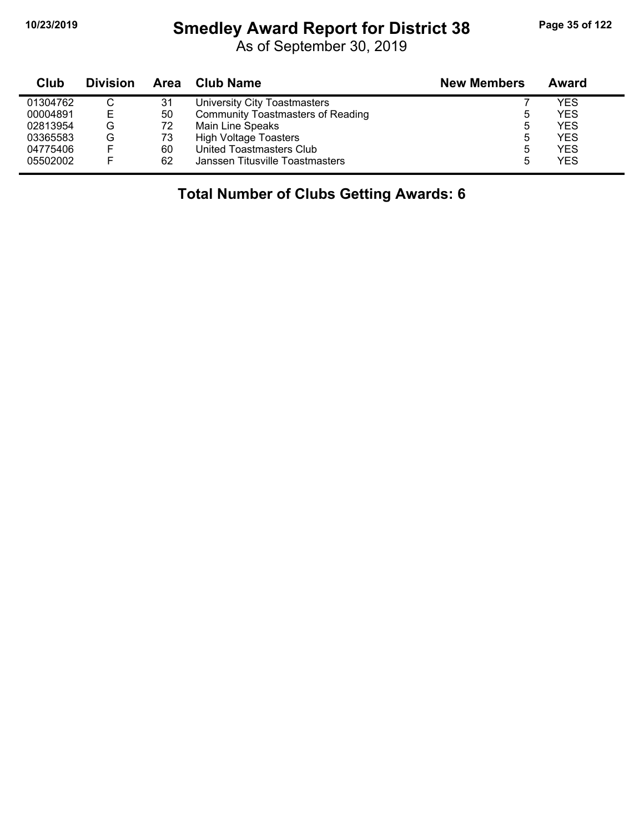#### **10/23/2019 Smedley Award Report for District 38 Page 35 of 122**

As of September 30, 2019

| Club     | <b>Division</b> |    | Area Club Name                           | <b>New Members</b> | Award |
|----------|-----------------|----|------------------------------------------|--------------------|-------|
| 01304762 | C               | 31 | University City Toastmasters             |                    | YES   |
| 00004891 | Е               | 50 | <b>Community Toastmasters of Reading</b> | b                  | YES   |
| 02813954 | G               | 72 | Main Line Speaks                         | 5                  | YES   |
| 03365583 | G               | 73 | <b>High Voltage Toasters</b>             | 5                  | YES   |
| 04775406 |                 | 60 | United Toastmasters Club                 | ხ                  | YES   |
| 05502002 |                 | 62 | Janssen Titusville Toastmasters          | 5                  | YES   |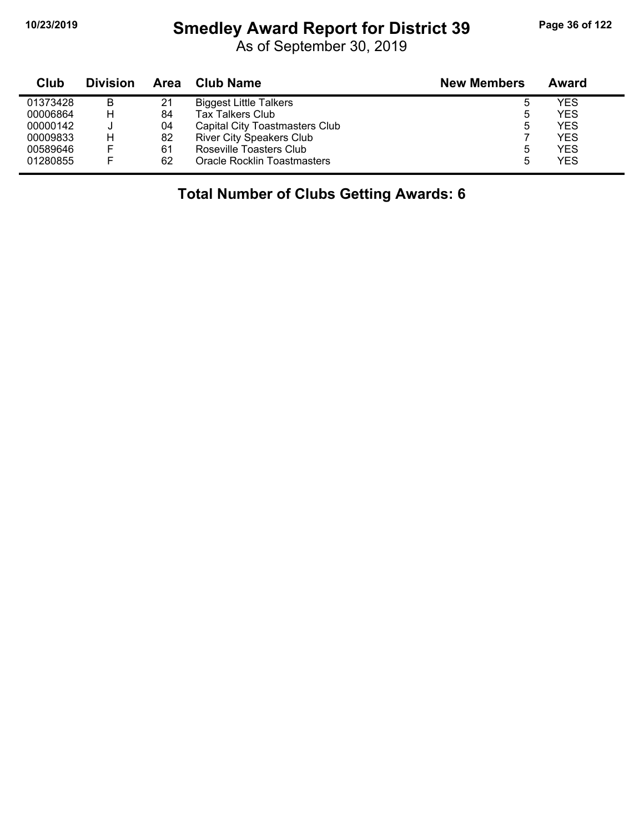#### **10/23/2019 Smedley Award Report for District 39 Page 36 of 122**

As of September 30, 2019

| Club     | <b>Division</b> | Area | <b>Club Name</b>                | <b>New Members</b> | Award |
|----------|-----------------|------|---------------------------------|--------------------|-------|
| 01373428 | B               | 21   | <b>Biggest Little Talkers</b>   | b                  | YES   |
| 00006864 | н               | 84   | <b>Tax Talkers Club</b>         | 5                  | YES   |
| 00000142 |                 | 04   | Capital City Toastmasters Club  | 5                  | YES   |
| 00009833 | Н               | 82   | <b>River City Speakers Club</b> |                    | YES   |
| 00589646 | E               | 61   | Roseville Toasters Club         | 5                  | YES   |
| 01280855 | E               | 62   | Oracle Rocklin Toastmasters     | 5                  | YES   |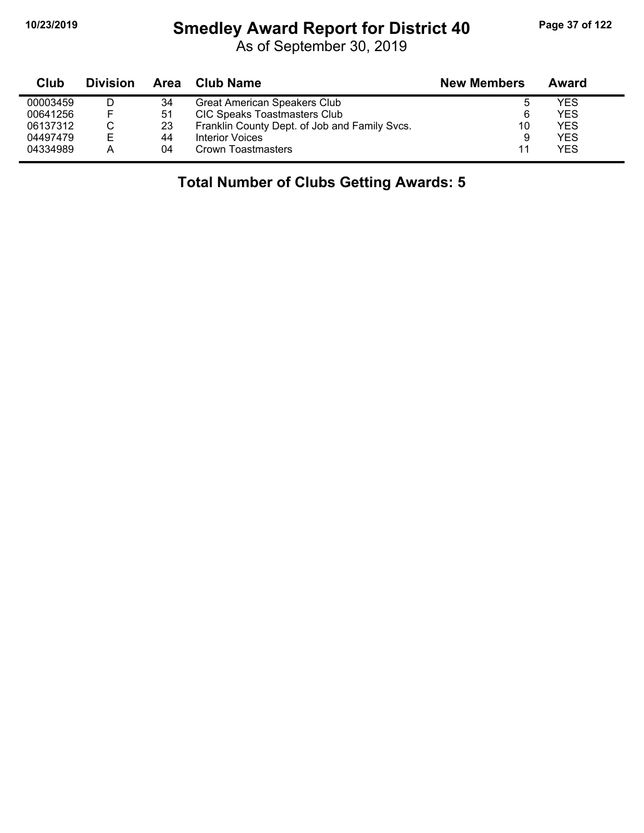# **10/23/2019 Smedley Award Report for District 40 Page 37 of 122**

As of September 30, 2019

| Club     | <b>Division</b> | Area | Club Name                                     | <b>New Members</b> | Award |
|----------|-----------------|------|-----------------------------------------------|--------------------|-------|
| 00003459 |                 | 34   | <b>Great American Speakers Club</b>           | ა                  | YES   |
| 00641256 | F               | 51   | <b>CIC Speaks Toastmasters Club</b>           | 6                  | YES   |
| 06137312 |                 | 23   | Franklin County Dept. of Job and Family Svcs. | 10                 | YES   |
| 04497479 | Е               | 44   | Interior Voices                               | 9                  | YES   |
| 04334989 |                 | 04   | Crown Toastmasters                            | 11                 | YES   |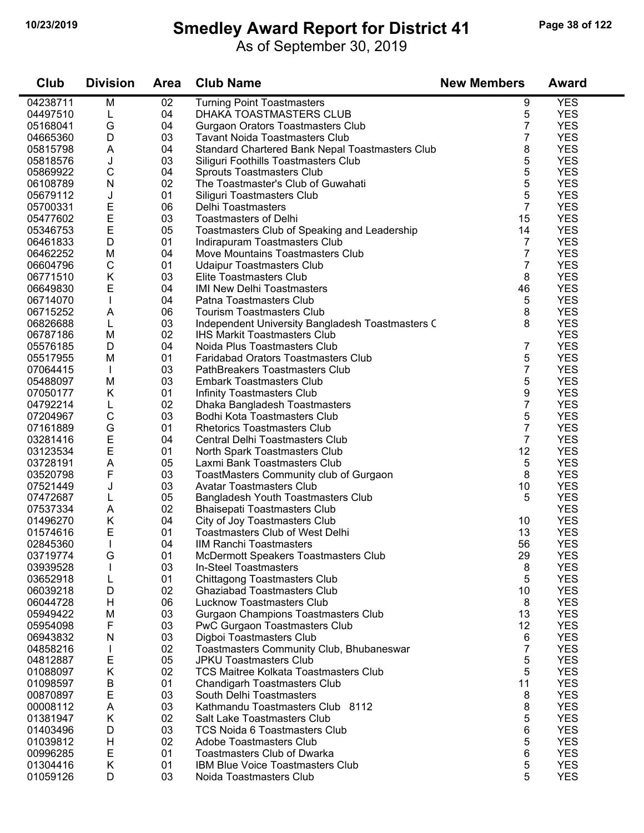$\blacksquare$ 

#### **10/23/2019 Smedley Award Report for District 41 Page 38 of 122**

As of September 30, 2019

| Club                 | <b>Division</b> | <b>Area</b> | <b>Club Name</b>                                                       | <b>New Members</b> | <b>Award</b>             |
|----------------------|-----------------|-------------|------------------------------------------------------------------------|--------------------|--------------------------|
| 04238711             | M               | 02          | <b>Turning Point Toastmasters</b>                                      | 9                  | <b>YES</b>               |
| 04497510             | L               | 04          | DHAKA TOASTMASTERS CLUB                                                | 5                  | <b>YES</b>               |
| 05168041             | G               | 04          | <b>Gurgaon Orators Toastmasters Club</b>                               | 7                  | <b>YES</b>               |
| 04665360             | D               | 03          | <b>Tavant Noida Toastmasters Club</b>                                  | 7                  | <b>YES</b>               |
| 05815798             | A               | 04          | Standard Chartered Bank Nepal Toastmasters Club                        | 8                  | <b>YES</b>               |
| 05818576             | J               | 03          | Siliguri Foothills Toastmasters Club                                   | 5                  | <b>YES</b>               |
| 05869922             | C               | 04          | Sprouts Toastmasters Club                                              | 5                  | <b>YES</b>               |
| 06108789             | N               | 02          | The Toastmaster's Club of Guwahati                                     | 5                  | <b>YES</b>               |
| 05679112             | J               | 01          | Siliguri Toastmasters Club                                             | 5                  | <b>YES</b>               |
| 05700331             | E               | 06          | Delhi Toastmasters                                                     | 7                  | <b>YES</b>               |
| 05477602             | $\mathsf E$     | 03          | <b>Toastmasters of Delhi</b>                                           | 15                 | <b>YES</b>               |
| 05346753             | E               | 05          | Toastmasters Club of Speaking and Leadership                           | 14                 | <b>YES</b>               |
| 06461833             | D               | 01          | Indirapuram Toastmasters Club                                          | 7                  | <b>YES</b>               |
| 06462252             | M               | 04          | Move Mountains Toastmasters Club                                       | 7                  | <b>YES</b>               |
| 06604796             | $\mathsf C$     | 01          | <b>Udaipur Toastmasters Club</b>                                       | 7                  | <b>YES</b>               |
| 06771510             | Κ               | 03          | Elite Toastmasters Club                                                | 8                  | <b>YES</b>               |
| 06649830             | $\mathsf E$     | 04          | <b>IMI New Delhi Toastmasters</b>                                      | 46                 | <b>YES</b>               |
| 06714070             | T               | 04          | Patna Toastmasters Club                                                | 5                  | <b>YES</b>               |
| 06715252             | Α               | 06          | <b>Tourism Toastmasters Club</b>                                       | 8                  | <b>YES</b>               |
| 06826688             | L               | 03          | Independent University Bangladesh Toastmasters C                       | 8                  | <b>YES</b>               |
| 06787186             | M               | 02          | <b>IHS Markit Toastmasters Club</b>                                    |                    | <b>YES</b>               |
| 05576185             | D               | 04          | Noida Plus Toastmasters Club                                           | 7                  | <b>YES</b>               |
| 05517955             | M               | 01          | <b>Faridabad Orators Toastmasters Club</b>                             | 5                  | <b>YES</b>               |
| 07064415             |                 | 03          | PathBreakers Toastmasters Club                                         | 7                  | <b>YES</b>               |
| 05488097             | M               | 03          | <b>Embark Toastmasters Club</b>                                        | 5                  | <b>YES</b>               |
| 07050177             | Κ               | 01          | Infinity Toastmasters Club                                             | 9                  | <b>YES</b>               |
| 04792214             | L               | 02          | Dhaka Bangladesh Toastmasters                                          | $\overline{7}$     | <b>YES</b>               |
| 07204967             | $\mathsf C$     | 03          | Bodhi Kota Toastmasters Club                                           | 5                  | <b>YES</b>               |
| 07161889             | G               | 01          | <b>Rhetorics Toastmasters Club</b>                                     | 7                  | <b>YES</b>               |
| 03281416             | E               | 04          | Central Delhi Toastmasters Club                                        | 7                  | <b>YES</b>               |
| 03123534             | E               | 01          | North Spark Toastmasters Club                                          | 12                 | <b>YES</b>               |
| 03728191             | A               | 05          | Laxmi Bank Toastmasters Club                                           | 5                  | <b>YES</b>               |
| 03520798             | F               | 03          | ToastMasters Community club of Gurgaon                                 | 8                  | <b>YES</b>               |
| 07521449             | J               | 03          | <b>Avatar Toastmasters Club</b>                                        | 10                 | <b>YES</b>               |
| 07472687             | L               | 05          | Bangladesh Youth Toastmasters Club                                     | 5                  | <b>YES</b>               |
| 07537334             | Α               | 02          | <b>Bhaisepati Toastmasters Club</b>                                    |                    | <b>YES</b>               |
| 01496270             | Κ               | 04          | City of Joy Toastmasters Club                                          | 10                 | <b>YES</b>               |
| 01574616             | E               | 01          | Toastmasters Club of West Delhi                                        | 13                 | <b>YES</b>               |
| 02845360             |                 | 04          | IIM Ranchi Toastmasters                                                | 56                 | <b>YES</b>               |
| 03719774             | G               | 01          | McDermott Speakers Toastmasters Club                                   | 29                 | <b>YES</b>               |
| 03939528             | ı               | 03          | In-Steel Toastmasters                                                  | 8                  | <b>YES</b>               |
| 03652918             | L               | 01          | <b>Chittagong Toastmasters Club</b>                                    | 5                  | <b>YES</b>               |
| 06039218             | D               | 02          | <b>Ghaziabad Toastmasters Club</b>                                     | 10                 | <b>YES</b>               |
| 06044728             | H               | 06          | <b>Lucknow Toastmasters Club</b>                                       | 8                  | <b>YES</b>               |
| 05949422             | M               | 03          | Gurgaon Champions Toastmasters Club                                    | 13                 | <b>YES</b>               |
| 05954098             | F               | 03          | PwC Gurgaon Toastmasters Club                                          | 12                 | <b>YES</b>               |
| 06943832             | N               | 03          | Digboi Toastmasters Club                                               | 6                  | <b>YES</b>               |
| 04858216             |                 | 02          | Toastmasters Community Club, Bhubaneswar                               | 7                  | <b>YES</b>               |
| 04812887             | E               | 05          | <b>JPKU Toastmasters Club</b>                                          | 5                  | <b>YES</b>               |
| 01088097             | Κ               | 02          | <b>TCS Maitree Kolkata Toastmasters Club</b>                           | 5                  | <b>YES</b>               |
| 01098597             | B<br>E          | 01<br>03    | <b>Chandigarh Toastmasters Club</b>                                    | 11                 | <b>YES</b><br><b>YES</b> |
| 00870897             |                 |             | South Delhi Toastmasters                                               | 8                  | <b>YES</b>               |
| 00008112             | A               | 03<br>02    | Kathmandu Toastmasters Club 8112                                       | 8                  |                          |
| 01381947             | Κ<br>D          | 03          | Salt Lake Toastmasters Club                                            | 5                  | <b>YES</b><br><b>YES</b> |
| 01403496             |                 | 02          | <b>TCS Noida 6 Toastmasters Club</b><br><b>Adobe Toastmasters Club</b> | 6                  | <b>YES</b>               |
| 01039812<br>00996285 | H               | 01          | <b>Toastmasters Club of Dwarka</b>                                     | 5<br>6             | <b>YES</b>               |
| 01304416             | Е<br>Κ          | 01          | IBM Blue Voice Toastmasters Club                                       | 5                  | <b>YES</b>               |
| 01059126             | D               | 03          | Noida Toastmasters Club                                                | 5                  | <b>YES</b>               |
|                      |                 |             |                                                                        |                    |                          |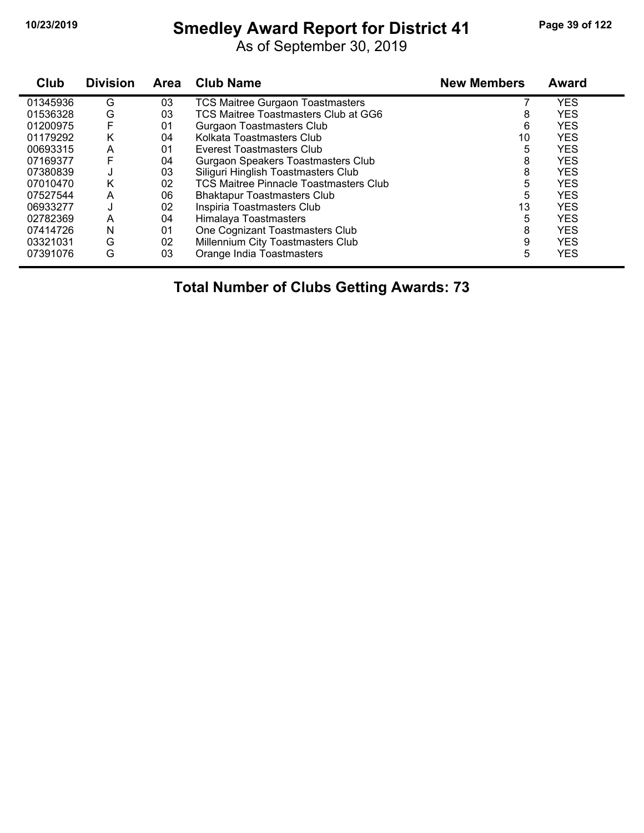# **10/23/2019 Smedley Award Report for District 41 Page 39 of 122**

As of September 30, 2019

| Club     | <b>Division</b> | <b>Area</b> | <b>Club Name</b>                              | <b>New Members</b> | <b>Award</b> |
|----------|-----------------|-------------|-----------------------------------------------|--------------------|--------------|
| 01345936 | G               | 03          | <b>TCS Maitree Gurgaon Toastmasters</b>       |                    | YES          |
| 01536328 | G               | 03          | TCS Maitree Toastmasters Club at GG6          | 8                  | <b>YES</b>   |
| 01200975 | F               | 01          | <b>Gurgaon Toastmasters Club</b>              | 6                  | <b>YES</b>   |
| 01179292 | Κ               | 04          | Kolkata Toastmasters Club                     | 10                 | <b>YES</b>   |
| 00693315 | A               | 01          | Everest Toastmasters Club                     | 5                  | <b>YES</b>   |
| 07169377 | F               | 04          | Gurgaon Speakers Toastmasters Club            | 8                  | <b>YES</b>   |
| 07380839 | J               | 03          | Siliguri Hinglish Toastmasters Club           | 8                  | <b>YES</b>   |
| 07010470 | Κ               | 02          | <b>TCS Maitree Pinnacle Toastmasters Club</b> | 5                  | <b>YES</b>   |
| 07527544 | A               | 06          | <b>Bhaktapur Toastmasters Club</b>            | 5                  | <b>YES</b>   |
| 06933277 |                 | 02          | Inspiria Toastmasters Club                    | 13                 | <b>YES</b>   |
| 02782369 | A               | 04          | Himalaya Toastmasters                         | 5                  | <b>YES</b>   |
| 07414726 | N               | 01          | One Cognizant Toastmasters Club               | 8                  | <b>YES</b>   |
| 03321031 | G               | 02          | Millennium City Toastmasters Club             | 9                  | <b>YES</b>   |
| 07391076 | G               | 03          | Orange India Toastmasters                     | 5                  | <b>YES</b>   |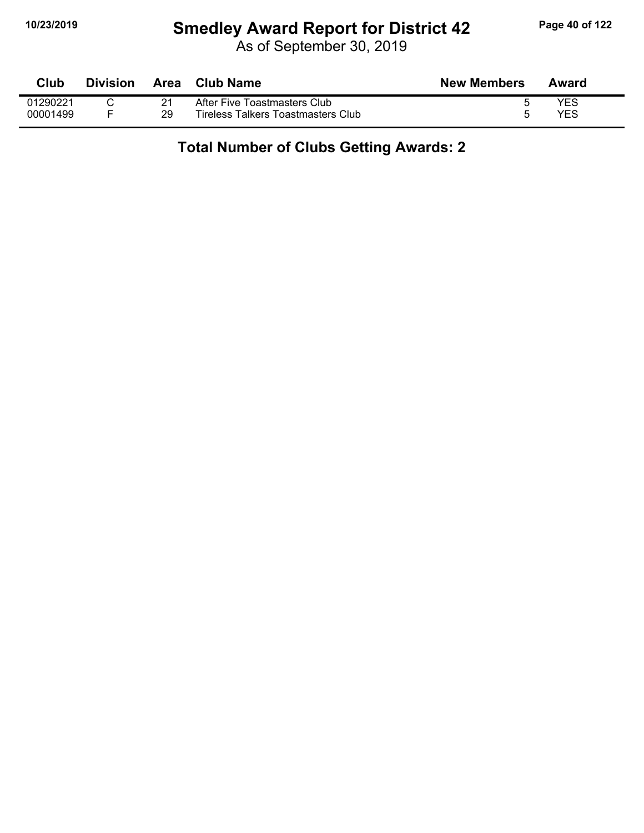#### **10/23/2019 Smedley Award Report for District 42 Page 40 of 122**

As of September 30, 2019

| <b>Club</b> | <b>Division</b> | Area | Club Name                          | <b>New Members</b> | Award      |
|-------------|-----------------|------|------------------------------------|--------------------|------------|
| 01290221    |                 |      | After Five Toastmasters Club       |                    | YES        |
| 00001499    |                 | 29   | Tireless Talkers Toastmasters Club |                    | <b>YES</b> |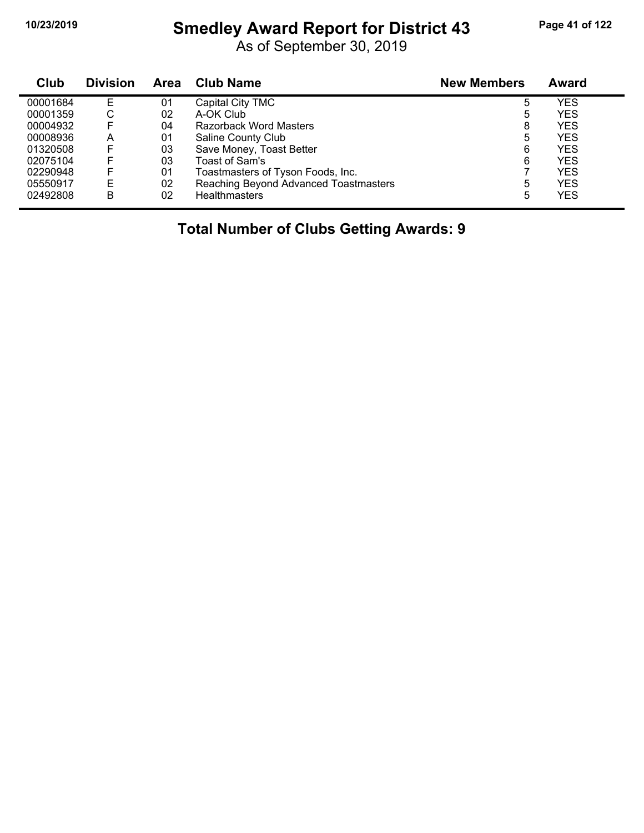# **10/23/2019 Smedley Award Report for District 43 Page 41 of 122**

As of September 30, 2019

| Club     | <b>Division</b> | Area | <b>Club Name</b>                      | <b>New Members</b> | Award      |  |
|----------|-----------------|------|---------------------------------------|--------------------|------------|--|
| 00001684 | Е               | 01   | Capital City TMC                      | 5                  | YES        |  |
| 00001359 | С               | 02   | A-OK Club                             | 5                  | <b>YES</b> |  |
| 00004932 | F               | 04   | Razorback Word Masters                | 8                  | <b>YES</b> |  |
| 00008936 | А               | 01   | Saline County Club                    | 5                  | <b>YES</b> |  |
| 01320508 | F               | 03   | Save Money, Toast Better              | 6                  | <b>YES</b> |  |
| 02075104 | F               | 03   | Toast of Sam's                        | 6                  | <b>YES</b> |  |
| 02290948 | F               | 01   | Toastmasters of Tyson Foods, Inc.     |                    | <b>YES</b> |  |
| 05550917 | E               | 02   | Reaching Beyond Advanced Toastmasters | 5                  | <b>YES</b> |  |
| 02492808 | B               | 02   | <b>Healthmasters</b>                  | 5                  | YES        |  |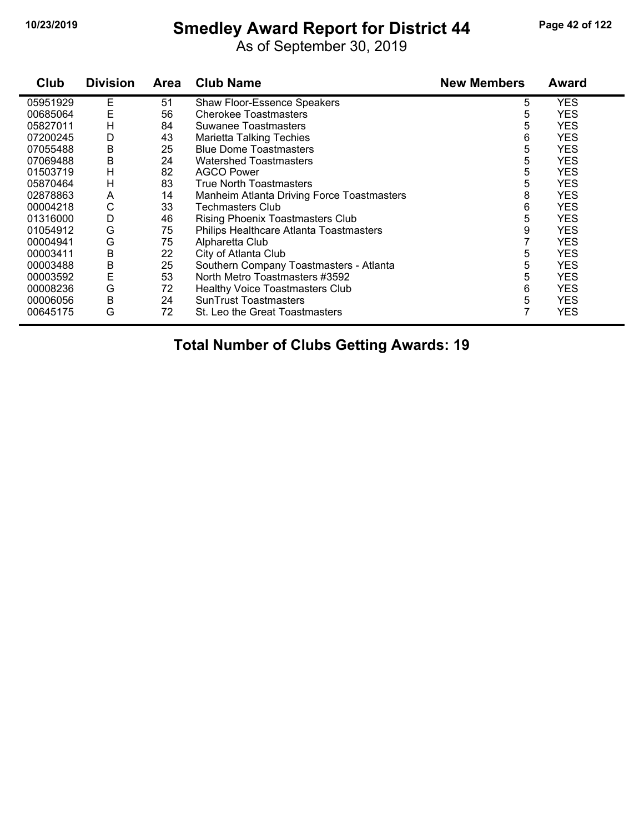#### **10/23/2019 Smedley Award Report for District 44 Page 42 of 122**

As of September 30, 2019

| Club     | <b>Division</b> | Area | <b>Club Name</b>                           | <b>New Members</b> | <b>Award</b> |
|----------|-----------------|------|--------------------------------------------|--------------------|--------------|
| 05951929 | Е               | 51   | <b>Shaw Floor-Essence Speakers</b>         | 5                  | YES          |
| 00685064 | Ε               | 56   | <b>Cherokee Toastmasters</b>               | 5                  | <b>YES</b>   |
| 05827011 | H               | 84   | Suwanee Toastmasters                       | 5                  | YES          |
| 07200245 | D               | 43   | <b>Marietta Talking Techies</b>            | 6                  | YES          |
| 07055488 | B               | 25   | <b>Blue Dome Toastmasters</b>              | 5                  | <b>YES</b>   |
| 07069488 | B               | 24   | <b>Watershed Toastmasters</b>              | 5                  | YES          |
| 01503719 | H               | 82   | <b>AGCO Power</b>                          | 5                  | YES          |
| 05870464 | Н               | 83   | <b>True North Toastmasters</b>             | 5                  | <b>YES</b>   |
| 02878863 | A               | 14   | Manheim Atlanta Driving Force Toastmasters | 8                  | YES          |
| 00004218 | С               | 33   | <b>Techmasters Club</b>                    | 6                  | <b>YES</b>   |
| 01316000 | D               | 46   | <b>Rising Phoenix Toastmasters Club</b>    | 5                  | YES          |
| 01054912 | G               | 75   | Philips Healthcare Atlanta Toastmasters    | 9                  | YES          |
| 00004941 | G               | 75   | Alpharetta Club                            |                    | <b>YES</b>   |
| 00003411 | B               | 22   | City of Atlanta Club                       | 5                  | <b>YES</b>   |
| 00003488 | B               | 25   | Southern Company Toastmasters - Atlanta    | 5                  | YES          |
| 00003592 | E               | 53   | North Metro Toastmasters #3592             | 5                  | <b>YES</b>   |
| 00008236 | G               | 72   | <b>Healthy Voice Toastmasters Club</b>     | 6                  | <b>YES</b>   |
| 00006056 | B               | 24   | <b>SunTrust Toastmasters</b>               | 5                  | YES          |
| 00645175 | G               | 72   | St. Leo the Great Toastmasters             | 7                  | <b>YES</b>   |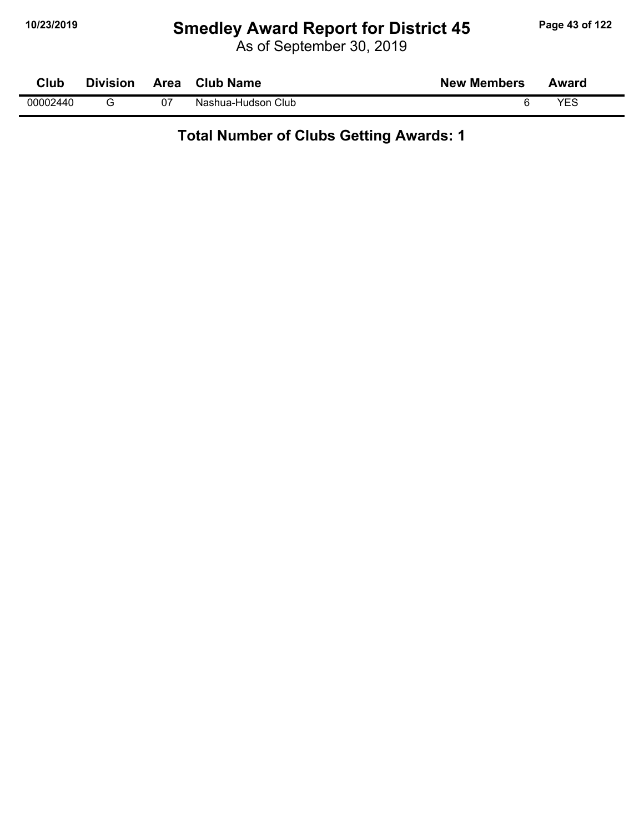# **10/23/2019 Smedley Award Report for District 45 Page 43 of 122**

As of September 30, 2019

| Club     | <b>Division</b> | Area | <b>Club Name</b>      | <b>New Members</b> | Award |  |
|----------|-----------------|------|-----------------------|--------------------|-------|--|
| 00002440 |                 | 07   | Club<br>Nashua-Hudson | ь                  | VES   |  |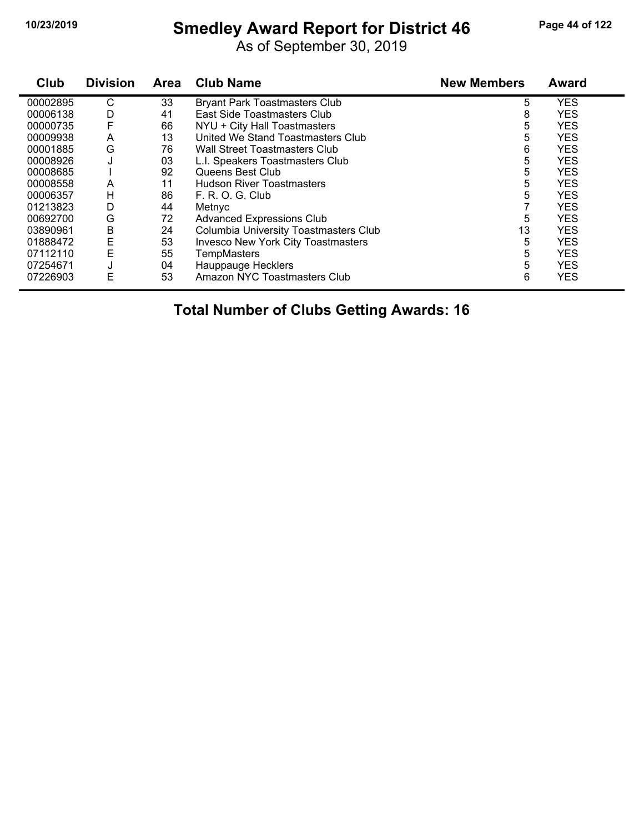# **10/23/2019 Smedley Award Report for District 46 Page 44 of 122**

As of September 30, 2019

| Club     | <b>Division</b> | <b>Area</b> | <b>Club Name</b>                          | <b>New Members</b> | <b>Award</b> |
|----------|-----------------|-------------|-------------------------------------------|--------------------|--------------|
| 00002895 | C               | 33          | <b>Bryant Park Toastmasters Club</b>      | 5                  | <b>YES</b>   |
| 00006138 | D               | 41          | East Side Toastmasters Club               | 8                  | <b>YES</b>   |
| 00000735 |                 | 66          | NYU + City Hall Toastmasters              | 5                  | <b>YES</b>   |
| 00009938 | A               | 13          | United We Stand Toastmasters Club         | 5                  | <b>YES</b>   |
| 00001885 | G               | 76          | Wall Street Toastmasters Club             | 6                  | <b>YES</b>   |
| 00008926 | J               | 03          | L.I. Speakers Toastmasters Club           | 5                  | <b>YES</b>   |
| 00008685 |                 | 92          | Queens Best Club                          | 5                  | <b>YES</b>   |
| 00008558 | A               | 11          | <b>Hudson River Toastmasters</b>          | 5                  | <b>YES</b>   |
| 00006357 | Н               | 86          | F. R. O. G. Club                          | 5                  | <b>YES</b>   |
| 01213823 | D               | 44          | Metnyc                                    |                    | <b>YES</b>   |
| 00692700 | G               | 72          | <b>Advanced Expressions Club</b>          | 5                  | <b>YES</b>   |
| 03890961 | Β               | 24          | Columbia University Toastmasters Club     | 13                 | <b>YES</b>   |
| 01888472 | E               | 53          | <b>Invesco New York City Toastmasters</b> | 5                  | <b>YES</b>   |
| 07112110 | E               | 55          | TempMasters                               | 5                  | <b>YES</b>   |
| 07254671 |                 | 04          | Hauppauge Hecklers                        | 5                  | <b>YES</b>   |
| 07226903 | E               | 53          | Amazon NYC Toastmasters Club              | 6                  | <b>YES</b>   |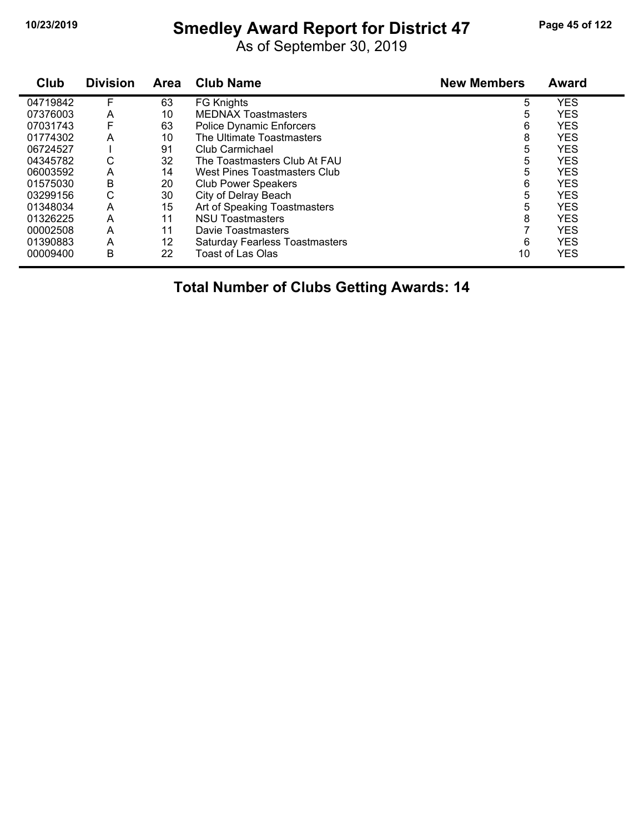# **10/23/2019 Smedley Award Report for District 47 Page 45 of 122**

As of September 30, 2019

| Club     | <b>Division</b> | <b>Area</b> | <b>Club Name</b>                      | <b>New Members</b> | <b>Award</b> |
|----------|-----------------|-------------|---------------------------------------|--------------------|--------------|
| 04719842 | F               | 63          | <b>FG Knights</b>                     | 5                  | <b>YES</b>   |
| 07376003 | A               | 10          | <b>MEDNAX Toastmasters</b>            | 5                  | <b>YES</b>   |
| 07031743 | F               | 63          | <b>Police Dynamic Enforcers</b>       | 6                  | <b>YES</b>   |
| 01774302 | А               | 10          | The Ultimate Toastmasters             | 8                  | <b>YES</b>   |
| 06724527 |                 | 91          | Club Carmichael                       | 5                  | <b>YES</b>   |
| 04345782 | С               | 32          | The Toastmasters Club At FAU          | 5                  | <b>YES</b>   |
| 06003592 | A               | 14          | West Pines Toastmasters Club          | 5                  | <b>YES</b>   |
| 01575030 | B               | 20          | <b>Club Power Speakers</b>            | 6                  | <b>YES</b>   |
| 03299156 | С               | 30          | City of Delray Beach                  | 5                  | <b>YES</b>   |
| 01348034 | A               | 15          | Art of Speaking Toastmasters          | 5                  | <b>YES</b>   |
| 01326225 | А               | 11          | <b>NSU Toastmasters</b>               | 8                  | <b>YES</b>   |
| 00002508 | A               | 11          | Davie Toastmasters                    |                    | <b>YES</b>   |
| 01390883 | A               | 12          | <b>Saturday Fearless Toastmasters</b> | 6                  | <b>YES</b>   |
| 00009400 | B               | 22          | Toast of Las Olas                     | 10                 | <b>YES</b>   |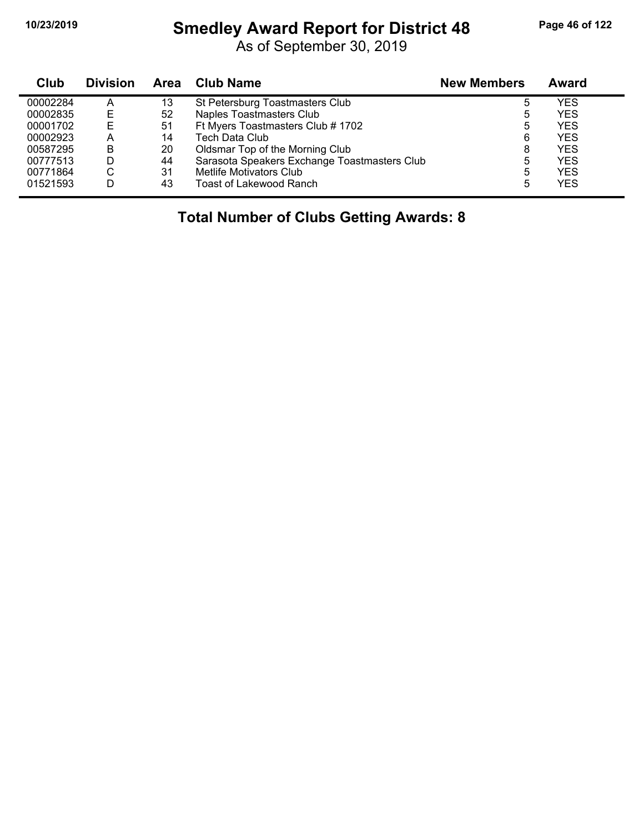#### **10/23/2019 Smedley Award Report for District 48 Page 46 of 122**

As of September 30, 2019

| <b>Club</b> | <b>Division</b> | Area | Club Name                                    | <b>New Members</b> | Award |
|-------------|-----------------|------|----------------------------------------------|--------------------|-------|
| 00002284    | А               | 13   | St Petersburg Toastmasters Club              | 5                  | YES   |
| 00002835    | E               | 52   | <b>Naples Toastmasters Club</b>              | ა                  | YES   |
| 00001702    | E               | 51   | Ft Myers Toastmasters Club # 1702            | 5                  | YES   |
| 00002923    | A               | 14   | <b>Tech Data Club</b>                        | 6                  | YES   |
| 00587295    | B               | 20   | Oldsmar Top of the Morning Club              | 8                  | YES   |
| 00777513    | D               | 44   | Sarasota Speakers Exchange Toastmasters Club | 5                  | YES   |
| 00771864    | С               | 31   | Metlife Motivators Club                      | 5                  | YES   |
| 01521593    | D               | 43   | <b>Toast of Lakewood Ranch</b>               | 5                  | YES   |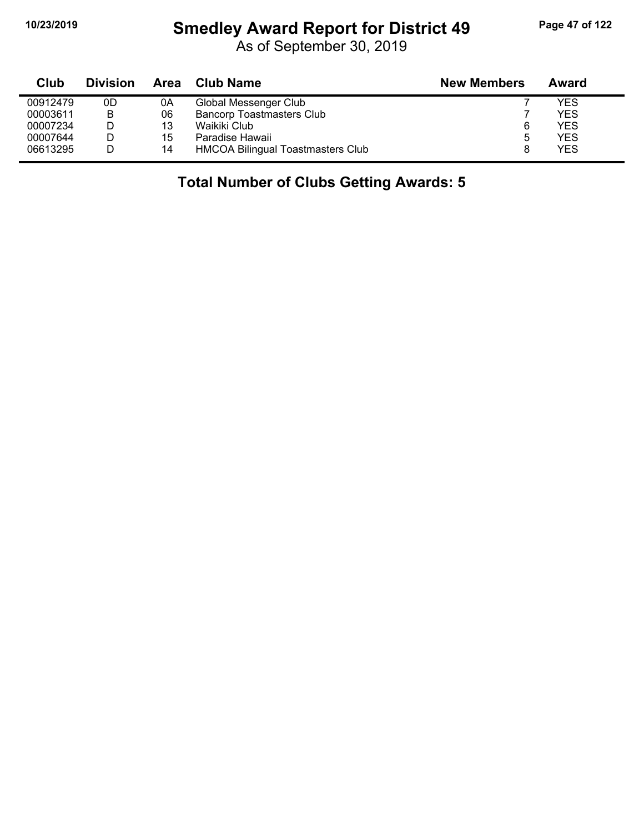# **10/23/2019 Smedley Award Report for District 49 Page 47 of 122**

As of September 30, 2019

| Club     | <b>Division</b> | Area | <b>Club Name</b>                  | <b>New Members</b> | Award      |
|----------|-----------------|------|-----------------------------------|--------------------|------------|
| 00912479 | 0D              | 0A   | Global Messenger Club             |                    | YES        |
| 00003611 | B               | 06   | <b>Bancorp Toastmasters Club</b>  |                    | <b>YES</b> |
| 00007234 |                 | 13   | Waikiki Club                      | 6                  | YES        |
| 00007644 |                 | 15   | Paradise Hawaii                   | ა                  | YES        |
| 06613295 |                 | 14   | HMCOA Bilingual Toastmasters Club |                    | <b>YES</b> |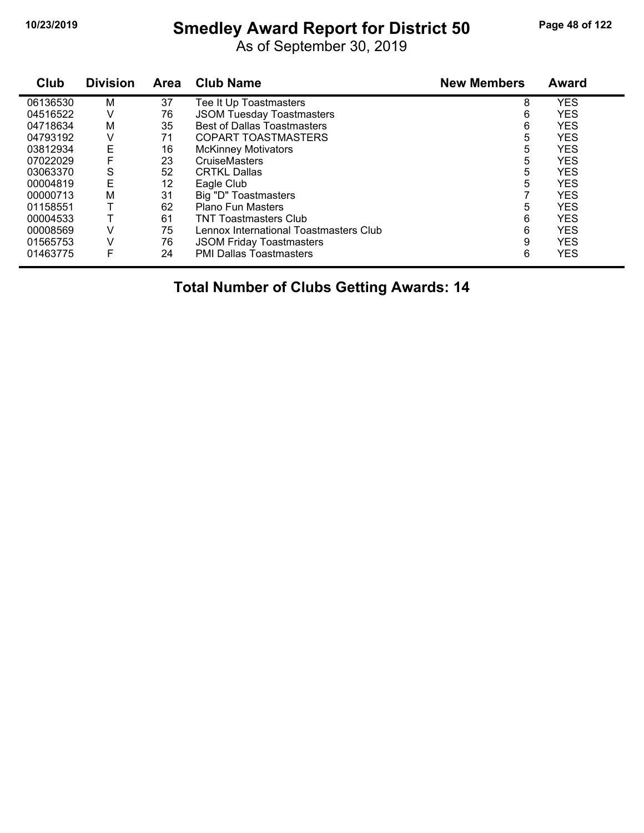# **10/23/2019 Smedley Award Report for District 50 Page 48 of 122**

As of September 30, 2019

| Club     | <b>Division</b> | Area | <b>Club Name</b>                       | <b>New Members</b> | <b>Award</b> |
|----------|-----------------|------|----------------------------------------|--------------------|--------------|
| 06136530 | М               | 37   | Tee It Up Toastmasters                 | 8                  | <b>YES</b>   |
| 04516522 | V               | 76   | <b>JSOM Tuesday Toastmasters</b>       | 6                  | <b>YES</b>   |
| 04718634 | м               | 35   | <b>Best of Dallas Toastmasters</b>     | 6                  | <b>YES</b>   |
| 04793192 | V               | 71   | <b>COPART TOASTMASTERS</b>             | 5                  | <b>YES</b>   |
| 03812934 | Ε               | 16   | <b>McKinney Motivators</b>             | 5                  | <b>YES</b>   |
| 07022029 | F               | 23   | <b>CruiseMasters</b>                   | 5                  | <b>YES</b>   |
| 03063370 | S               | 52   | <b>CRTKL Dallas</b>                    | 5                  | <b>YES</b>   |
| 00004819 | Е               | 12   | Eagle Club                             | 5                  | <b>YES</b>   |
| 00000713 | M               | 31   | Big "D" Toastmasters                   |                    | <b>YES</b>   |
| 01158551 |                 | 62   | <b>Plano Fun Masters</b>               | 5                  | <b>YES</b>   |
| 00004533 |                 | 61   | <b>TNT Toastmasters Club</b>           | 6                  | <b>YES</b>   |
| 00008569 | V               | 75   | Lennox International Toastmasters Club | 6                  | <b>YES</b>   |
| 01565753 | v               | 76   | <b>JSOM Friday Toastmasters</b>        | 9                  | <b>YES</b>   |
| 01463775 | F               | 24   | <b>PMI Dallas Toastmasters</b>         | 6                  | <b>YES</b>   |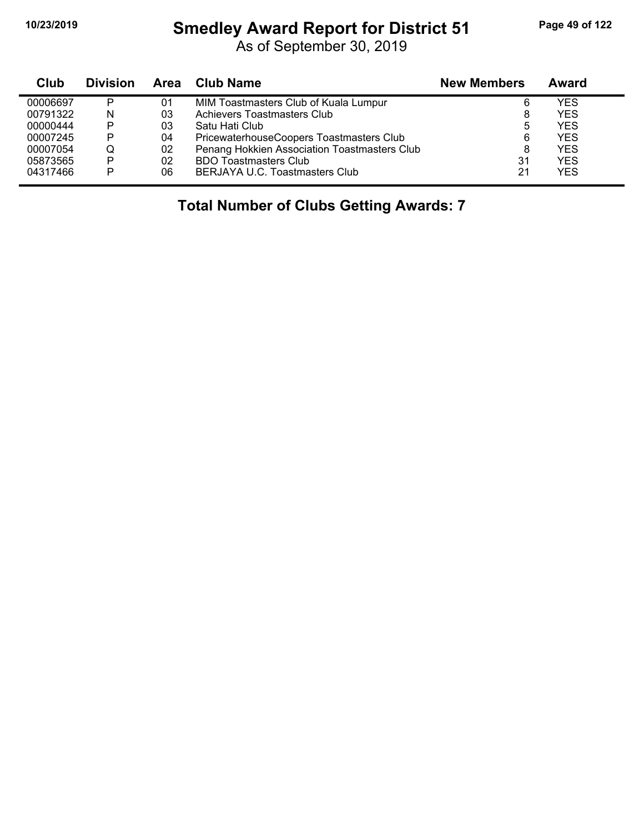# **10/23/2019 Smedley Award Report for District 51 Page 49 of 122**

As of September 30, 2019

| Club     | <b>Division</b> | Area | <b>Club Name</b>                             | <b>New Members</b> | Award      |
|----------|-----------------|------|----------------------------------------------|--------------------|------------|
| 00006697 | P               | 01   | MIM Toastmasters Club of Kuala Lumpur        | 6                  | YES        |
| 00791322 | N               | 03   | Achievers Toastmasters Club                  | 8                  | YES        |
| 00000444 | P               | 03   | Satu Hati Club                               | 5                  | YES        |
| 00007245 | P               | 04   | PricewaterhouseCoopers Toastmasters Club     | 6                  | YES        |
| 00007054 |                 | 02   | Penang Hokkien Association Toastmasters Club | 8                  | <b>YES</b> |
| 05873565 | P               | 02   | <b>BDO Toastmasters Club</b>                 | 31                 | YES        |
| 04317466 | P               | 06   | BERJAYA U.C. Toastmasters Club               | 21                 | YES        |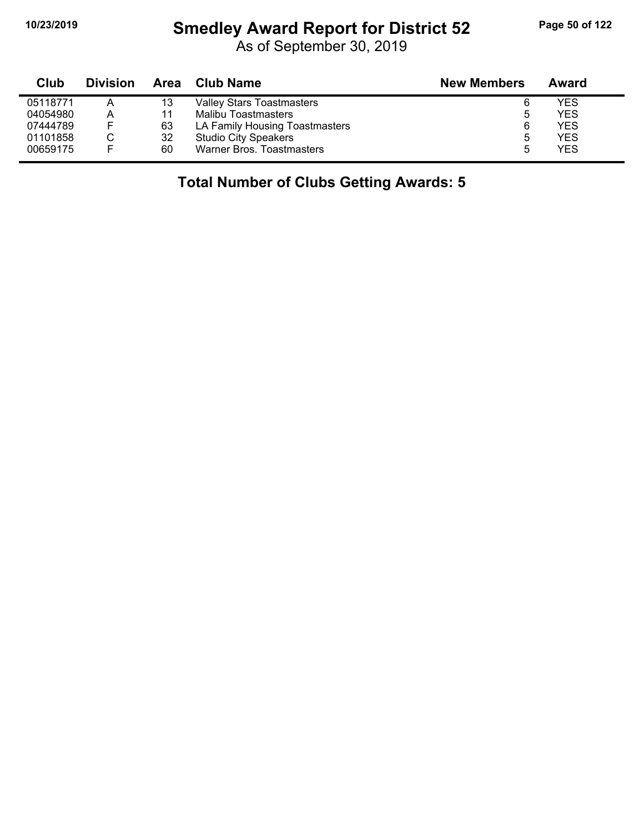# **10/23/2019 Smedley Award Report for District 52 Page 50 of 122**

As of September 30, 2019

| Club     | <b>Division</b> |    | Area Club Name                   | <b>New Members</b> | Award |
|----------|-----------------|----|----------------------------------|--------------------|-------|
| 05118771 | Α               | 13 | <b>Valley Stars Toastmasters</b> | 6                  | YES   |
| 04054980 | A               | 11 | Malibu Toastmasters              | 5                  | YES   |
| 07444789 | E               | 63 | LA Family Housing Toastmasters   | 6                  | YES   |
| 01101858 |                 | 32 | <b>Studio City Speakers</b>      | 5                  | YES   |
| 00659175 | F               | 60 | Warner Bros. Toastmasters        | 5                  | YES   |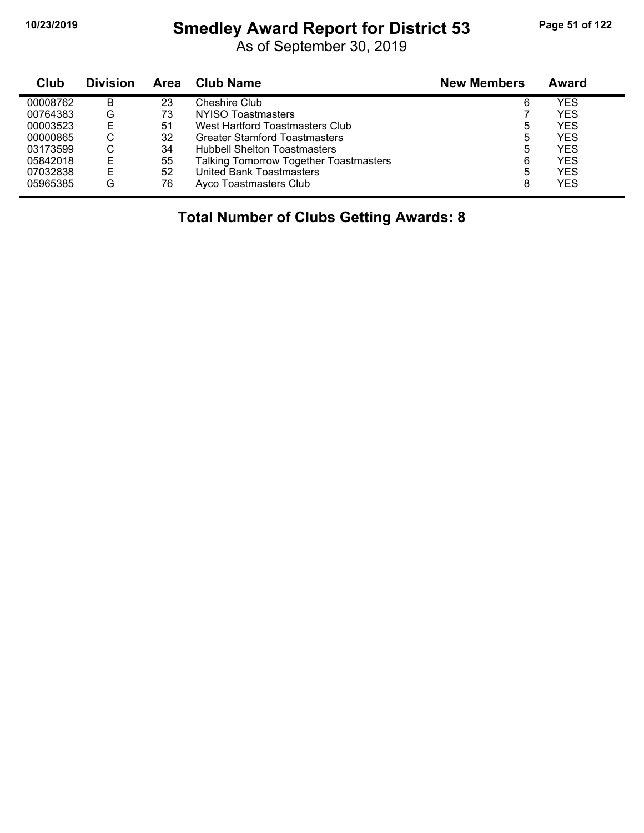#### **10/23/2019 Smedley Award Report for District 53 Page 51 of 122**

As of September 30, 2019

| Club     | <b>Division</b> | Area | <b>Club Name</b>                              | <b>New Members</b> | Award      |
|----------|-----------------|------|-----------------------------------------------|--------------------|------------|
| 00008762 | В               | 23   | Cheshire Club                                 | 6                  | YES        |
| 00764383 | G               | 73   | NYISO Toastmasters                            |                    | <b>YES</b> |
| 00003523 | E               | 51   | West Hartford Toastmasters Club               | 5                  | <b>YES</b> |
| 00000865 | С               | 32   | <b>Greater Stamford Toastmasters</b>          | 5                  | <b>YES</b> |
| 03173599 | С               | 34   | <b>Hubbell Shelton Toastmasters</b>           | 5                  | YES        |
| 05842018 |                 | 55   | <b>Talking Tomorrow Together Toastmasters</b> | 6                  | <b>YES</b> |
| 07032838 |                 | 52   | United Bank Toastmasters                      | 5                  | <b>YES</b> |
| 05965385 | G               | 76   | Ayco Toastmasters Club                        | 8                  | <b>YES</b> |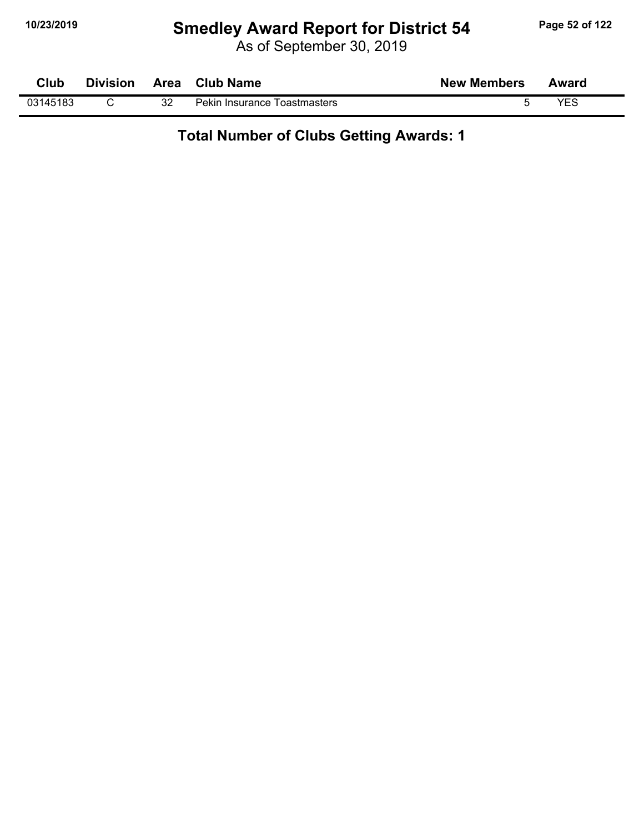# **10/23/2019 Smedley Award Report for District 54 Page 52 of 122**

As of September 30, 2019

| Club     | <b>Division</b> | Area | <b>Club Name</b>             | <b>New Members</b> | Award |  |
|----------|-----------------|------|------------------------------|--------------------|-------|--|
| 03145183 |                 | 32   | Pekin Insurance Toastmasters |                    | YES   |  |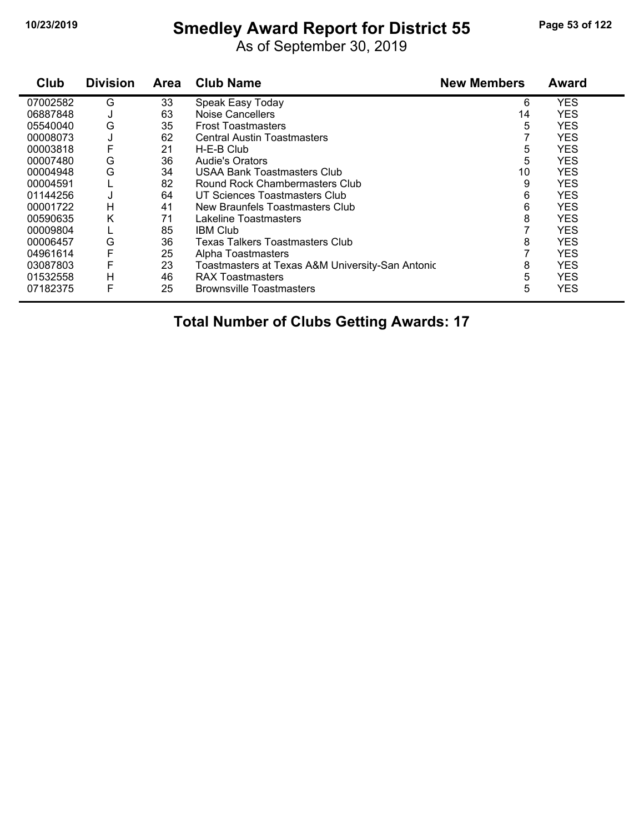#### **10/23/2019 Smedley Award Report for District 55 Page 53 of 122**

As of September 30, 2019

| Club     | <b>Division</b> | <b>Area</b> | <b>Club Name</b>                                 | <b>New Members</b> | <b>Award</b> |
|----------|-----------------|-------------|--------------------------------------------------|--------------------|--------------|
| 07002582 | G               | 33          | Speak Easy Today                                 | 6                  | <b>YES</b>   |
| 06887848 | J               | 63          | <b>Noise Cancellers</b>                          | 14                 | <b>YES</b>   |
| 05540040 | G               | 35          | <b>Frost Toastmasters</b>                        | 5                  | <b>YES</b>   |
| 00008073 | J               | 62          | <b>Central Austin Toastmasters</b>               |                    | <b>YES</b>   |
| 00003818 |                 | 21          | H-E-B Club                                       | 5                  | <b>YES</b>   |
| 00007480 | G               | 36          | <b>Audie's Orators</b>                           | 5                  | <b>YES</b>   |
| 00004948 | G               | 34          | USAA Bank Toastmasters Club                      | 10                 | <b>YES</b>   |
| 00004591 |                 | 82          | Round Rock Chambermasters Club                   | 9                  | <b>YES</b>   |
| 01144256 | J               | 64          | UT Sciences Toastmasters Club                    | 6                  | <b>YES</b>   |
| 00001722 | н               | 41          | New Braunfels Toastmasters Club                  | 6                  | <b>YES</b>   |
| 00590635 | Κ               | 71          | Lakeline Toastmasters                            | 8                  | <b>YES</b>   |
| 00009804 |                 | 85          | <b>IBM Club</b>                                  |                    | <b>YES</b>   |
| 00006457 | G               | 36          | Texas Talkers Toastmasters Club                  | 8                  | <b>YES</b>   |
| 04961614 | F               | 25          | Alpha Toastmasters                               |                    | <b>YES</b>   |
| 03087803 |                 | 23          | Toastmasters at Texas A&M University-San Antonic | 8                  | <b>YES</b>   |
| 01532558 | Н               | 46          | <b>RAX Toastmasters</b>                          | 5                  | <b>YES</b>   |
| 07182375 | F               | 25          | <b>Brownsville Toastmasters</b>                  | 5                  | <b>YES</b>   |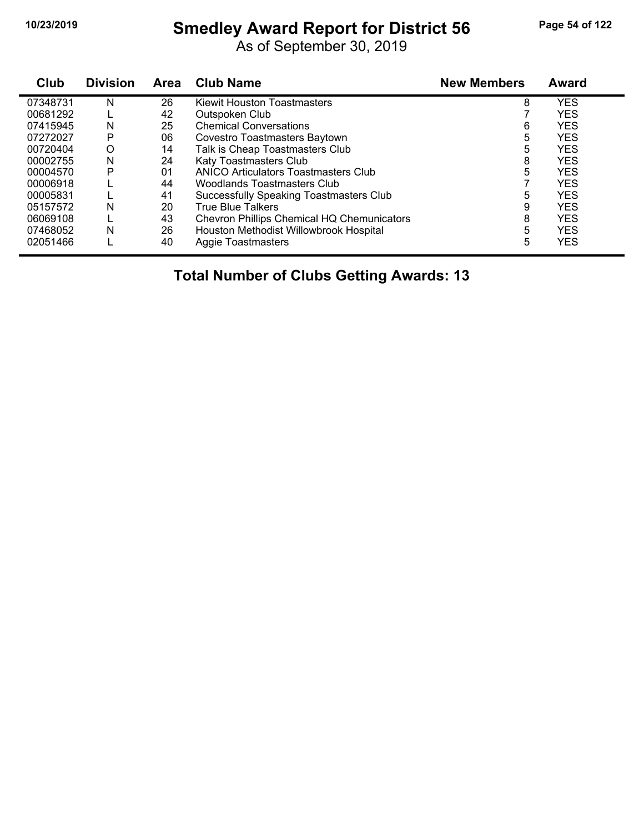# **10/23/2019 Smedley Award Report for District 56 Page 54 of 122**

As of September 30, 2019

| Club     | <b>Division</b> | Area | <b>Club Name</b>                               | <b>New Members</b> | <b>Award</b> |
|----------|-----------------|------|------------------------------------------------|--------------------|--------------|
| 07348731 | N               | 26   | <b>Kiewit Houston Toastmasters</b>             | 8                  | <b>YES</b>   |
| 00681292 |                 | 42   | Outspoken Club                                 |                    | <b>YES</b>   |
| 07415945 | N               | 25   | <b>Chemical Conversations</b>                  | 6                  | <b>YES</b>   |
| 07272027 | P               | 06   | Covestro Toastmasters Baytown                  | 5                  | <b>YES</b>   |
| 00720404 | O               | 14   | Talk is Cheap Toastmasters Club                | 5                  | <b>YES</b>   |
| 00002755 | N               | 24   | Katy Toastmasters Club                         | 8                  | <b>YES</b>   |
| 00004570 | Р               | 01   | ANICO Articulators Toastmasters Club           | 5                  | <b>YES</b>   |
| 00006918 |                 | 44   | Woodlands Toastmasters Club                    |                    | <b>YES</b>   |
| 00005831 |                 | 41   | <b>Successfully Speaking Toastmasters Club</b> | 5                  | <b>YES</b>   |
| 05157572 | N               | 20   | <b>True Blue Talkers</b>                       | 9                  | <b>YES</b>   |
| 06069108 |                 | 43   | Chevron Phillips Chemical HQ Chemunicators     | 8                  | <b>YES</b>   |
| 07468052 | N               | 26   | Houston Methodist Willowbrook Hospital         | 5                  | <b>YES</b>   |
| 02051466 |                 | 40   | <b>Aggie Toastmasters</b>                      | 5                  | <b>YES</b>   |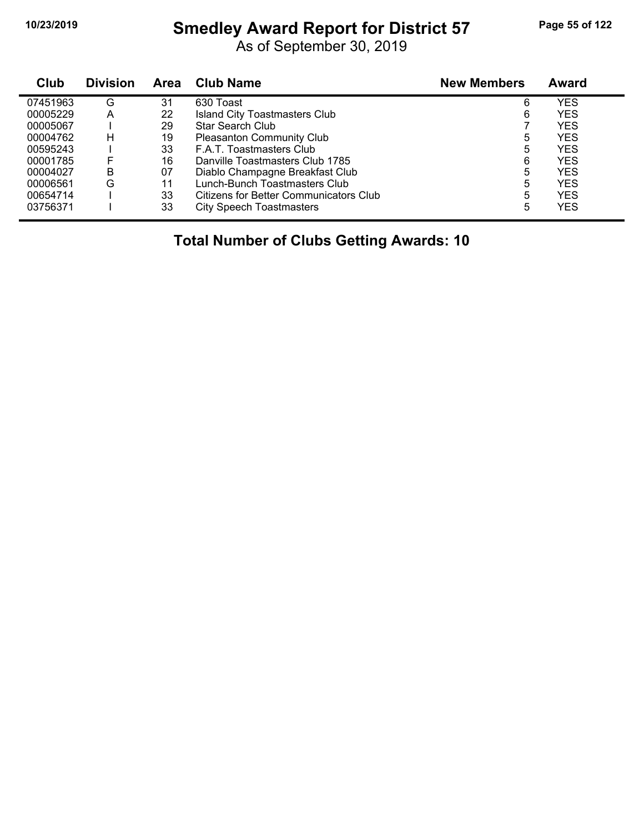#### **10/23/2019 Smedley Award Report for District 57 Page 55 of 122**

As of September 30, 2019

| Club     | <b>Division</b> | Area | <b>Club Name</b>                              | <b>New Members</b> | Award      |  |
|----------|-----------------|------|-----------------------------------------------|--------------------|------------|--|
| 07451963 | G               | 31   | 630 Toast                                     | 6                  | YES        |  |
| 00005229 | A               | 22   | Island City Toastmasters Club                 | 6                  | YES        |  |
| 00005067 |                 | 29   | <b>Star Search Club</b>                       |                    | YES        |  |
| 00004762 | н               | 19   | <b>Pleasanton Community Club</b>              | 5                  | YES        |  |
| 00595243 |                 | 33   | F.A.T. Toastmasters Club                      | 5                  | YES        |  |
| 00001785 | F               | 16   | Danville Toastmasters Club 1785               | 6                  | YES        |  |
| 00004027 | В               | 07   | Diablo Champagne Breakfast Club               | 5                  | YES        |  |
| 00006561 | G               | 11   | Lunch-Bunch Toastmasters Club                 | 5                  | <b>YES</b> |  |
| 00654714 |                 | 33   | <b>Citizens for Better Communicators Club</b> | 5                  | YES        |  |
| 03756371 |                 | 33   | <b>City Speech Toastmasters</b>               | 5                  | YES        |  |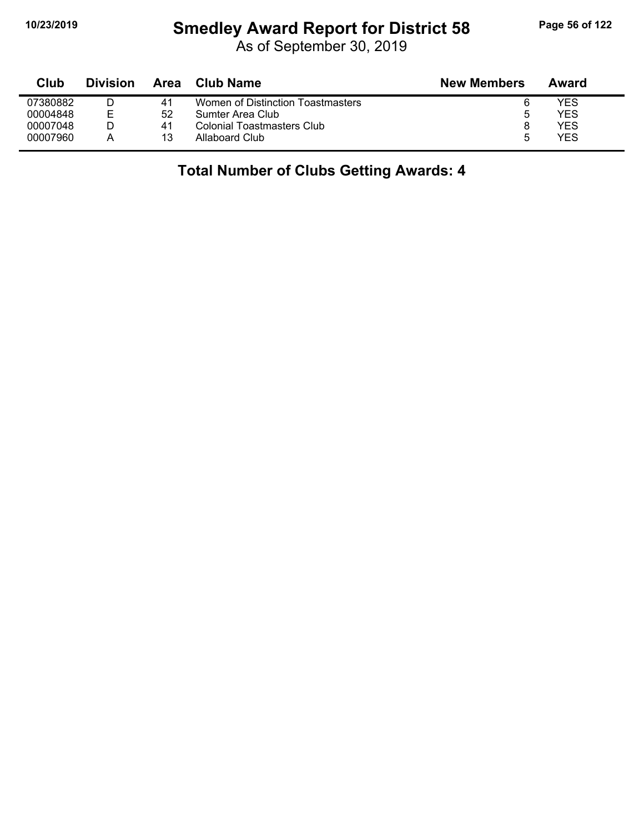#### **10/23/2019 Smedley Award Report for District 58 Page 56 of 122**

As of September 30, 2019

| Club     | <b>Division</b> | Area | <b>Club Name</b>                  | <b>New Members</b> | Award |
|----------|-----------------|------|-----------------------------------|--------------------|-------|
| 07380882 |                 | 41   | Women of Distinction Toastmasters |                    | YES   |
| 00004848 | F               | 52   | Sumter Area Club                  | 5                  | YES   |
| 00007048 |                 | 41   | Colonial Toastmasters Club        |                    | YES   |
| 00007960 | A               | 13   | Allaboard Club                    | 5                  | YES   |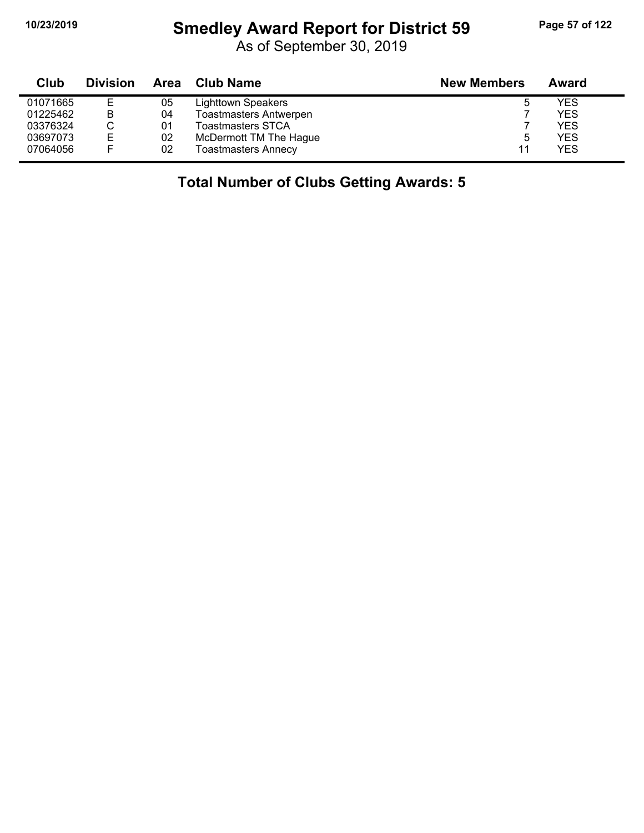# **10/23/2019 Smedley Award Report for District 59 Page 57 of 122**

As of September 30, 2019

| Club     | <b>Division</b> | Area | <b>Club Name</b>              | <b>New Members</b> | Award      |
|----------|-----------------|------|-------------------------------|--------------------|------------|
| 01071665 | Е               | 05   | Lighttown Speakers            | ხ                  | <b>YES</b> |
| 01225462 | B               | 04   | <b>Toastmasters Antwerpen</b> |                    | <b>YES</b> |
| 03376324 |                 | 01   | <b>Toastmasters STCA</b>      |                    | <b>YES</b> |
| 03697073 | Е               | 02   | McDermott TM The Hague        | b                  | <b>YES</b> |
| 07064056 | F               | 02   | <b>Toastmasters Annecy</b>    | 11                 | YES        |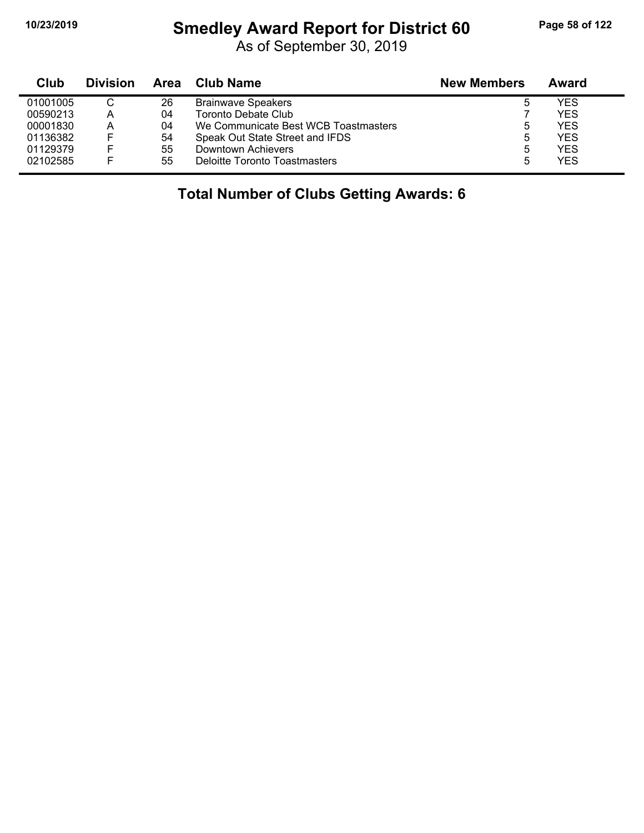#### **10/23/2019 Smedley Award Report for District 60 Page 58 of 122**

As of September 30, 2019

| Club     | <b>Division</b> | Area | Club Name                            | <b>New Members</b> | Award |
|----------|-----------------|------|--------------------------------------|--------------------|-------|
| 01001005 | ◡               | 26   | <b>Brainwave Speakers</b>            | b                  | YES   |
| 00590213 | А               | 04   | Toronto Debate Club                  |                    | YES   |
| 00001830 | А               | 04   | We Communicate Best WCB Toastmasters | ა                  | YES   |
| 01136382 |                 | 54   | Speak Out State Street and IFDS      | ხ                  | YES   |
| 01129379 |                 | 55   | Downtown Achievers                   | 5                  | YES   |
| 02102585 |                 | 55   | Deloitte Toronto Toastmasters        | 5                  | YES   |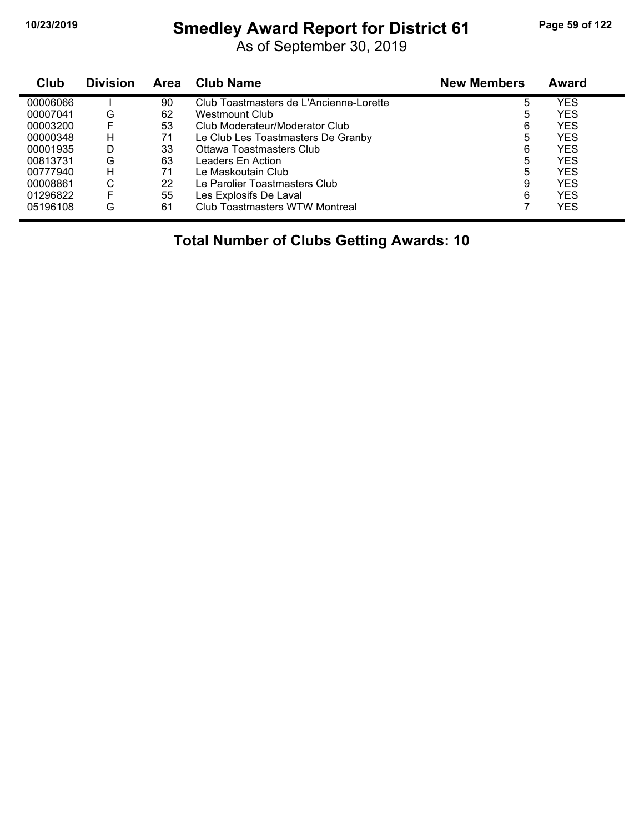#### **10/23/2019 Smedley Award Report for District 61 Page 59 of 122**

As of September 30, 2019

| <b>Club</b> | <b>Division</b> | <b>Area</b> | <b>Club Name</b>                        | <b>New Members</b> | Award      |  |
|-------------|-----------------|-------------|-----------------------------------------|--------------------|------------|--|
| 00006066    |                 | 90          | Club Toastmasters de L'Ancienne-Lorette | 5                  | YES        |  |
| 00007041    | G               | 62          | Westmount Club                          | 5                  | <b>YES</b> |  |
| 00003200    | F               | 53          | Club Moderateur/Moderator Club          | 6                  | <b>YES</b> |  |
| 00000348    | н               | 71          | Le Club Les Toastmasters De Granby      | 5                  | <b>YES</b> |  |
| 00001935    | D               | 33          | Ottawa Toastmasters Club                | 6                  | <b>YES</b> |  |
| 00813731    | G               | 63          | Leaders En Action                       | 5                  | <b>YES</b> |  |
| 00777940    | н               | 71          | Le Maskoutain Club                      | 5                  | <b>YES</b> |  |
| 00008861    | С               | 22          | Le Parolier Toastmasters Club           | 9                  | <b>YES</b> |  |
| 01296822    | F               | 55          | Les Explosifs De Laval                  | 6                  | <b>YES</b> |  |
| 05196108    | G               | 61          | Club Toastmasters WTW Montreal          |                    | YES        |  |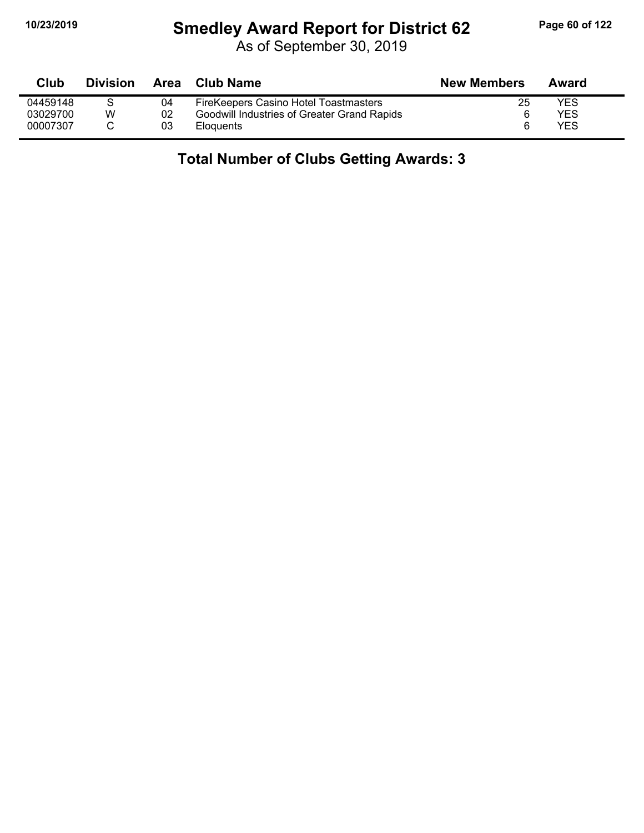# **10/23/2019 Smedley Award Report for District 62 Page 60 of 122**

As of September 30, 2019

| Club     | <b>Division</b> | Area | <b>Club Name</b>                            | <b>New Members</b> | Award      |
|----------|-----------------|------|---------------------------------------------|--------------------|------------|
| 04459148 |                 | 04   | FireKeepers Casino Hotel Toastmasters       | 25                 | YES        |
| 03029700 | W               | 02   | Goodwill Industries of Greater Grand Rapids | 6                  | YES        |
| 00007307 |                 | 03   | <b>Eloquents</b>                            | 6                  | <b>YES</b> |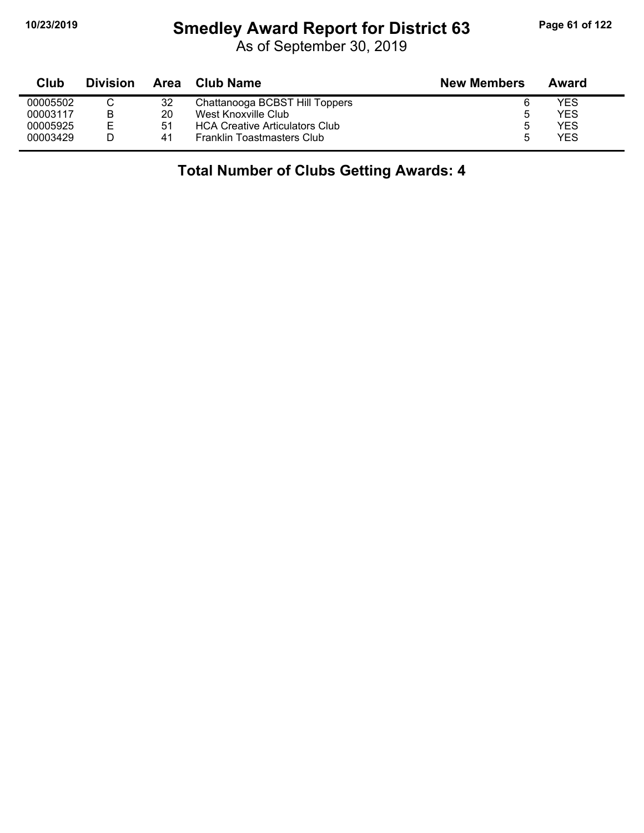#### **10/23/2019 Smedley Award Report for District 63 Page 61 of 122**

| Club     | <b>Division</b> | Area | Club Name                             | <b>New Members</b> | Award |
|----------|-----------------|------|---------------------------------------|--------------------|-------|
| 00005502 |                 | 32   | Chattanooga BCBST Hill Toppers        |                    | YES   |
| 00003117 | B               | 20   | West Knoxville Club                   | ა                  | YES   |
| 00005925 | E               | 51   | <b>HCA Creative Articulators Club</b> | 5                  | YES   |
| 00003429 |                 | 41   | <b>Franklin Toastmasters Club</b>     | 5                  | YES   |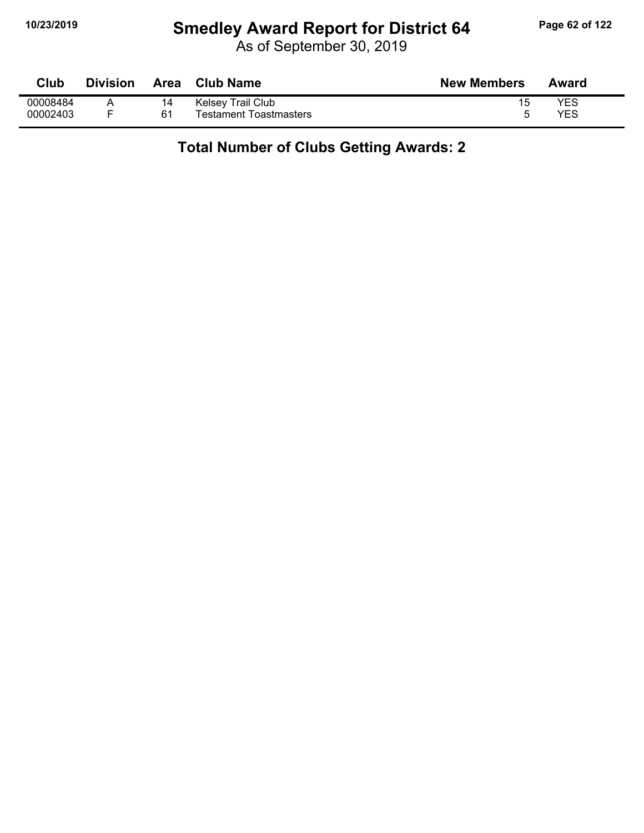# **10/23/2019 Smedley Award Report for District 64 Page 62 of 122**

As of September 30, 2019

| Club     | Division | <b>Area</b> | <b>Club Name</b>       | <b>New Members</b> | Award |
|----------|----------|-------------|------------------------|--------------------|-------|
| 00008484 |          |             | Kelsey Trail Club      | 15                 | YES   |
| 00002403 |          | 61          | Testament Toastmasters |                    | YES   |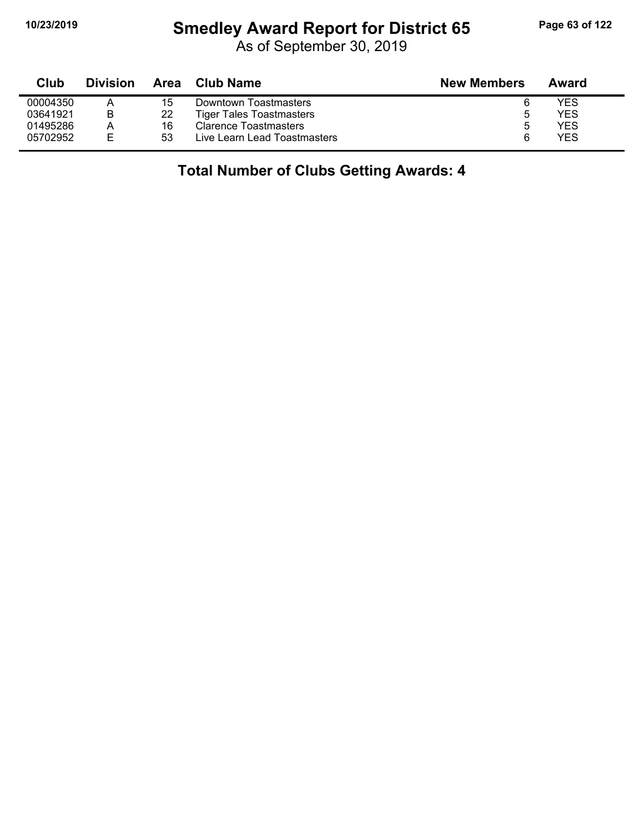#### **10/23/2019 Smedley Award Report for District 65 Page 63 of 122**

As of September 30, 2019

| Club     | <b>Division</b> | Area | Club Name                       | <b>New Members</b> | Award |  |
|----------|-----------------|------|---------------------------------|--------------------|-------|--|
| 00004350 |                 | 15   | Downtown Toastmasters           |                    | YES   |  |
| 03641921 | В               | 22   | <b>Tiger Tales Toastmasters</b> | 5                  | YES   |  |
| 01495286 | Α               | 16   | Clarence Toastmasters           | b                  | YES   |  |
| 05702952 | E.              | 53   | Live Learn Lead Toastmasters    |                    | YES   |  |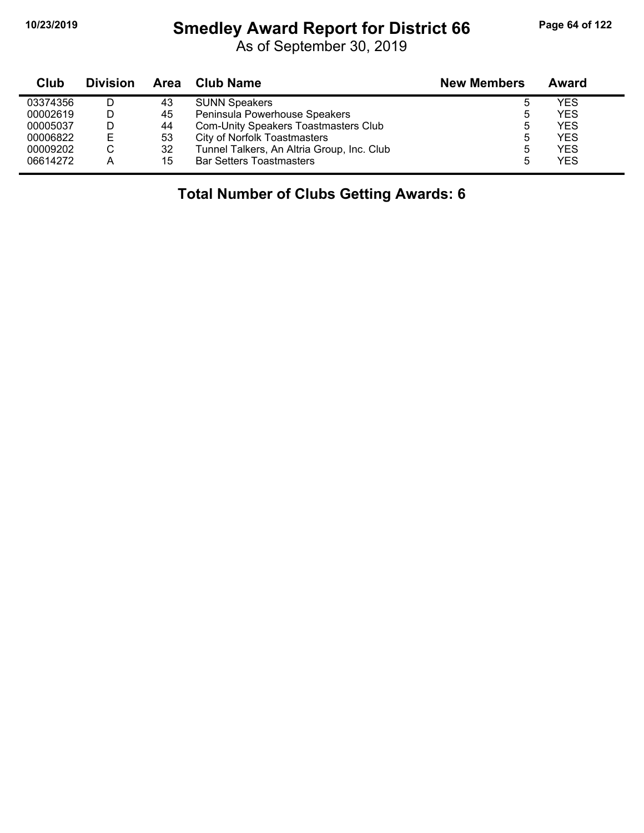#### **10/23/2019 Smedley Award Report for District 66 Page 64 of 122**

As of September 30, 2019

| Club     | <b>Division</b> |    | Area Club Name                             | <b>New Members</b> | Award |
|----------|-----------------|----|--------------------------------------------|--------------------|-------|
| 03374356 | D               | 43 | <b>SUNN Speakers</b>                       | b                  | YES   |
| 00002619 | D               | 45 | Peninsula Powerhouse Speakers              | 5                  | YES   |
| 00005037 | D               | 44 | Com-Unity Speakers Toastmasters Club       | 5                  | YES   |
| 00006822 | Е               | 53 | <b>City of Norfolk Toastmasters</b>        | 5                  | YES   |
| 00009202 | C               | 32 | Tunnel Talkers, An Altria Group, Inc. Club | 5                  | YES   |
| 06614272 | А               | 15 | <b>Bar Setters Toastmasters</b>            | 5                  | YES   |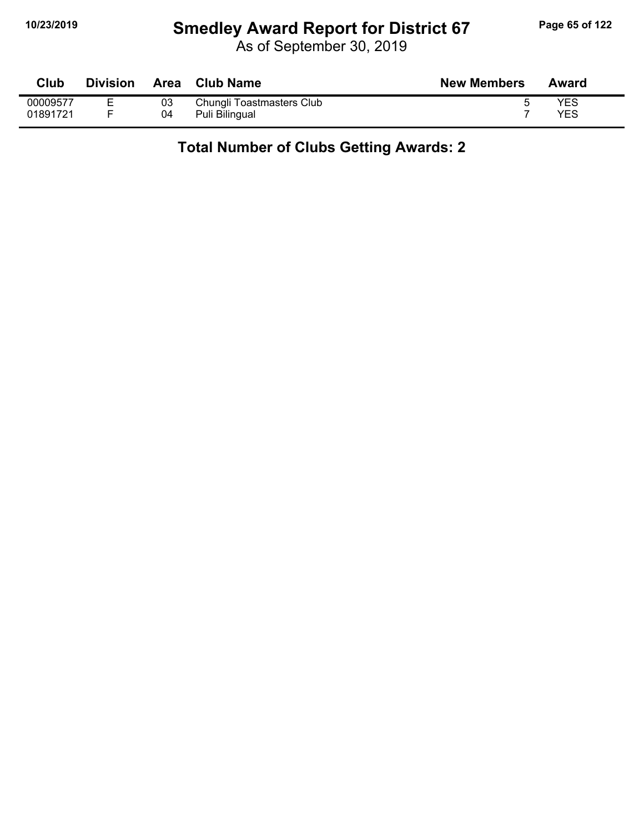# **10/23/2019 Smedley Award Report for District 67 Page 65 of 122**

As of September 30, 2019

| Club     | <b>Division</b> |    | Area Club Name            | <b>New Members</b> | Award |
|----------|-----------------|----|---------------------------|--------------------|-------|
| 00009577 |                 | 03 | Chungli Toastmasters Club |                    | YES   |
| 01891721 |                 | 04 | Puli Bilingual            |                    | YES   |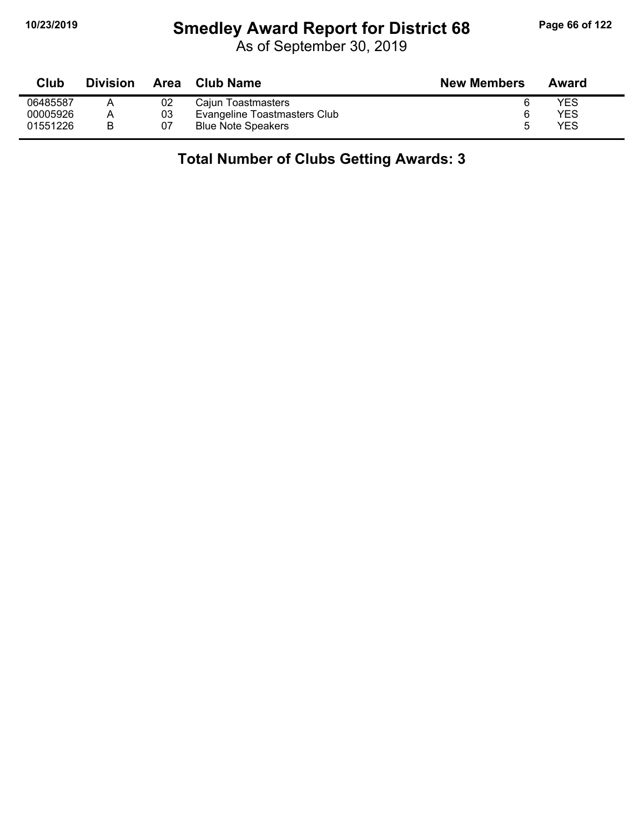# **10/23/2019 Smedley Award Report for District 68 Page 66 of 122**

As of September 30, 2019

| Club     | <b>Division</b> | Area | Club Name                    | <b>New Members</b> | Award |
|----------|-----------------|------|------------------------------|--------------------|-------|
| 06485587 |                 | 02   | Cajun Toastmasters           |                    | YES   |
| 00005926 |                 | 03   | Evangeline Toastmasters Club |                    | YES   |
| 01551226 |                 | 07   | <b>Blue Note Speakers</b>    |                    | YES   |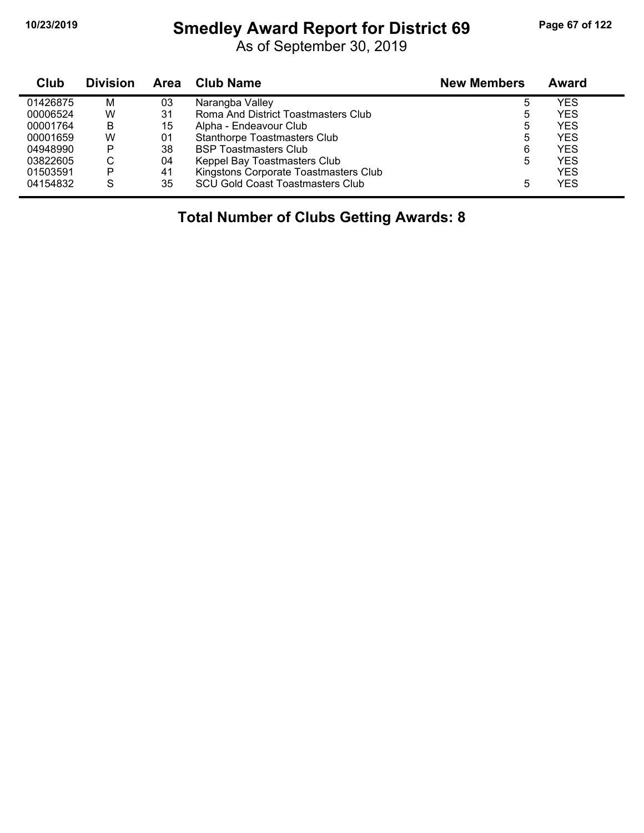#### **10/23/2019 Smedley Award Report for District 69 Page 67 of 122**

As of September 30, 2019

| Club     | <b>Division</b> | Area | <b>Club Name</b>                        | <b>New Members</b> | Award      |
|----------|-----------------|------|-----------------------------------------|--------------------|------------|
| 01426875 | M               | 03   | Narangba Valley                         | 5                  | YES        |
| 00006524 | W               | 31   | Roma And District Toastmasters Club     | 5                  | <b>YES</b> |
| 00001764 | B               | 15   | Alpha - Endeavour Club                  | 5                  | <b>YES</b> |
| 00001659 | W               | 01   | <b>Stanthorpe Toastmasters Club</b>     | 5                  | <b>YES</b> |
| 04948990 | P               | 38   | <b>BSP Toastmasters Club</b>            | 6                  | <b>YES</b> |
| 03822605 | С               | 04   | Keppel Bay Toastmasters Club            | 5                  | YES        |
| 01503591 | P               | 41   | Kingstons Corporate Toastmasters Club   |                    | <b>YES</b> |
| 04154832 | S               | 35   | <b>SCU Gold Coast Toastmasters Club</b> | 5                  | YES        |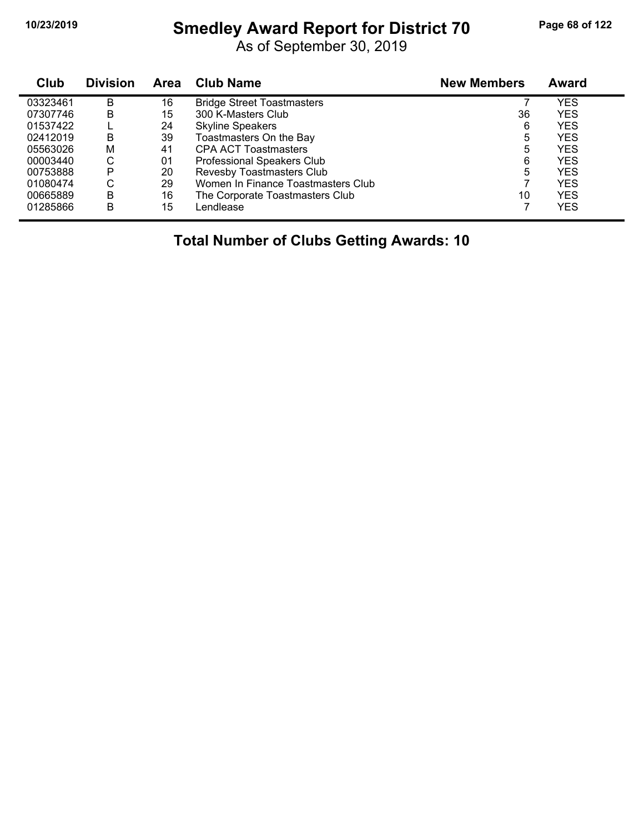#### **10/23/2019 Smedley Award Report for District 70 Page 68 of 122**

As of September 30, 2019

| Club     | <b>Division</b> | <b>Area</b> | <b>Club Name</b>                   | <b>New Members</b> | Award      |
|----------|-----------------|-------------|------------------------------------|--------------------|------------|
| 03323461 | B               | 16          | <b>Bridge Street Toastmasters</b>  |                    | YES        |
| 07307746 | B               | 15          | 300 K-Masters Club                 | 36                 | <b>YES</b> |
| 01537422 |                 | 24          | <b>Skyline Speakers</b>            | 6                  | <b>YES</b> |
| 02412019 | B               | 39          | Toastmasters On the Bay            | 5                  | <b>YES</b> |
| 05563026 | M               | 41          | <b>CPA ACT Toastmasters</b>        | 5                  | <b>YES</b> |
| 00003440 | С               | 01          | <b>Professional Speakers Club</b>  | 6                  | <b>YES</b> |
| 00753888 | P               | 20          | Revesby Toastmasters Club          | 5                  | <b>YES</b> |
| 01080474 | С               | 29          | Women In Finance Toastmasters Club |                    | <b>YES</b> |
| 00665889 | В               | 16          | The Corporate Toastmasters Club    | 10                 | <b>YES</b> |
| 01285866 | B               | 15          | Lendlease                          |                    | <b>YES</b> |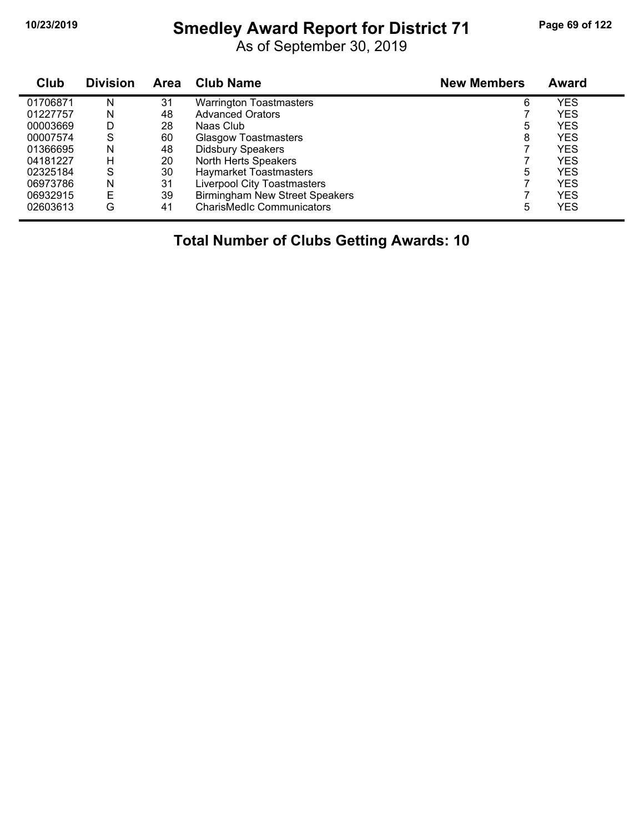#### **10/23/2019 Smedley Award Report for District 71 Page 69 of 122**

As of September 30, 2019

| Club     | <b>Division</b> | Area | <b>Club Name</b>                      | <b>New Members</b> | Award      |  |
|----------|-----------------|------|---------------------------------------|--------------------|------------|--|
| 01706871 | N               | 31   | <b>Warrington Toastmasters</b>        | 6                  | YES        |  |
| 01227757 | N               | 48   | <b>Advanced Orators</b>               |                    | YES        |  |
| 00003669 | D               | 28   | Naas Club                             | 5                  | YES        |  |
| 00007574 | S               | 60   | <b>Glasgow Toastmasters</b>           | 8                  | YES        |  |
| 01366695 | N               | 48   | <b>Didsbury Speakers</b>              |                    | <b>YES</b> |  |
| 04181227 | н               | 20   | North Herts Speakers                  |                    | <b>YES</b> |  |
| 02325184 | S               | 30   | <b>Haymarket Toastmasters</b>         | 5                  | YES        |  |
| 06973786 | N               | 31   | <b>Liverpool City Toastmasters</b>    |                    | YES        |  |
| 06932915 | Е               | 39   | <b>Birmingham New Street Speakers</b> |                    | YES        |  |
| 02603613 | G               | 41   | <b>CharisMedIc Communicators</b>      | 5                  | YES        |  |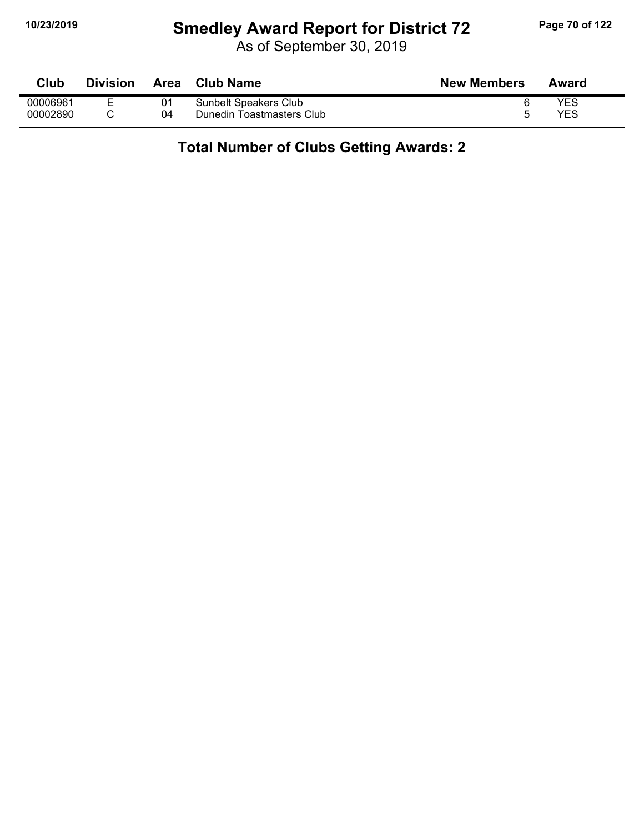# **10/23/2019 Smedley Award Report for District 72 Page 70 of 122**

As of September 30, 2019

| Club     | <b>Division</b> | Area | <b>Club Name</b>          | <b>New Members</b> | Award |
|----------|-----------------|------|---------------------------|--------------------|-------|
| 00006961 | -               |      | Sunbelt Speakers Club     |                    | YES   |
| 00002890 |                 | 04   | Dunedin Toastmasters Club |                    | YES   |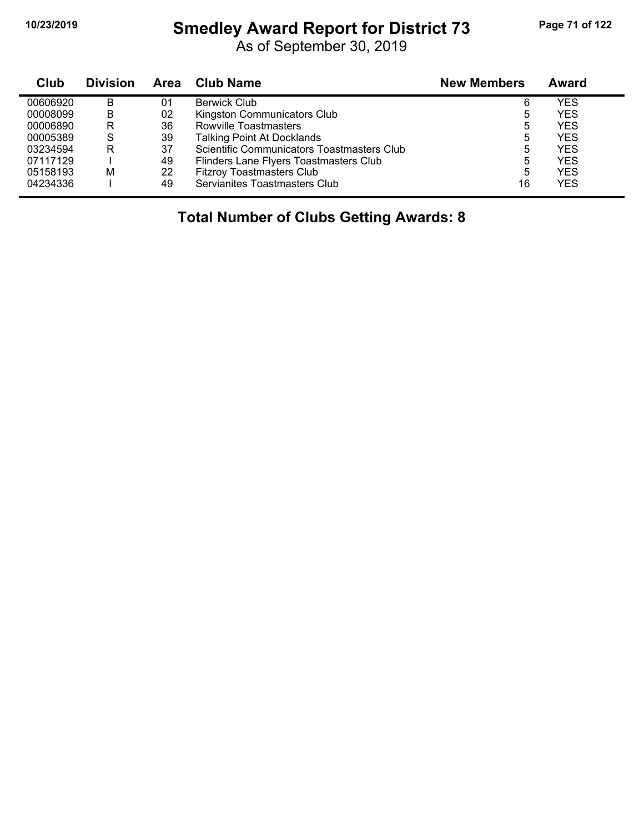#### **10/23/2019 Smedley Award Report for District 73 Page 71 of 122**

As of September 30, 2019

| Club     | <b>Division</b> | <b>Area</b> | Club Name                                  | <b>New Members</b> | Award |
|----------|-----------------|-------------|--------------------------------------------|--------------------|-------|
| 00606920 | в               | 01          | <b>Berwick Club</b>                        | 6                  | YES   |
| 00008099 | в               | 02          | Kingston Communicators Club                | 5                  | YES   |
| 00006890 | R               | 36          | Rowville Toastmasters                      | 5                  | YES   |
| 00005389 | S               | 39          | <b>Talking Point At Docklands</b>          | 5                  | YES   |
| 03234594 | R               | 37          | Scientific Communicators Toastmasters Club | 5                  | YES   |
| 07117129 |                 | 49          | Flinders Lane Flyers Toastmasters Club     | 5                  | YES   |
| 05158193 | м               | 22          | <b>Fitzroy Toastmasters Club</b>           | 5                  | YES   |
| 04234336 |                 | 49          | Servianites Toastmasters Club              | 16                 | YES   |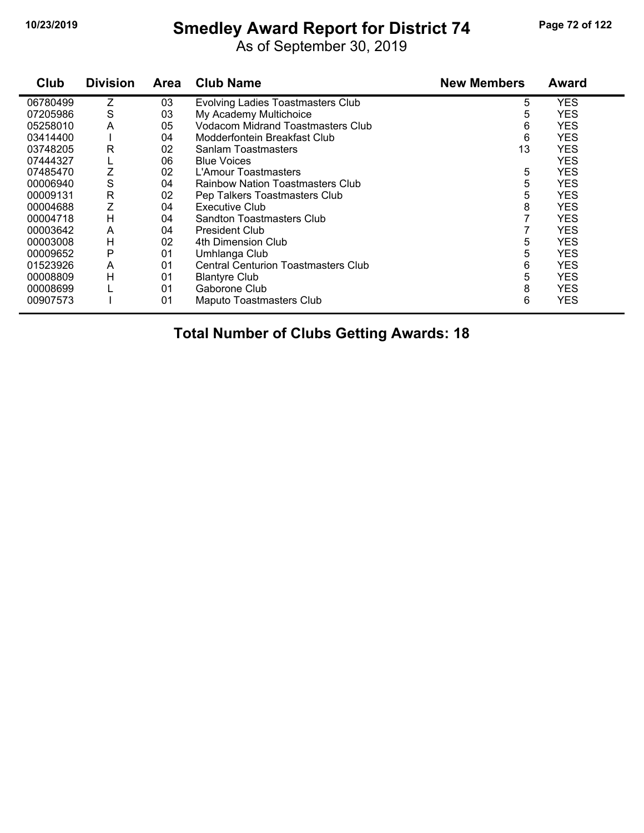#### **10/23/2019 Smedley Award Report for District 74 Page 72 of 122**

As of September 30, 2019

| Club     | <b>Division</b> | Area | <b>Club Name</b>                           | <b>New Members</b> | <b>Award</b> |
|----------|-----------------|------|--------------------------------------------|--------------------|--------------|
| 06780499 | Ζ               | 03   | <b>Evolving Ladies Toastmasters Club</b>   | 5                  | YES          |
| 07205986 | S               | 03   | My Academy Multichoice                     | 5                  | <b>YES</b>   |
| 05258010 | A               | 05   | <b>Vodacom Midrand Toastmasters Club</b>   | 6                  | <b>YES</b>   |
| 03414400 |                 | 04   | Modderfontein Breakfast Club               | 6                  | <b>YES</b>   |
| 03748205 | R               | 02   | Sanlam Toastmasters                        | 13                 | <b>YES</b>   |
| 07444327 |                 | 06   | <b>Blue Voices</b>                         |                    | YES          |
| 07485470 | Z               | 02   | L'Amour Toastmasters                       | 5                  | YES          |
| 00006940 | S               | 04   | <b>Rainbow Nation Toastmasters Club</b>    | 5                  | <b>YES</b>   |
| 00009131 | R               | 02   | Pep Talkers Toastmasters Club              | 5                  | <b>YES</b>   |
| 00004688 |                 | 04   | Executive Club                             | 8                  | <b>YES</b>   |
| 00004718 | H               | 04   | Sandton Toastmasters Club                  |                    | YES          |
| 00003642 | A               | 04   | President Club                             |                    | YES          |
| 00003008 | Н               | 02   | 4th Dimension Club                         | 5                  | <b>YES</b>   |
| 00009652 | P               | 01   | Umhlanga Club                              | 5                  | YES          |
| 01523926 | A               | 01   | <b>Central Centurion Toastmasters Club</b> | 6                  | <b>YES</b>   |
| 00008809 | H               | 01   | <b>Blantyre Club</b>                       | 5                  | <b>YES</b>   |
| 00008699 |                 | 01   | Gaborone Club                              | 8                  | YES          |
| 00907573 |                 | 01   | Maputo Toastmasters Club                   | 6                  | <b>YES</b>   |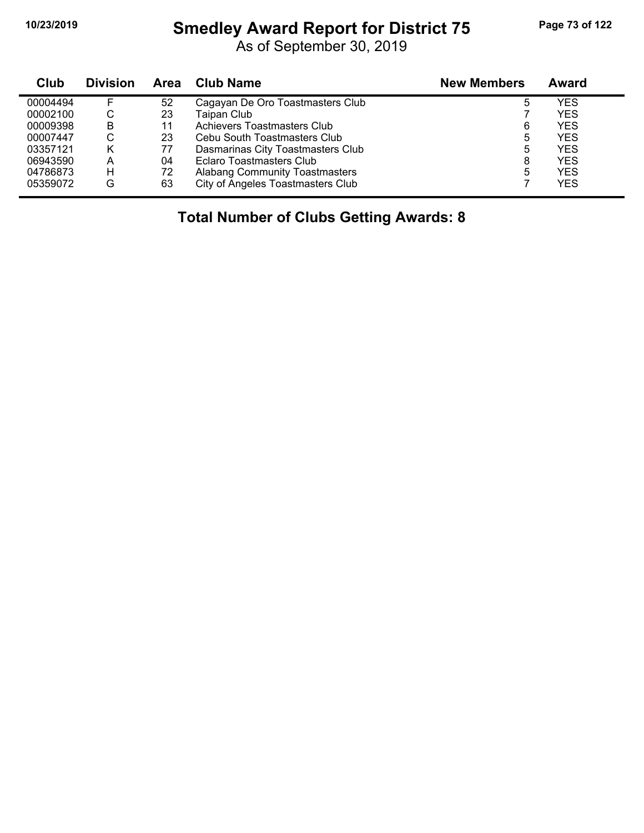### **10/23/2019 Smedley Award Report for District 75 Page 73 of 122**

As of September 30, 2019

| Club     | <b>Division</b> | <b>Area</b> | <b>Club Name</b>                      | <b>New Members</b> | Award      |
|----------|-----------------|-------------|---------------------------------------|--------------------|------------|
| 00004494 |                 | 52          | Cagayan De Oro Toastmasters Club      |                    | YES        |
| 00002100 | С               | 23          | Taipan Club                           |                    | <b>YES</b> |
| 00009398 | B               | 11          | Achievers Toastmasters Club           | 6                  | <b>YES</b> |
| 00007447 | С               | 23          | Cebu South Toastmasters Club          | 5                  | YES        |
| 03357121 | κ               | 77          | Dasmarinas City Toastmasters Club     | 5                  | YES        |
| 06943590 | А               | 04          | Eclaro Toastmasters Club              | 8                  | <b>YES</b> |
| 04786873 | H               | 72          | <b>Alabang Community Toastmasters</b> | 5                  | YES        |
| 05359072 | G               | 63          | City of Angeles Toastmasters Club     |                    | YES        |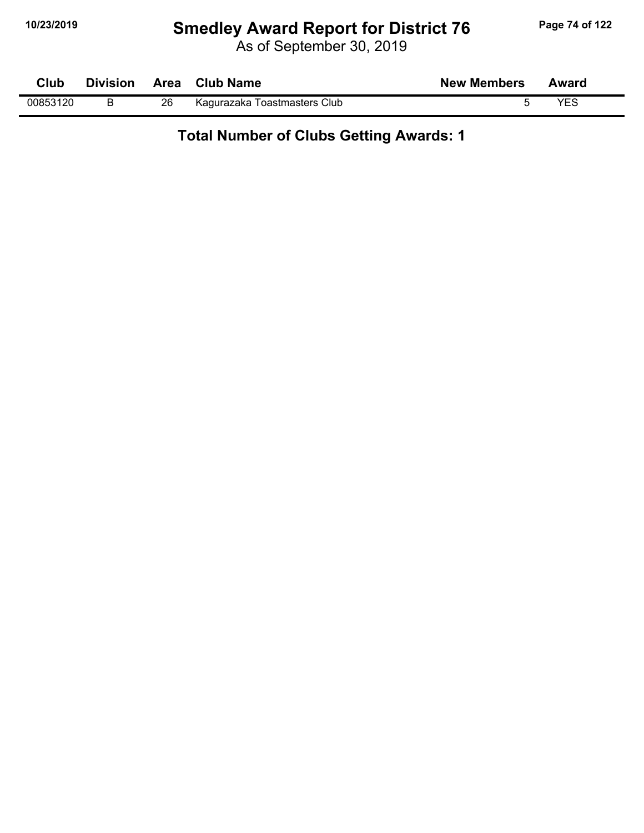# **10/23/2019 Smedley Award Report for District 76 Page 74 of 122**

As of September 30, 2019

| Club     | <b>Division</b> | Area | <b>Club Name</b>             | <b>New Members</b> | Award |  |
|----------|-----------------|------|------------------------------|--------------------|-------|--|
| 00853120 |                 | 26   | Kagurazaka Toastmasters Club |                    | YES   |  |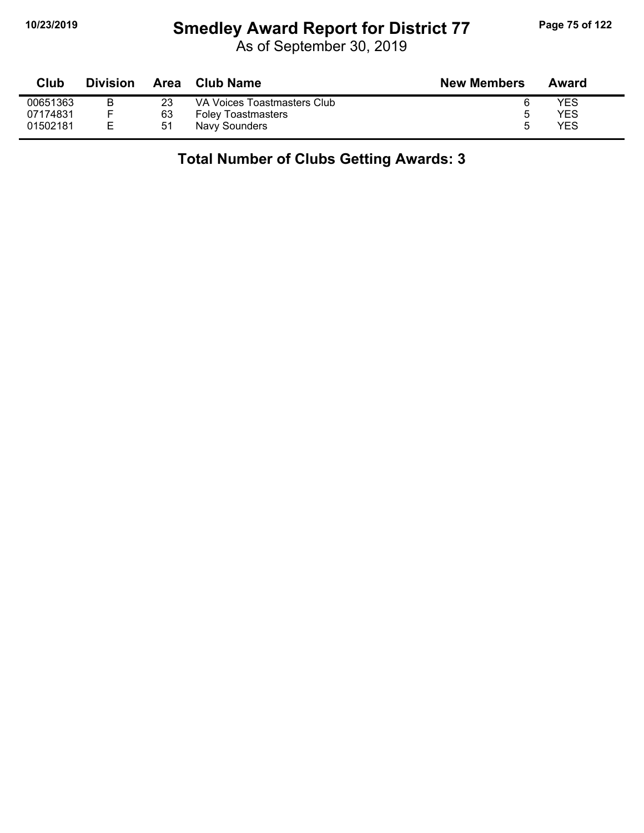## **10/23/2019 Smedley Award Report for District 77 Page 75 of 122**

As of September 30, 2019

| Club     | <b>Division</b> | Area | Club Name                   | <b>New Members</b> | Award      |
|----------|-----------------|------|-----------------------------|--------------------|------------|
| 00651363 |                 | 23   | VA Voices Toastmasters Club |                    | <b>YES</b> |
| 07174831 |                 | 63   | <b>Foley Toastmasters</b>   | ∽                  | <b>YES</b> |
| 01502181 |                 | -51  | Navy Sounders               | ∽                  | <b>YES</b> |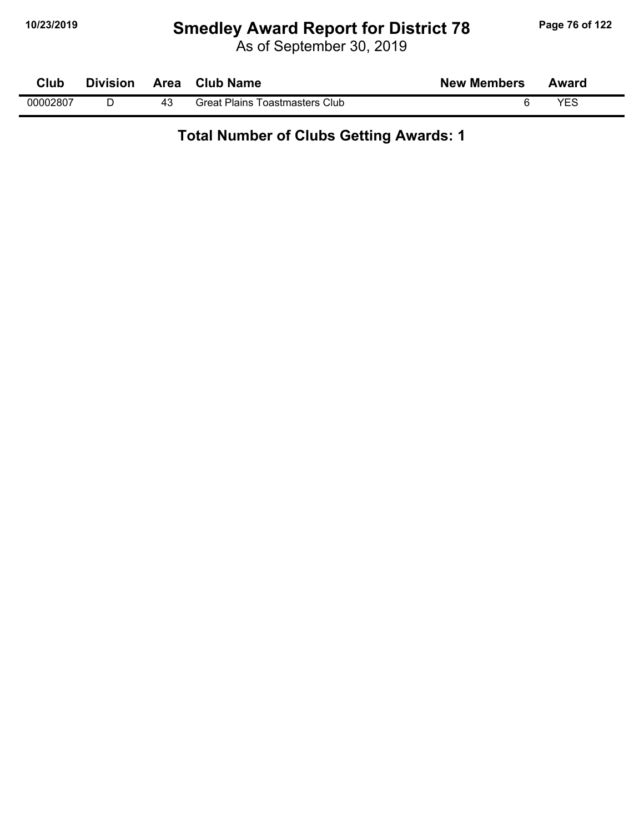# **10/23/2019 Smedley Award Report for District 78 Page 76 of 122**

As of September 30, 2019

| Club     | <b>Division</b> | Area | <b>Club Name</b>                      | <b>New Members</b> | Award |  |
|----------|-----------------|------|---------------------------------------|--------------------|-------|--|
| 00002807 |                 |      | <b>Great Plains Toastmasters Club</b> |                    | VES   |  |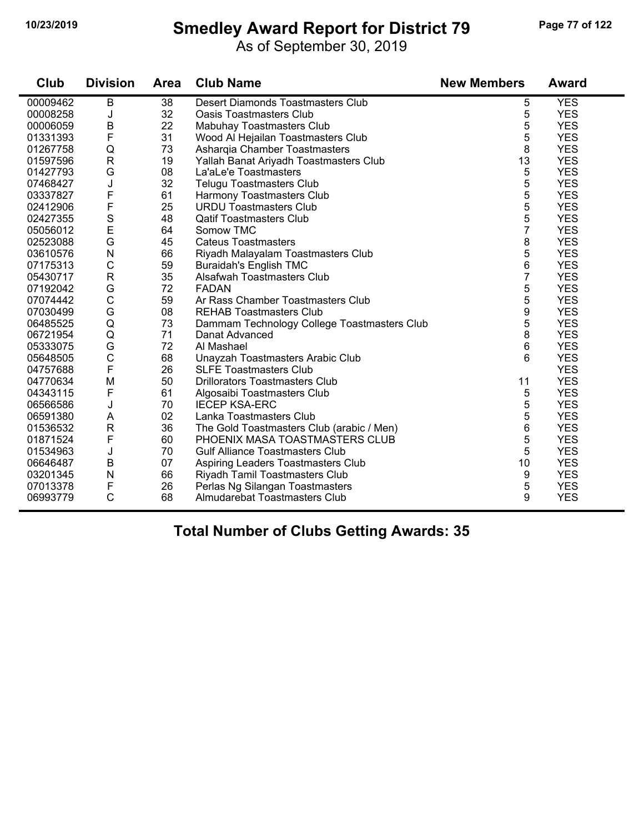#### **10/23/2019 Smedley Award Report for District 79 Page 77 of 122**

As of September 30, 2019

| Club     | <b>Division</b> | Area            | <b>Club Name</b>                            | <b>New Members</b> | Award      |
|----------|-----------------|-----------------|---------------------------------------------|--------------------|------------|
| 00009462 | $\overline{B}$  | $\overline{38}$ | <b>Desert Diamonds Toastmasters Club</b>    | 5                  | <b>YES</b> |
| 00008258 | J               | 32              | <b>Oasis Toastmasters Club</b>              | 5                  | <b>YES</b> |
| 00006059 | B               | 22              | Mabuhay Toastmasters Club                   | 5                  | <b>YES</b> |
| 01331393 | F               | 31              | Wood Al Hejailan Toastmasters Club          | 5                  | <b>YES</b> |
| 01267758 | Q               | 73              | Asharqia Chamber Toastmasters               | 8                  | <b>YES</b> |
| 01597596 | $\mathsf{R}$    | 19              | Yallah Banat Ariyadh Toastmasters Club      | 13                 | <b>YES</b> |
| 01427793 | G               | 08              | La'aLe'e Toastmasters                       | 5                  | <b>YES</b> |
| 07468427 | J               | 32              | <b>Telugu Toastmasters Club</b>             | 5                  | <b>YES</b> |
| 03337827 | F               | 61              | Harmony Toastmasters Club                   | 5                  | <b>YES</b> |
| 02412906 | F               | 25              | <b>URDU Toastmasters Club</b>               | 5                  | <b>YES</b> |
| 02427355 | S               | 48              | <b>Qatif Toastmasters Club</b>              | 5                  | <b>YES</b> |
| 05056012 | E               | 64              | Somow TMC                                   | $\overline{7}$     | <b>YES</b> |
| 02523088 | G               | 45              | <b>Cateus Toastmasters</b>                  | 8                  | <b>YES</b> |
| 03610576 | ${\sf N}$       | 66              | Riyadh Malayalam Toastmasters Club          | 5                  | <b>YES</b> |
| 07175313 | $\mathsf C$     | 59              | <b>Buraidah's English TMC</b>               | 6                  | <b>YES</b> |
| 05430717 | $\mathsf R$     | 35              | Alsafwah Toastmasters Club                  | 7                  | <b>YES</b> |
| 07192042 | G               | 72              | <b>FADAN</b>                                | 5                  | <b>YES</b> |
| 07074442 | C               | 59              | Ar Rass Chamber Toastmasters Club           | 5                  | <b>YES</b> |
| 07030499 | G               | 08              | <b>REHAB Toastmasters Club</b>              | 9                  | <b>YES</b> |
| 06485525 | Q               | 73              | Dammam Technology College Toastmasters Club | 5                  | <b>YES</b> |
| 06721954 | Q               | 71              | Danat Advanced                              | 8                  | <b>YES</b> |
| 05333075 | G               | 72              | Al Mashael                                  | 6                  | <b>YES</b> |
| 05648505 | $\mathsf{C}$    | 68              | Unayzah Toastmasters Arabic Club            | 6                  | <b>YES</b> |
| 04757688 | F               | 26              | <b>SLFE Toastmasters Club</b>               |                    | <b>YES</b> |
| 04770634 | M               | 50              | Drillorators Toastmasters Club              | 11                 | <b>YES</b> |
| 04343115 | F               | 61              | Algosaibi Toastmasters Club                 | 5                  | <b>YES</b> |
| 06566586 | J               | 70              | <b>IECEP KSA-ERC</b>                        | 5                  | <b>YES</b> |
| 06591380 | A               | 02              | Lanka Toastmasters Club                     | 5                  | <b>YES</b> |
| 01536532 | $\mathsf{R}$    | 36              | The Gold Toastmasters Club (arabic / Men)   | 6                  | <b>YES</b> |
| 01871524 | F               | 60              | PHOENIX MASA TOASTMASTERS CLUB              | 5                  | <b>YES</b> |
| 01534963 | J               | 70              | <b>Gulf Alliance Toastmasters Club</b>      | 5                  | <b>YES</b> |
| 06646487 | B               | 07              | Aspiring Leaders Toastmasters Club          | 10                 | <b>YES</b> |
| 03201345 | N               | 66              | Riyadh Tamil Toastmasters Club              | 9                  | <b>YES</b> |
| 07013378 | F               | 26              | Perlas Ng Silangan Toastmasters             | 5                  | <b>YES</b> |
| 06993779 | $\mathsf{C}$    | 68              | Almudarebat Toastmasters Club               | 9                  | <b>YES</b> |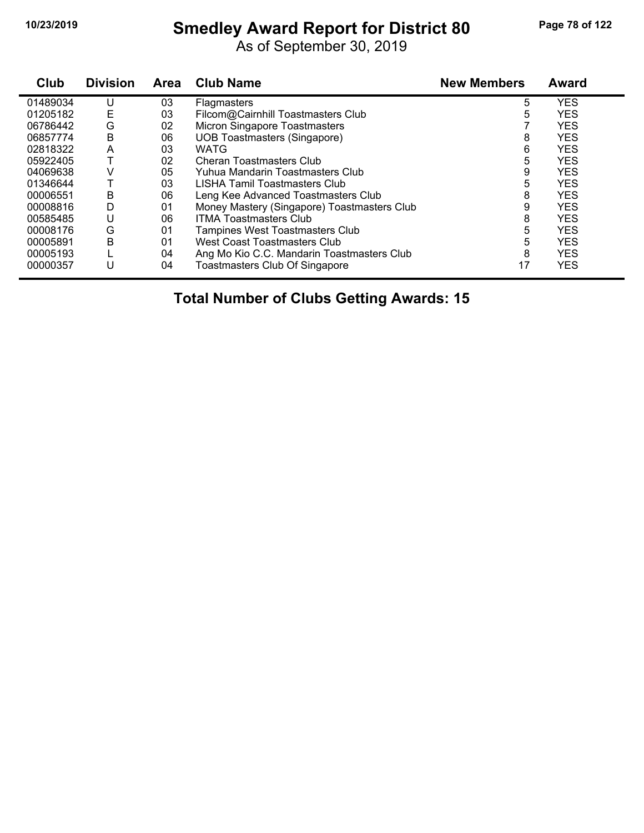# **10/23/2019 Smedley Award Report for District 80 Page 78 of 122**

As of September 30, 2019

| Club     | <b>Division</b> | Area | <b>Club Name</b>                            | <b>New Members</b> | Award      |
|----------|-----------------|------|---------------------------------------------|--------------------|------------|
| 01489034 | U               | 03   | <b>Flagmasters</b>                          | 5                  | <b>YES</b> |
| 01205182 | Ε               | 03   | Filcom@Cairnhill Toastmasters Club          | 5                  | <b>YES</b> |
| 06786442 | G               | 02   | Micron Singapore Toastmasters               |                    | <b>YES</b> |
| 06857774 | В               | 06   | <b>UOB Toastmasters (Singapore)</b>         | 8                  | <b>YES</b> |
| 02818322 | A               | 03   | <b>WATG</b>                                 | 6                  | <b>YES</b> |
| 05922405 |                 | 02   | Cheran Toastmasters Club                    | 5                  | <b>YES</b> |
| 04069638 | V               | 05   | Yuhua Mandarin Toastmasters Club            | 9                  | <b>YES</b> |
| 01346644 |                 | 03   | LISHA Tamil Toastmasters Club               | 5                  | <b>YES</b> |
| 00006551 | В               | 06   | Leng Kee Advanced Toastmasters Club         | 8                  | <b>YES</b> |
| 00008816 | D               | 01   | Money Mastery (Singapore) Toastmasters Club | 9                  | <b>YES</b> |
| 00585485 | U               | 06   | <b>ITMA Toastmasters Club</b>               | 8                  | <b>YES</b> |
| 00008176 | G               | 01   | <b>Tampines West Toastmasters Club</b>      | 5                  | <b>YES</b> |
| 00005891 | Β               | 01   | West Coast Toastmasters Club                | 5                  | <b>YES</b> |
| 00005193 |                 | 04   | Ang Mo Kio C.C. Mandarin Toastmasters Club  | 8                  | <b>YES</b> |
| 00000357 | U               | 04   | Toastmasters Club Of Singapore              | 17                 | <b>YES</b> |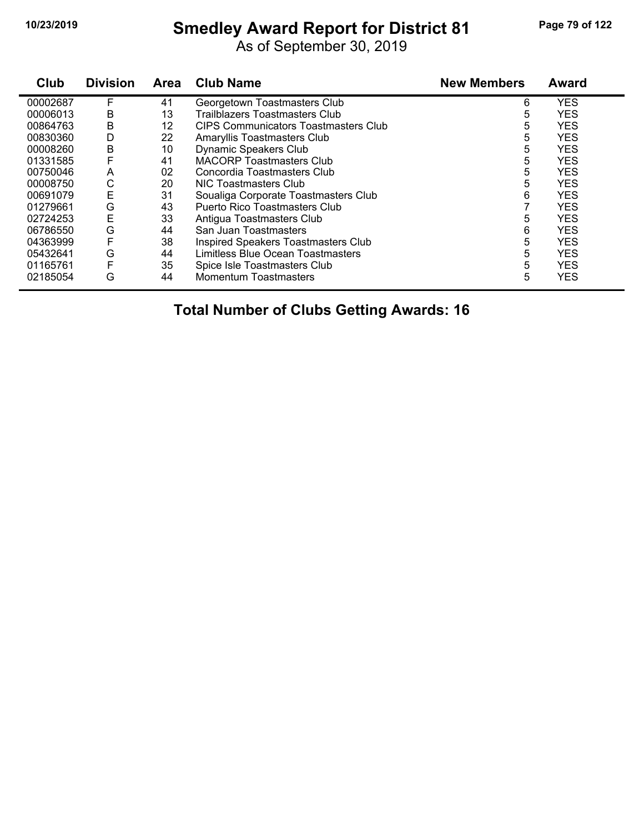# **10/23/2019 Smedley Award Report for District 81 Page 79 of 122**

As of September 30, 2019

| Club     | <b>Division</b> | <b>Area</b> | <b>Club Name</b>                            | <b>New Members</b> | <b>Award</b> |
|----------|-----------------|-------------|---------------------------------------------|--------------------|--------------|
| 00002687 | F               | 41          | Georgetown Toastmasters Club                | 6                  | <b>YES</b>   |
| 00006013 | В               | 13          | Trailblazers Toastmasters Club              | 5                  | <b>YES</b>   |
| 00864763 | B               | 12          | <b>CIPS Communicators Toastmasters Club</b> | 5                  | <b>YES</b>   |
| 00830360 | D               | 22          | Amaryllis Toastmasters Club                 | 5                  | <b>YES</b>   |
| 00008260 | B               | 10          | Dynamic Speakers Club                       | 5                  | <b>YES</b>   |
| 01331585 |                 | 41          | <b>MACORP Toastmasters Club</b>             | 5                  | <b>YES</b>   |
| 00750046 | A               | 02          | Concordia Toastmasters Club                 | 5                  | <b>YES</b>   |
| 00008750 | С               | 20          | NIC Toastmasters Club                       | 5                  | <b>YES</b>   |
| 00691079 | Ε               | 31          | Soualiga Corporate Toastmasters Club        | 6                  | <b>YES</b>   |
| 01279661 | G               | 43          | Puerto Rico Toastmasters Club               |                    | <b>YES</b>   |
| 02724253 | Ε               | 33          | Antigua Toastmasters Club                   | 5                  | <b>YES</b>   |
| 06786550 | G               | 44          | San Juan Toastmasters                       | 6                  | <b>YES</b>   |
| 04363999 | F               | 38          | Inspired Speakers Toastmasters Club         | 5                  | <b>YES</b>   |
| 05432641 | G               | 44          | Limitless Blue Ocean Toastmasters           | 5                  | <b>YES</b>   |
| 01165761 | F               | 35          | Spice Isle Toastmasters Club                | 5                  | <b>YES</b>   |
| 02185054 | G               | 44          | <b>Momentum Toastmasters</b>                | 5                  | <b>YES</b>   |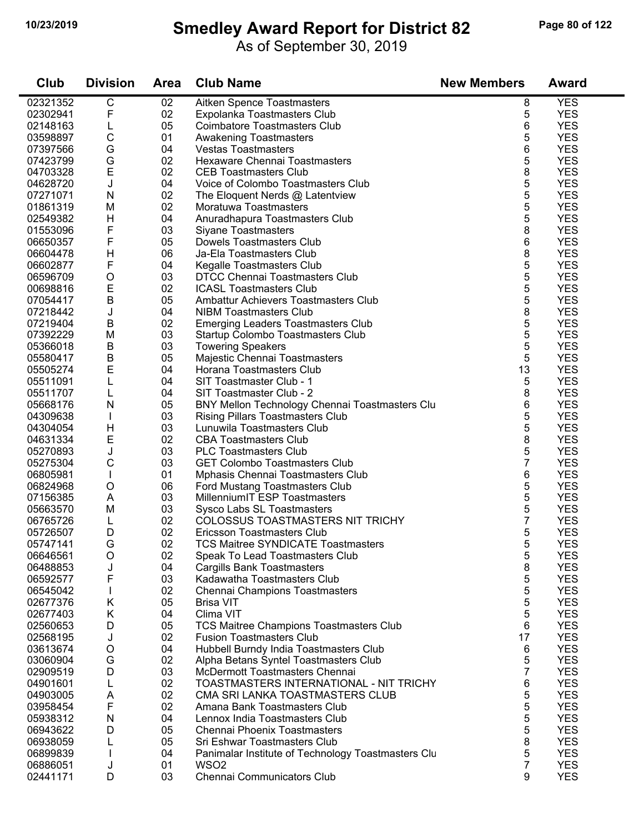### **10/23/2019 Smedley Award Report for District 82 Page 80 of 122**

As of September 30, 2019

| Club     | <b>Division</b> | <b>Area</b> | <b>Club Name</b>                                   | <b>New Members</b> | <b>Award</b> |
|----------|-----------------|-------------|----------------------------------------------------|--------------------|--------------|
| 02321352 | C               | 02          | Aitken Spence Toastmasters                         | 8                  | <b>YES</b>   |
| 02302941 | F               | 02          | Expolanka Toastmasters Club                        | 5                  | <b>YES</b>   |
| 02148163 | L               | 05          | <b>Coimbatore Toastmasters Club</b>                | 6                  | <b>YES</b>   |
| 03598897 | $\mathsf C$     | 01          | <b>Awakening Toastmasters</b>                      | 5                  | <b>YES</b>   |
| 07397566 | G               | 04          | <b>Vestas Toastmasters</b>                         | 6                  | <b>YES</b>   |
| 07423799 | G               | 02          | Hexaware Chennai Toastmasters                      | 5                  | <b>YES</b>   |
| 04703328 | E               | 02          | <b>CEB Toastmasters Club</b>                       | 8                  | <b>YES</b>   |
| 04628720 | J               | 04          | Voice of Colombo Toastmasters Club                 | 5                  | <b>YES</b>   |
| 07271071 | N               | 02          | The Eloquent Nerds @ Latentview                    | 5                  | <b>YES</b>   |
| 01861319 | M               | 02          | Moratuwa Toastmasters                              | 5                  | <b>YES</b>   |
| 02549382 | H               | 04          | Anuradhapura Toastmasters Club                     | 5                  | <b>YES</b>   |
| 01553096 | F               | 03          | <b>Siyane Toastmasters</b>                         | 8                  | <b>YES</b>   |
| 06650357 | F               | 05          | Dowels Toastmasters Club                           | 6                  | <b>YES</b>   |
| 06604478 | H               | 06          | Ja-Ela Toastmasters Club                           | 8                  | <b>YES</b>   |
| 06602877 | F               | 04          | Kegalle Toastmasters Club                          | 5                  | <b>YES</b>   |
| 06596709 | $\circ$         | 03          | DTCC Chennai Toastmasters Club                     | 5                  | <b>YES</b>   |
| 00698816 | E               | 02          | <b>ICASL Toastmasters Club</b>                     | 5                  | <b>YES</b>   |
| 07054417 | $\sf B$         | 05          | Ambattur Achievers Toastmasters Club               | 5                  | <b>YES</b>   |
| 07218442 | J               | 04          | <b>NIBM Toastmasters Club</b>                      | 8                  | <b>YES</b>   |
| 07219404 | $\sf B$         | 02          | <b>Emerging Leaders Toastmasters Club</b>          | 5                  | <b>YES</b>   |
| 07392229 | M               | 03          | Startup Colombo Toastmasters Club                  | 5                  | <b>YES</b>   |
| 05366018 | B               | 03          | <b>Towering Speakers</b>                           | 5                  | <b>YES</b>   |
| 05580417 | B               | 05          | Majestic Chennai Toastmasters                      | 5                  | <b>YES</b>   |
| 05505274 | E               | 04          | Horana Toastmasters Club                           | 13                 | <b>YES</b>   |
| 05511091 | L               | 04          | SIT Toastmaster Club - 1                           | 5                  | <b>YES</b>   |
| 05511707 | L               | 04          | SIT Toastmaster Club - 2                           | 8                  | <b>YES</b>   |
| 05668176 | N               | 05          | BNY Mellon Technology Chennai Toastmasters Clu     | 6                  | <b>YES</b>   |
| 04309638 |                 | 03          | <b>Rising Pillars Toastmasters Club</b>            | 5                  | <b>YES</b>   |
| 04304054 | H               | 03          | Lunuwila Toastmasters Club                         | 5                  | <b>YES</b>   |
| 04631334 | Е               | 02          | <b>CBA Toastmasters Club</b>                       | 8                  | <b>YES</b>   |
| 05270893 | J               | 03          | <b>PLC Toastmasters Club</b>                       | 5                  | <b>YES</b>   |
| 05275304 | C               | 03          | <b>GET Colombo Toastmasters Club</b>               | 7                  | <b>YES</b>   |
| 06805981 | $\mathbf{I}$    | 01          | Mphasis Chennai Toastmasters Club                  | 6                  | <b>YES</b>   |
| 06824968 | $\mathsf O$     | 06          | Ford Mustang Toastmasters Club                     | 5                  | <b>YES</b>   |
| 07156385 | A               | 03          | MillenniumIT ESP Toastmasters                      | 5                  | <b>YES</b>   |
| 05663570 | M               | 03          | Sysco Labs SL Toastmasters                         | 5                  | <b>YES</b>   |
| 06765726 | L               | 02          | COLOSSUS TOASTMASTERS NIT TRICHY                   | 7                  | <b>YES</b>   |
| 05726507 | D               | 02          | Ericsson Toastmasters Club                         | 5                  | <b>YES</b>   |
| 05747141 | G               | 02          | <b>TCS Maitree SYNDICATE Toastmasters</b>          | 5                  | <b>YES</b>   |
| 06646561 | $\circ$         | 02          | Speak To Lead Toastmasters Club                    | 5                  | <b>YES</b>   |
| 06488853 | J               | 04          | <b>Cargills Bank Toastmasters</b>                  | 8                  | <b>YES</b>   |
| 06592577 | F               | 03          | Kadawatha Toastmasters Club                        | 5                  | <b>YES</b>   |
| 06545042 |                 | 02          | <b>Chennai Champions Toastmasters</b>              | 5                  | <b>YES</b>   |
| 02677376 | Κ               | 05          | <b>Brisa VIT</b>                                   | 5                  | <b>YES</b>   |
| 02677403 | Κ               | 04          | Clima VIT                                          | 5                  | <b>YES</b>   |
| 02560653 | D               | 05          | TCS Maitree Champions Toastmasters Club            | 6                  | <b>YES</b>   |
| 02568195 | J               | 02          | <b>Fusion Toastmasters Club</b>                    | 17                 | <b>YES</b>   |
| 03613674 | O               | 04          | Hubbell Burndy India Toastmasters Club             | 6                  | <b>YES</b>   |
| 03060904 | G               | 02          | Alpha Betans Syntel Toastmasters Club              | 5                  | <b>YES</b>   |
| 02909519 | D               | 03          | McDermott Toastmasters Chennai                     | $\overline{7}$     | <b>YES</b>   |
| 04901601 | L               | 02          | TOASTMASTERS INTERNATIONAL - NIT TRICHY            | 6                  | <b>YES</b>   |
| 04903005 | Α               | 02          | CMA SRI LANKA TOASTMASTERS CLUB                    | 5                  | <b>YES</b>   |
| 03958454 | F               | 02          | Amana Bank Toastmasters Club                       | 5                  | <b>YES</b>   |
| 05938312 | N               | 04          | Lennox India Toastmasters Club                     | 5                  | <b>YES</b>   |
| 06943622 | D               | 05          | Chennai Phoenix Toastmasters                       | 5                  | <b>YES</b>   |
| 06938059 |                 | 05          | Sri Eshwar Toastmasters Club                       | 8                  | <b>YES</b>   |
| 06899839 |                 | 04          | Panimalar Institute of Technology Toastmasters Clu | 5                  | <b>YES</b>   |
| 06886051 | J               | 01          | WSO <sub>2</sub>                                   | $\overline{7}$     | <b>YES</b>   |
| 02441171 | D               | 03          | Chennai Communicators Club                         | 9                  | <b>YES</b>   |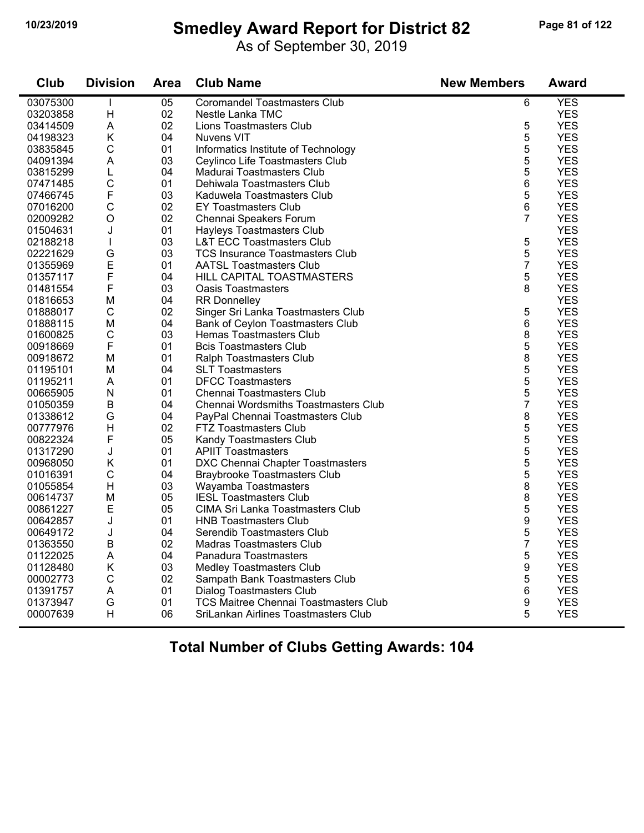# **10/23/2019 Smedley Award Report for District 82 Page 81 of 122**

As of September 30, 2019

| Club     | <b>Division</b> | <b>Area</b> | <b>Club Name</b>                             | <b>New Members</b> | <b>Award</b> |
|----------|-----------------|-------------|----------------------------------------------|--------------------|--------------|
| 03075300 | L               | 05          | <b>Coromandel Toastmasters Club</b>          | 6                  | <b>YES</b>   |
| 03203858 | H               | 02          | Nestle Lanka TMC                             |                    | <b>YES</b>   |
| 03414509 | A               | 02          | Lions Toastmasters Club                      | 5                  | <b>YES</b>   |
| 04198323 | K               | 04          | <b>Nuvens VIT</b>                            | 5                  | <b>YES</b>   |
| 03835845 | $\mathsf{C}$    | 01          | Informatics Institute of Technology          | 5                  | <b>YES</b>   |
| 04091394 | A               | 03          | Ceylinco Life Toastmasters Club              | 5                  | <b>YES</b>   |
| 03815299 | L               | 04          | Madurai Toastmasters Club                    | 5                  | <b>YES</b>   |
| 07471485 | $\mathsf{C}$    | 01          | Dehiwala Toastmasters Club                   | 6                  | <b>YES</b>   |
| 07466745 | F               | 03          | Kaduwela Toastmasters Club                   | 5                  | <b>YES</b>   |
| 07016200 | $\mathbf C$     | 02          | EY Toastmasters Club                         | 6                  | <b>YES</b>   |
| 02009282 | $\circ$         | 02          | Chennai Speakers Forum                       | 7                  | <b>YES</b>   |
| 01504631 | J               | 01          | Hayleys Toastmasters Club                    |                    | <b>YES</b>   |
| 02188218 | T               | 03          | <b>L&amp;T ECC Toastmasters Club</b>         | 5                  | <b>YES</b>   |
| 02221629 | G               | 03          | <b>TCS Insurance Toastmasters Club</b>       | 5                  | <b>YES</b>   |
| 01355969 | E               | 01          | <b>AATSL Toastmasters Club</b>               | $\overline{7}$     | <b>YES</b>   |
| 01357117 | F               | 04          | HILL CAPITAL TOASTMASTERS                    | 5                  | <b>YES</b>   |
| 01481554 | F               | 03          | <b>Oasis Toastmasters</b>                    | 8                  | <b>YES</b>   |
| 01816653 | M               | 04          | <b>RR Donnelley</b>                          |                    | <b>YES</b>   |
| 01888017 | $\mathsf{C}$    | 02          | Singer Sri Lanka Toastmasters Club           | 5                  | <b>YES</b>   |
| 01888115 | M               | 04          | Bank of Ceylon Toastmasters Club             | 6                  | <b>YES</b>   |
| 01600825 | $\mathsf{C}$    | 03          | Hemas Toastmasters Club                      | 8                  | <b>YES</b>   |
| 00918669 | F               | 01          | <b>Bcis Toastmasters Club</b>                | 5                  | <b>YES</b>   |
| 00918672 | M               | 01          | Ralph Toastmasters Club                      | 8                  | <b>YES</b>   |
| 01195101 | M               | 04          | <b>SLT Toastmasters</b>                      | 5                  | <b>YES</b>   |
| 01195211 | A               | 01          | <b>DFCC Toastmasters</b>                     | 5                  | <b>YES</b>   |
| 00665905 | N               | 01          | Chennai Toastmasters Club                    | 5                  | <b>YES</b>   |
| 01050359 | $\mathsf B$     | 04          | Chennai Wordsmiths Toastmasters Club         | $\overline{7}$     | <b>YES</b>   |
| 01338612 | G               | 04          | PayPal Chennai Toastmasters Club             | 8                  | <b>YES</b>   |
| 00777976 | $\overline{H}$  | 02          | <b>FTZ Toastmasters Club</b>                 | 5                  | <b>YES</b>   |
| 00822324 | F               | 05          | Kandy Toastmasters Club                      | 5                  | <b>YES</b>   |
| 01317290 | J               | 01          | <b>APIIT Toastmasters</b>                    | 5                  | <b>YES</b>   |
| 00968050 | Κ               | 01          | DXC Chennai Chapter Toastmasters             | 5                  | <b>YES</b>   |
| 01016391 | C               | 04          | <b>Braybrooke Toastmasters Club</b>          | 5                  | <b>YES</b>   |
| 01055854 | H               | 03          | Wayamba Toastmasters                         | 8                  | <b>YES</b>   |
| 00614737 | M               | 05          | <b>IESL Toastmasters Club</b>                | 8                  | <b>YES</b>   |
| 00861227 | E               | 05          | CIMA Sri Lanka Toastmasters Club             | 5                  | <b>YES</b>   |
| 00642857 | J               | 01          | <b>HNB Toastmasters Club</b>                 | 9                  | <b>YES</b>   |
| 00649172 | J               | 04          | Serendib Toastmasters Club                   | 5                  | <b>YES</b>   |
| 01363550 | $\mathsf B$     | 02          | <b>Madras Toastmasters Club</b>              | $\overline{7}$     | <b>YES</b>   |
| 01122025 | A               | 04          | Panadura Toastmasters                        | 5                  | <b>YES</b>   |
| 01128480 | K               | 03          | <b>Medley Toastmasters Club</b>              | 9                  | <b>YES</b>   |
| 00002773 | $\mathsf{C}$    | 02          | Sampath Bank Toastmasters Club               | 5                  | <b>YES</b>   |
| 01391757 | A               | 01          | Dialog Toastmasters Club                     | 6                  | <b>YES</b>   |
| 01373947 | G               | 01          | <b>TCS Maitree Chennai Toastmasters Club</b> | 9                  | <b>YES</b>   |
| 00007639 | н               | 06          | SriLankan Airlines Toastmasters Club         | 5                  | <b>YES</b>   |
|          |                 |             |                                              |                    |              |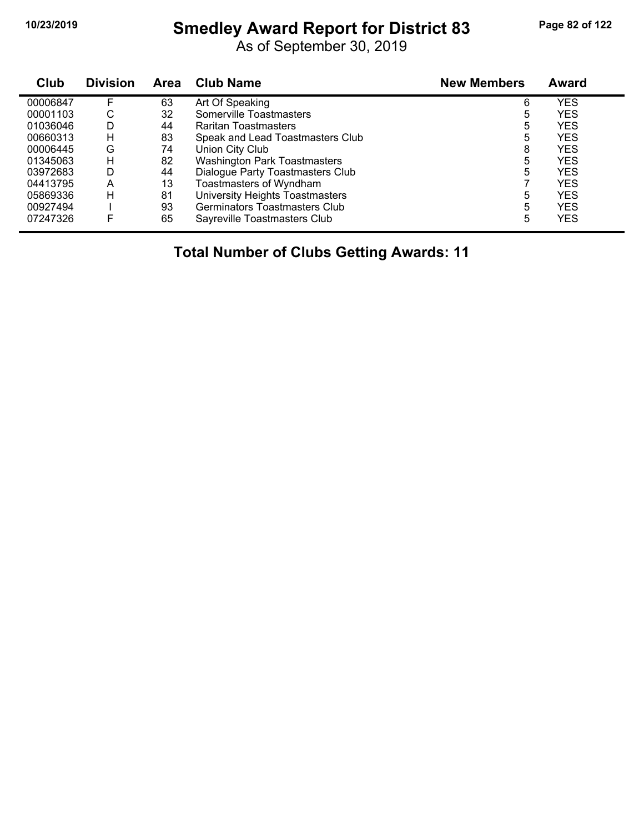# **10/23/2019 Smedley Award Report for District 83 Page 82 of 122**

As of September 30, 2019

| Club     | <b>Division</b> | <b>Area</b> | <b>Club Name</b>                    | <b>New Members</b> | <b>Award</b> |
|----------|-----------------|-------------|-------------------------------------|--------------------|--------------|
| 00006847 | F               | 63          | Art Of Speaking                     | 6                  | YES          |
| 00001103 | С               | 32          | Somerville Toastmasters             | 5                  | YES          |
| 01036046 | D               | 44          | Raritan Toastmasters                | 5                  | YES          |
| 00660313 | H               | 83          | Speak and Lead Toastmasters Club    | 5                  | YES          |
| 00006445 | G               | 74          | Union City Club                     | 8                  | YES          |
| 01345063 | н               | 82          | <b>Washington Park Toastmasters</b> | 5                  | YES          |
| 03972683 | D               | 44          | Dialogue Party Toastmasters Club    | 5                  | YES          |
| 04413795 | A               | 13          | Toastmasters of Wyndham             |                    | <b>YES</b>   |
| 05869336 | н               | 81          | University Heights Toastmasters     | 5                  | YES          |
| 00927494 |                 | 93          | Germinators Toastmasters Club       | 5                  | YES          |
| 07247326 | F               | 65          | Sayreville Toastmasters Club        | 5                  | <b>YES</b>   |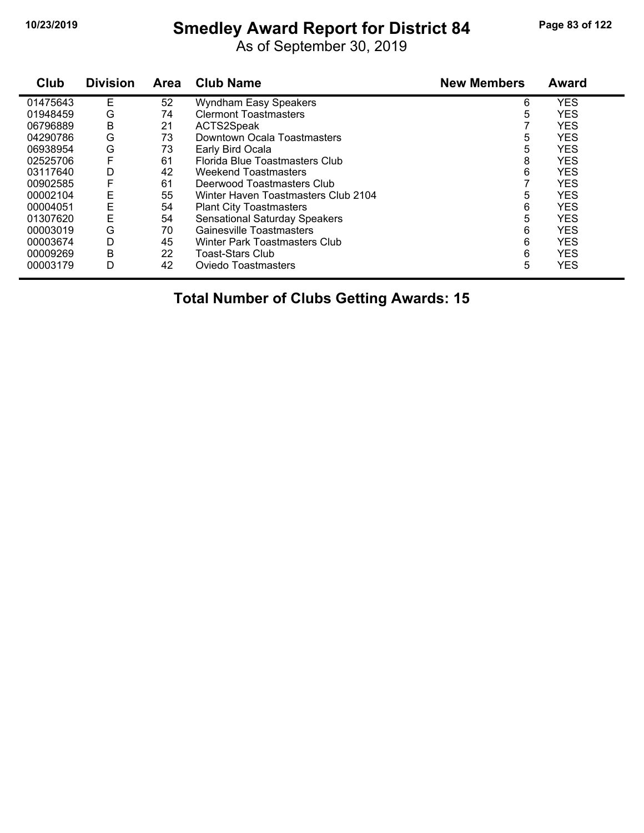# **10/23/2019 Smedley Award Report for District 84 Page 83 of 122**

As of September 30, 2019

| Club     | <b>Division</b> | Area | <b>Club Name</b>                     | <b>New Members</b> | <b>Award</b> |
|----------|-----------------|------|--------------------------------------|--------------------|--------------|
| 01475643 | E               | 52   | <b>Wyndham Easy Speakers</b>         | 6                  | <b>YES</b>   |
| 01948459 | G               | 74   | <b>Clermont Toastmasters</b>         | 5                  | <b>YES</b>   |
| 06796889 | B               | 21   | ACTS2Speak                           |                    | <b>YES</b>   |
| 04290786 | G               | 73   | Downtown Ocala Toastmasters          | 5                  | <b>YES</b>   |
| 06938954 | G               | 73   | Early Bird Ocala                     | 5                  | <b>YES</b>   |
| 02525706 | F               | 61   | Florida Blue Toastmasters Club       | 8                  | <b>YES</b>   |
| 03117640 | D               | 42   | Weekend Toastmasters                 | 6                  | <b>YES</b>   |
| 00902585 | F               | 61   | Deerwood Toastmasters Club           | ⇁                  | <b>YES</b>   |
| 00002104 | Ε               | 55   | Winter Haven Toastmasters Club 2104  | 5                  | <b>YES</b>   |
| 00004051 | Ε               | 54   | <b>Plant City Toastmasters</b>       | 6                  | <b>YES</b>   |
| 01307620 | E               | 54   | <b>Sensational Saturday Speakers</b> | 5                  | <b>YES</b>   |
| 00003019 | G               | 70   | Gainesville Toastmasters             | 6                  | <b>YES</b>   |
| 00003674 | D               | 45   | Winter Park Toastmasters Club        | 6                  | <b>YES</b>   |
| 00009269 | В               | 22   | <b>Toast-Stars Club</b>              | 6                  | <b>YES</b>   |
| 00003179 | D               | 42   | Oviedo Toastmasters                  | 5                  | <b>YES</b>   |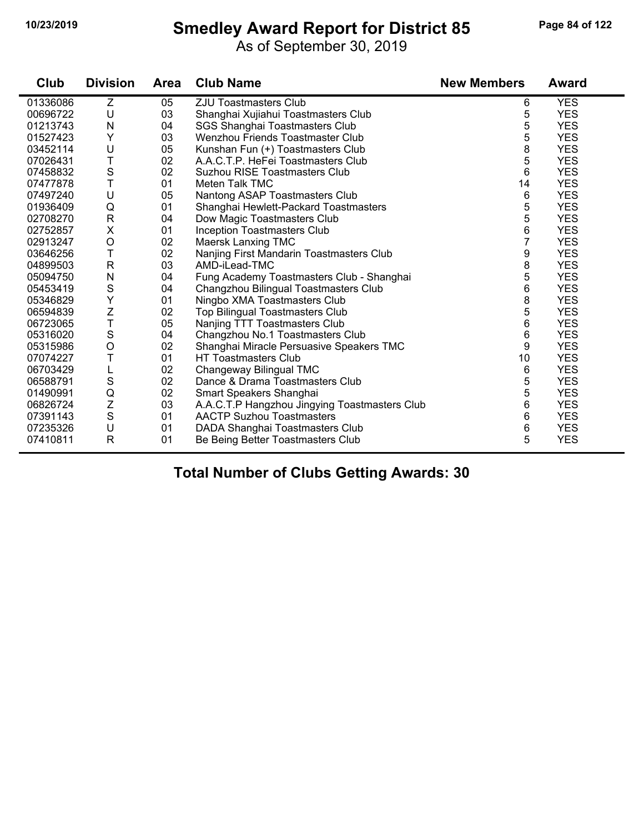# **10/23/2019 Smedley Award Report for District 85 Page 84 of 122**

As of September 30, 2019

| Club     | <b>Division</b>  | <b>Area</b> | <b>Club Name</b>                              | <b>New Members</b> | <b>Award</b> |
|----------|------------------|-------------|-----------------------------------------------|--------------------|--------------|
| 01336086 | Z                | 05          | ZJU Toastmasters Club                         | 6                  | <b>YES</b>   |
| 00696722 | U                | 03          | Shanghai Xujiahui Toastmasters Club           | 5                  | <b>YES</b>   |
| 01213743 | N                | 04          | SGS Shanghai Toastmasters Club                | 5                  | <b>YES</b>   |
| 01527423 | Υ                | 03          | Wenzhou Friends Toastmaster Club              | 5                  | <b>YES</b>   |
| 03452114 | U                | 05          | Kunshan Fun (+) Toastmasters Club             | 8                  | <b>YES</b>   |
| 07026431 | T                | 02          | A.A.C.T.P. HeFei Toastmasters Club            | 5                  | <b>YES</b>   |
| 07458832 | $\mathbf S$      | 02          | Suzhou RISE Toastmasters Club                 | 6                  | <b>YES</b>   |
| 07477878 | T                | 01          | Meten Talk TMC                                | 14                 | <b>YES</b>   |
| 07497240 | U                | 05          | Nantong ASAP Toastmasters Club                | 6                  | <b>YES</b>   |
| 01936409 | Q                | 01          | Shanghai Hewlett-Packard Toastmasters         | 5                  | <b>YES</b>   |
| 02708270 | $\mathsf{R}$     | 04          | Dow Magic Toastmasters Club                   | 5                  | <b>YES</b>   |
| 02752857 | X                | 01          | Inception Toastmasters Club                   | 6                  | <b>YES</b>   |
| 02913247 | $\mathsf O$      | 02          | Maersk Lanxing TMC                            | 7                  | <b>YES</b>   |
| 03646256 | Τ                | 02          | Nanjing First Mandarin Toastmasters Club      | 9                  | <b>YES</b>   |
| 04899503 | R                | 03          | AMD-iLead-TMC                                 | 8                  | <b>YES</b>   |
| 05094750 | N                | 04          | Fung Academy Toastmasters Club - Shanghai     | 5                  | <b>YES</b>   |
| 05453419 | $\mathbf S$      | 04          | Changzhou Bilingual Toastmasters Club         | 6                  | <b>YES</b>   |
| 05346829 | Υ                | 01          | Ningbo XMA Toastmasters Club                  | 8                  | <b>YES</b>   |
| 06594839 | Z                | 02          | <b>Top Bilingual Toastmasters Club</b>        | 5                  | <b>YES</b>   |
| 06723065 | T                | 05          | Nanjing TTT Toastmasters Club                 | 6                  | <b>YES</b>   |
| 05316020 | $\mathbf S$      | 04          | Changzhou No.1 Toastmasters Club              | 6                  | <b>YES</b>   |
| 05315986 | $\circ$          | 02          | Shanghai Miracle Persuasive Speakers TMC      | 9                  | <b>YES</b>   |
| 07074227 | T                | 01          | <b>HT Toastmasters Club</b>                   | 10                 | <b>YES</b>   |
| 06703429 | L                | 02          | Changeway Bilingual TMC                       | 6                  | <b>YES</b>   |
| 06588791 | $\mathbf S$      | 02          | Dance & Drama Toastmasters Club               | 5                  | <b>YES</b>   |
| 01490991 | Q                | 02          | Smart Speakers Shanghai                       | 5                  | <b>YES</b>   |
| 06826724 | $\boldsymbol{Z}$ | 03          | A.A.C.T.P Hangzhou Jingying Toastmasters Club | 6                  | <b>YES</b>   |
| 07391143 | $\mathbf S$      | 01          | <b>AACTP Suzhou Toastmasters</b>              | 6                  | <b>YES</b>   |
| 07235326 | U                | 01          | DADA Shanghai Toastmasters Club               | 6                  | <b>YES</b>   |
| 07410811 | $\mathsf{R}$     | 01          | Be Being Better Toastmasters Club             | 5                  | <b>YES</b>   |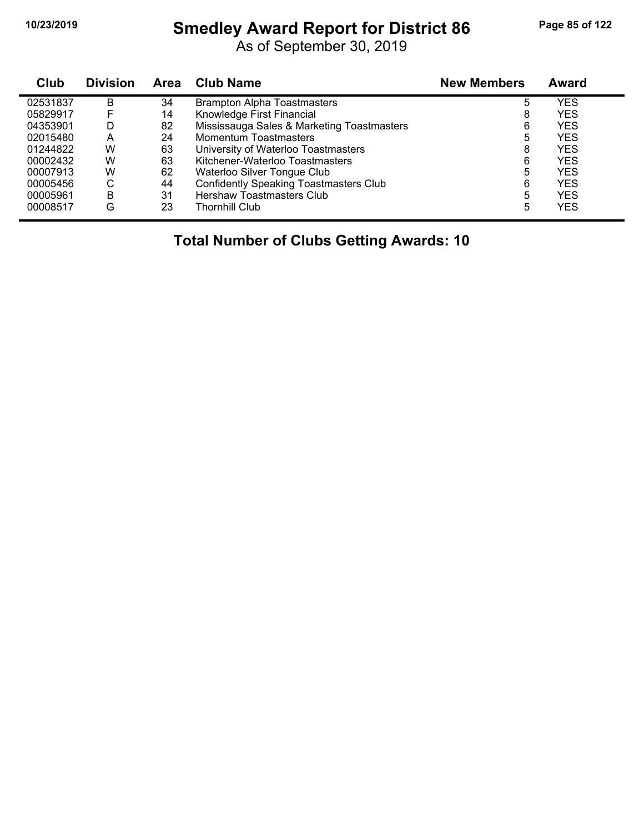# **10/23/2019 Smedley Award Report for District 86 Page 85 of 122**

As of September 30, 2019

| Club     | <b>Division</b> | Area | <b>Club Name</b>                              | <b>New Members</b> | <b>Award</b> |  |
|----------|-----------------|------|-----------------------------------------------|--------------------|--------------|--|
| 02531837 | в               | 34   | <b>Brampton Alpha Toastmasters</b>            | 5                  | YES          |  |
| 05829917 |                 | 14   | Knowledge First Financial                     | 8                  | <b>YES</b>   |  |
| 04353901 | D               | 82   | Mississauga Sales & Marketing Toastmasters    | 6                  | <b>YES</b>   |  |
| 02015480 | Α               | 24   | Momentum Toastmasters                         | 5                  | <b>YES</b>   |  |
| 01244822 | W               | 63   | University of Waterloo Toastmasters           | 8                  | <b>YES</b>   |  |
| 00002432 | W               | 63   | Kitchener-Waterloo Toastmasters               | 6                  | YES          |  |
| 00007913 | W               | 62   | Waterloo Silver Tongue Club                   | 5                  | YES          |  |
| 00005456 | С               | 44   | <b>Confidently Speaking Toastmasters Club</b> | 6                  | YES          |  |
| 00005961 | в               | 31   | <b>Hershaw Toastmasters Club</b>              | 5                  | YES          |  |
| 00008517 | G               | 23   | Thornhill Club                                | 5                  | YES          |  |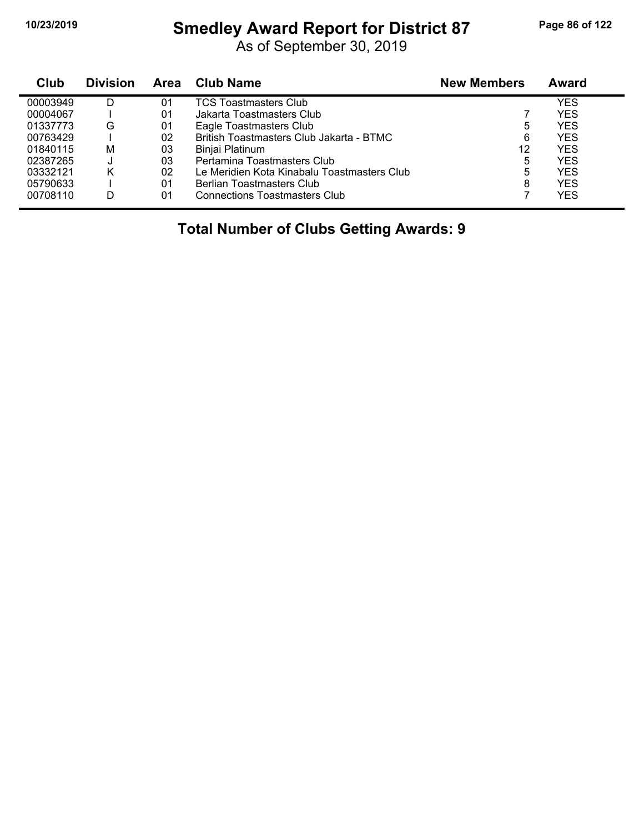# **10/23/2019 Smedley Award Report for District 87 Page 86 of 122**

As of September 30, 2019

| Club     | <b>Division</b> | <b>Area</b> | <b>Club Name</b>                            | <b>New Members</b> | <b>Award</b> |
|----------|-----------------|-------------|---------------------------------------------|--------------------|--------------|
| 00003949 | D               | 01          | <b>TCS Toastmasters Club</b>                |                    | YES          |
| 00004067 |                 | 01          | Jakarta Toastmasters Club                   |                    | YES          |
| 01337773 | G               | 01          | Eagle Toastmasters Club                     | 5                  | YES          |
| 00763429 |                 | 02          | British Toastmasters Club Jakarta - BTMC    | 6                  | YES          |
| 01840115 | М               | 03          | Binjai Platinum                             | 12                 | YES          |
| 02387265 | J               | 03          | Pertamina Toastmasters Club                 | 5                  | YES          |
| 03332121 | κ               | 02          | Le Meridien Kota Kinabalu Toastmasters Club | 5                  | YES          |
| 05790633 |                 | 01          | Berlian Toastmasters Club                   | 8                  | YES          |
| 00708110 | D               | 01          | <b>Connections Toastmasters Club</b>        |                    | YES          |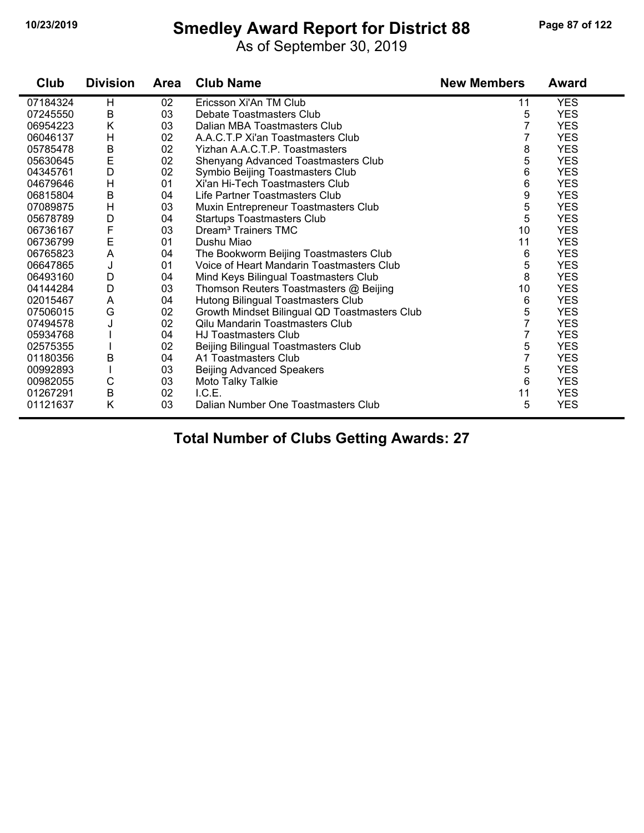# **10/23/2019 Smedley Award Report for District 88 Page 87 of 122**

As of September 30, 2019

| Club     | <b>Division</b> | <b>Area</b> | <b>Club Name</b>                              | <b>New Members</b> | <b>Award</b> |
|----------|-----------------|-------------|-----------------------------------------------|--------------------|--------------|
| 07184324 | H               | 02          | Ericsson Xi'An TM Club                        | 11                 | <b>YES</b>   |
| 07245550 | B               | 03          | Debate Toastmasters Club                      | 5                  | <b>YES</b>   |
| 06954223 | Κ               | 03          | Dalian MBA Toastmasters Club                  | 7                  | <b>YES</b>   |
| 06046137 | H               | 02          | A.A.C.T.P Xi'an Toastmasters Club             | 7                  | <b>YES</b>   |
| 05785478 | B               | 02          | Yizhan A.A.C.T.P. Toastmasters                | 8                  | <b>YES</b>   |
| 05630645 | E               | 02          | Shenyang Advanced Toastmasters Club           | 5                  | <b>YES</b>   |
| 04345761 | D               | 02          | Symbio Beijing Toastmasters Club              | 6                  | <b>YES</b>   |
| 04679646 | H               | 01          | Xi'an Hi-Tech Toastmasters Club               | 6                  | <b>YES</b>   |
| 06815804 | B               | 04          | Life Partner Toastmasters Club                | 9                  | <b>YES</b>   |
| 07089875 | H               | 03          | Muxin Entrepreneur Toastmasters Club          | 5                  | <b>YES</b>   |
| 05678789 | D               | 04          | <b>Startups Toastmasters Club</b>             | 5                  | <b>YES</b>   |
| 06736167 | F               | 03          | Dream <sup>3</sup> Trainers TMC               | 10                 | <b>YES</b>   |
| 06736799 | E               | 01          | Dushu Miao                                    | 11                 | <b>YES</b>   |
| 06765823 | A               | 04          | The Bookworm Beijing Toastmasters Club        | 6                  | <b>YES</b>   |
| 06647865 | J               | 01          | Voice of Heart Mandarin Toastmasters Club     | 5                  | <b>YES</b>   |
| 06493160 | D               | 04          | Mind Keys Bilingual Toastmasters Club         | 8                  | <b>YES</b>   |
| 04144284 | D               | 03          | Thomson Reuters Toastmasters @ Beijing        | 10                 | <b>YES</b>   |
| 02015467 | A               | 04          | Hutong Bilingual Toastmasters Club            | 6                  | <b>YES</b>   |
| 07506015 | G               | 02          | Growth Mindset Bilingual QD Toastmasters Club | 5                  | <b>YES</b>   |
| 07494578 |                 | 02          | <b>Qilu Mandarin Toastmasters Club</b>        | 7                  | <b>YES</b>   |
| 05934768 |                 | 04          | <b>HJ Toastmasters Club</b>                   | 7                  | <b>YES</b>   |
| 02575355 |                 | 02          | Beijing Bilingual Toastmasters Club           | 5                  | <b>YES</b>   |
| 01180356 | B               | 04          | A1 Toastmasters Club                          | 7                  | <b>YES</b>   |
| 00992893 |                 | 03          | <b>Beijing Advanced Speakers</b>              | 5                  | <b>YES</b>   |
| 00982055 | C               | 03          | Moto Talky Talkie                             | 6                  | <b>YES</b>   |
| 01267291 | B               | 02          | I.C.E.                                        | 11                 | <b>YES</b>   |
| 01121637 | Κ               | 03          | Dalian Number One Toastmasters Club           | 5                  | <b>YES</b>   |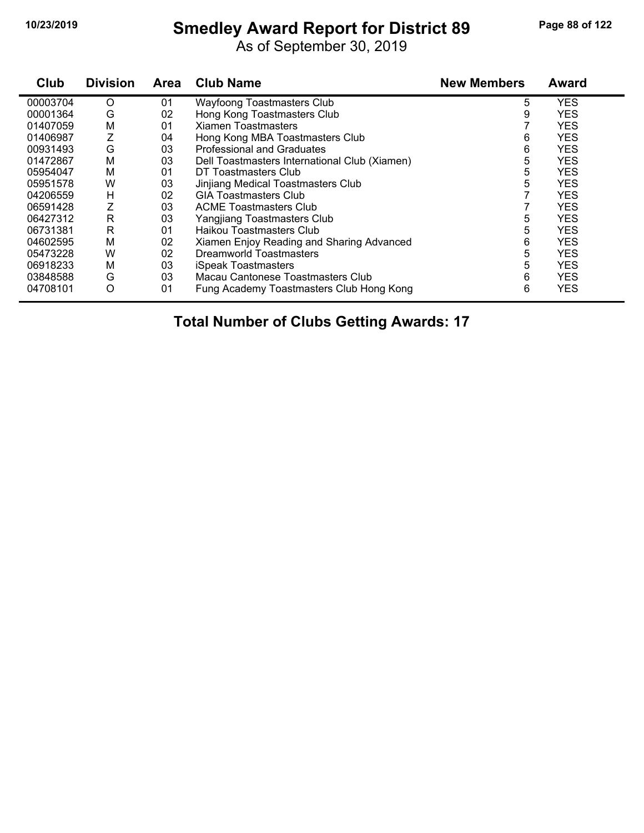#### **10/23/2019 Smedley Award Report for District 89 Page 88 of 122**

As of September 30, 2019

| Club     | <b>Division</b> | <b>Area</b> | <b>Club Name</b>                              | <b>New Members</b> | <b>Award</b> |
|----------|-----------------|-------------|-----------------------------------------------|--------------------|--------------|
| 00003704 | O               | 01          | <b>Wayfoong Toastmasters Club</b>             | 5                  | <b>YES</b>   |
| 00001364 | G               | 02          | Hong Kong Toastmasters Club                   | 9                  | <b>YES</b>   |
| 01407059 | М               | 01          | <b>Xiamen Toastmasters</b>                    |                    | <b>YES</b>   |
| 01406987 |                 | 04          | Hong Kong MBA Toastmasters Club               | 6                  | <b>YES</b>   |
| 00931493 | G               | 03          | <b>Professional and Graduates</b>             | 6                  | <b>YES</b>   |
| 01472867 | М               | 03          | Dell Toastmasters International Club (Xiamen) | 5                  | <b>YES</b>   |
| 05954047 | М               | 01          | DT Toastmasters Club                          | 5                  | <b>YES</b>   |
| 05951578 | W               | 03          | Jinjiang Medical Toastmasters Club            | 5                  | <b>YES</b>   |
| 04206559 | н               | 02          | <b>GIA Toastmasters Club</b>                  |                    | <b>YES</b>   |
| 06591428 |                 | 03          | <b>ACME Toastmasters Club</b>                 |                    | <b>YES</b>   |
| 06427312 | R               | 03          | Yangjiang Toastmasters Club                   | 5                  | <b>YES</b>   |
| 06731381 | R               | 01          | Haikou Toastmasters Club                      | 5                  | <b>YES</b>   |
| 04602595 | М               | 02          | Xiamen Enjoy Reading and Sharing Advanced     | 6                  | <b>YES</b>   |
| 05473228 | W               | 02          | <b>Dreamworld Toastmasters</b>                | 5                  | <b>YES</b>   |
| 06918233 | М               | 03          | <b>iSpeak Toastmasters</b>                    | 5                  | <b>YES</b>   |
| 03848588 | G               | 03          | Macau Cantonese Toastmasters Club             | 6                  | <b>YES</b>   |
| 04708101 | O               | 01          | Fung Academy Toastmasters Club Hong Kong      | 6                  | <b>YES</b>   |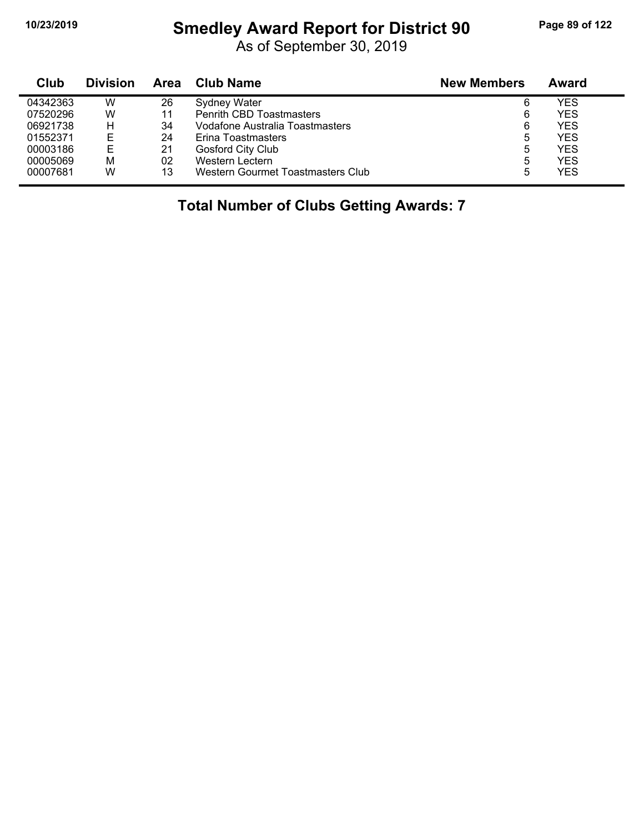# **10/23/2019 Smedley Award Report for District 90 Page 89 of 122**

As of September 30, 2019

| Club     | <b>Division</b> | Area | <b>Club Name</b>                  | <b>New Members</b> | Award |
|----------|-----------------|------|-----------------------------------|--------------------|-------|
| 04342363 | W               | 26   | Sydney Water                      | 6                  | YES   |
| 07520296 | W               | 11   | <b>Penrith CBD Toastmasters</b>   | 6                  | YES   |
| 06921738 | н               | 34   | Vodafone Australia Toastmasters   | 6                  | YES   |
| 01552371 |                 | 24   | Erina Toastmasters                | 5                  | YES   |
| 00003186 | Е               | 21   | Gosford City Club                 | 5                  | YES   |
| 00005069 | M               | 02   | Western Lectern                   | 5                  | YES   |
| 00007681 | W               | 13   | Western Gourmet Toastmasters Club | 5                  | YES   |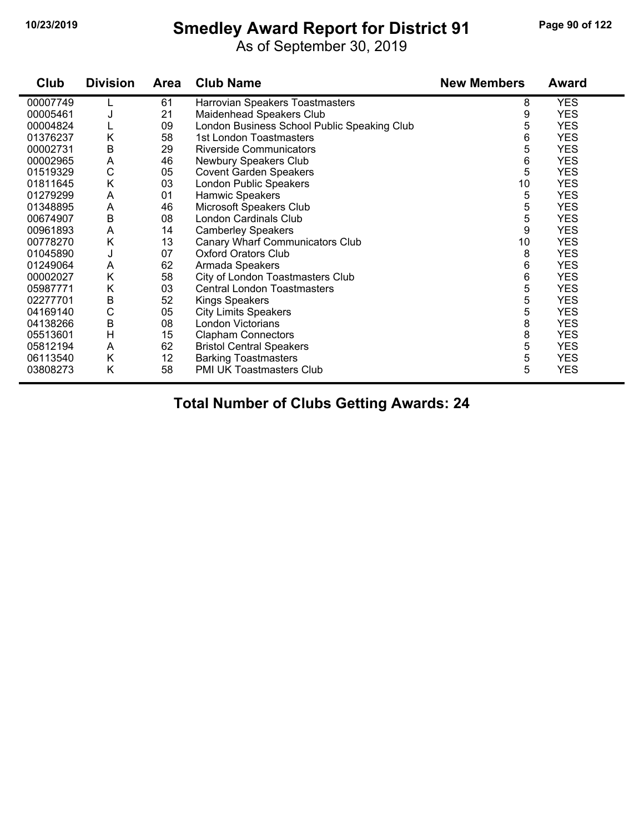# **10/23/2019 Smedley Award Report for District 91 Page 90 of 122**

As of September 30, 2019

| Club     | <b>Division</b> | <b>Area</b> | <b>Club Name</b>                            | <b>New Members</b> | <b>Award</b> |
|----------|-----------------|-------------|---------------------------------------------|--------------------|--------------|
| 00007749 |                 | 61          | Harrovian Speakers Toastmasters             | 8                  | <b>YES</b>   |
| 00005461 | J               | 21          | Maidenhead Speakers Club                    | 9                  | <b>YES</b>   |
| 00004824 |                 | 09          | London Business School Public Speaking Club | 5                  | <b>YES</b>   |
| 01376237 | Κ               | 58          | 1st London Toastmasters                     | 6                  | <b>YES</b>   |
| 00002731 | B               | 29          | <b>Riverside Communicators</b>              | 5                  | <b>YES</b>   |
| 00002965 | A               | 46          | Newbury Speakers Club                       | 6                  | <b>YES</b>   |
| 01519329 | $\mathsf C$     | 05          | <b>Covent Garden Speakers</b>               | 5                  | <b>YES</b>   |
| 01811645 | Κ               | 03          | London Public Speakers                      | 10                 | <b>YES</b>   |
| 01279299 | A               | 01          | Hamwic Speakers                             | 5                  | <b>YES</b>   |
| 01348895 | Α               | 46          | Microsoft Speakers Club                     | 5                  | <b>YES</b>   |
| 00674907 | B               | 08          | London Cardinals Club                       | 5                  | <b>YES</b>   |
| 00961893 | Α               | 14          | <b>Camberley Speakers</b>                   | 9                  | <b>YES</b>   |
| 00778270 | Κ               | 13          | Canary Wharf Communicators Club             | 10                 | <b>YES</b>   |
| 01045890 | J               | 07          | <b>Oxford Orators Club</b>                  | 8                  | <b>YES</b>   |
| 01249064 | A               | 62          | Armada Speakers                             | 6                  | <b>YES</b>   |
| 00002027 | Κ               | 58          | City of London Toastmasters Club            | 6                  | <b>YES</b>   |
| 05987771 | Κ               | 03          | <b>Central London Toastmasters</b>          | 5                  | <b>YES</b>   |
| 02277701 | B               | 52          | Kings Speakers                              | 5                  | <b>YES</b>   |
| 04169140 | C               | 05          | <b>City Limits Speakers</b>                 | 5                  | <b>YES</b>   |
| 04138266 | B               | 08          | London Victorians                           | 8                  | <b>YES</b>   |
| 05513601 | H               | 15          | <b>Clapham Connectors</b>                   | 8                  | <b>YES</b>   |
| 05812194 | A               | 62          | <b>Bristol Central Speakers</b>             | 5                  | <b>YES</b>   |
| 06113540 | Κ               | 12          | <b>Barking Toastmasters</b>                 | 5                  | <b>YES</b>   |
| 03808273 | Κ               | 58          | <b>PMI UK Toastmasters Club</b>             | 5                  | <b>YES</b>   |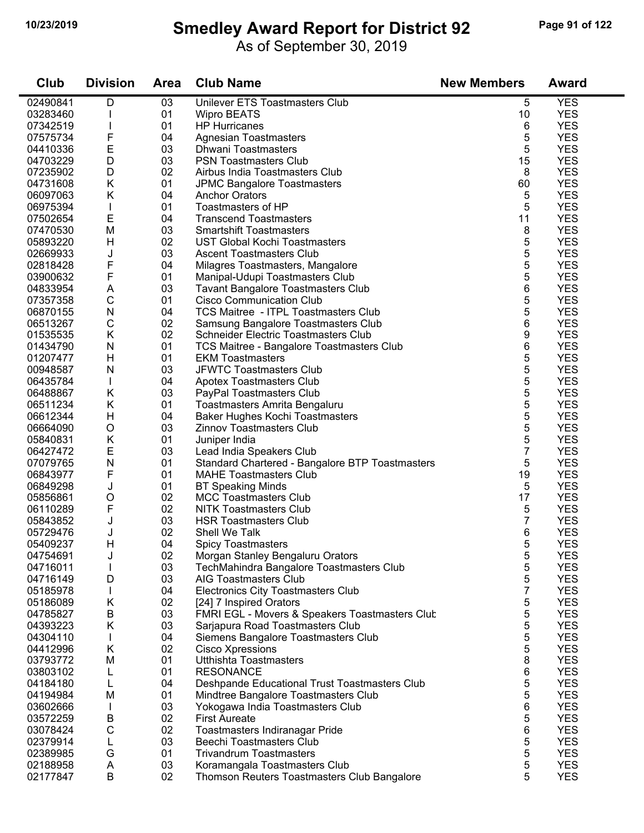### **10/23/2019 Smedley Award Report for District 92 Page 91 of 122**

As of September 30, 2019

| Club     | <b>Division</b> | Area | <b>Club Name</b>                                | <b>New Members</b> | Award      |
|----------|-----------------|------|-------------------------------------------------|--------------------|------------|
| 02490841 | D               | 03   | Unilever ETS Toastmasters Club                  | 5                  | <b>YES</b> |
| 03283460 |                 | 01   | <b>Wipro BEATS</b>                              | 10                 | <b>YES</b> |
| 07342519 |                 | 01   | <b>HP Hurricanes</b>                            | 6                  | <b>YES</b> |
| 07575734 | F               | 04   | <b>Agnesian Toastmasters</b>                    | 5                  | <b>YES</b> |
| 04410336 | E               | 03   | <b>Dhwani Toastmasters</b>                      | 5                  | <b>YES</b> |
| 04703229 | D               | 03   | <b>PSN Toastmasters Club</b>                    | 15                 | <b>YES</b> |
| 07235902 | D               | 02   | Airbus India Toastmasters Club                  | 8                  | <b>YES</b> |
| 04731608 | Κ               | 01   | <b>JPMC Bangalore Toastmasters</b>              | 60                 | <b>YES</b> |
| 06097063 | Κ               | 04   | <b>Anchor Orators</b>                           | 5                  | <b>YES</b> |
| 06975394 | L               | 01   | Toastmasters of HP                              | 5                  | <b>YES</b> |
| 07502654 | E               | 04   | <b>Transcend Toastmasters</b>                   | 11                 | <b>YES</b> |
| 07470530 | M               | 03   | <b>Smartshift Toastmasters</b>                  | 8                  | <b>YES</b> |
| 05893220 | H               | 02   | <b>UST Global Kochi Toastmasters</b>            | 5                  | <b>YES</b> |
| 02669933 | J               | 03   | <b>Ascent Toastmasters Club</b>                 | 5                  | <b>YES</b> |
| 02818428 | F               | 04   | Milagres Toastmasters, Mangalore                | 5                  | <b>YES</b> |
| 03900632 | F               | 01   | Manipal-Udupi Toastmasters Club                 | 5                  | <b>YES</b> |
| 04833954 | A               | 03   | <b>Tavant Bangalore Toastmasters Club</b>       | 6                  | <b>YES</b> |
| 07357358 | С               | 01   | <b>Cisco Communication Club</b>                 | 5                  | <b>YES</b> |
| 06870155 | N               | 04   | <b>TCS Maitree - ITPL Toastmasters Club</b>     | 5                  | <b>YES</b> |
| 06513267 | C               | 02   | Samsung Bangalore Toastmasters Club             | 6                  | <b>YES</b> |
| 01535535 | Κ               | 02   | <b>Schneider Electric Toastmasters Club</b>     | 9                  | <b>YES</b> |
| 01434790 | ${\sf N}$       | 01   | TCS Maitree - Bangalore Toastmasters Club       | 6                  | <b>YES</b> |
| 01207477 | H               | 01   | <b>EKM Toastmasters</b>                         | 5                  | <b>YES</b> |
| 00948587 | N               | 03   | <b>JFWTC Toastmasters Club</b>                  | 5                  | <b>YES</b> |
| 06435784 | L               | 04   | Apotex Toastmasters Club                        | 5                  | <b>YES</b> |
| 06488867 | Κ               | 03   | PayPal Toastmasters Club                        | 5                  | <b>YES</b> |
| 06511234 | Κ               | 01   | Toastmasters Amrita Bengaluru                   | 5                  | <b>YES</b> |
| 06612344 | H               | 04   | Baker Hughes Kochi Toastmasters                 | 5                  | <b>YES</b> |
| 06664090 | O               | 03   | Zinnov Toastmasters Club                        | 5                  | <b>YES</b> |
| 05840831 | Κ               | 01   | Juniper India                                   | 5                  | <b>YES</b> |
| 06427472 | E               | 03   | Lead India Speakers Club                        | 7                  | <b>YES</b> |
| 07079765 | Ν               | 01   | Standard Chartered - Bangalore BTP Toastmasters | 5                  | <b>YES</b> |
| 06843977 | F               | 01   | <b>MAHE Toastmasters Club</b>                   | 19                 | <b>YES</b> |
| 06849298 | J               | 01   | <b>BT Speaking Minds</b>                        | 5                  | <b>YES</b> |
| 05856861 | O               | 02   | <b>MCC Toastmasters Club</b>                    | 17                 | <b>YES</b> |
| 06110289 | F               | 02   | <b>NITK Toastmasters Club</b>                   | 5                  | <b>YES</b> |
| 05843852 |                 | 03   | <b>HSR Toastmasters Club</b>                    | 7                  | <b>YES</b> |
| 05729476 | J               | 02   | Shell We Talk                                   | 6                  | <b>YES</b> |
| 05409237 | Н               | 04   | <b>Spicy Toastmasters</b>                       | 5                  | <b>YES</b> |
| 04754691 | J               | 02   | Morgan Stanley Bengaluru Orators                | 5                  | <b>YES</b> |
| 04716011 |                 | 03   | TechMahindra Bangalore Toastmasters Club        | 5                  | <b>YES</b> |
| 04716149 | D               | 03   | <b>AIG Toastmasters Club</b>                    | 5                  | <b>YES</b> |
| 05185978 |                 | 04   | Electronics City Toastmasters Club              | $\overline{7}$     | <b>YES</b> |
| 05186089 | Κ               | 02   | [24] 7 Inspired Orators                         | 5                  | <b>YES</b> |
| 04785827 | B               | 03   | FMRI EGL - Movers & Speakers Toastmasters Clut  | 5                  | <b>YES</b> |
| 04393223 | Κ               | 03   | Sarjapura Road Toastmasters Club                | 5                  | <b>YES</b> |
| 04304110 | L               | 04   | Siemens Bangalore Toastmasters Club             | 5                  | <b>YES</b> |
| 04412996 | Κ               | 02   | Cisco Xpressions                                | 5                  | <b>YES</b> |
| 03793772 | M               | 01   | <b>Utthishta Toastmasters</b>                   | 8                  | <b>YES</b> |
| 03803102 | L               | 01   | <b>RESONANCE</b>                                | 6                  | <b>YES</b> |
| 04184180 | L               | 04   | Deshpande Educational Trust Toastmasters Club   | 5                  | <b>YES</b> |
| 04194984 | M               | 01   | Mindtree Bangalore Toastmasters Club            | 5                  | <b>YES</b> |
| 03602666 |                 | 03   | Yokogawa India Toastmasters Club                | 6                  | <b>YES</b> |
| 03572259 | B               | 02   | <b>First Aureate</b>                            | 5                  | <b>YES</b> |
| 03078424 | С               | 02   | Toastmasters Indiranagar Pride                  | 6                  | <b>YES</b> |
| 02379914 | L               | 03   | <b>Beechi Toastmasters Club</b>                 | 5                  | <b>YES</b> |
| 02389985 | G               | 01   | <b>Trivandrum Toastmasters</b>                  | 5                  | <b>YES</b> |
| 02188958 | A               | 03   | Koramangala Toastmasters Club                   | 5                  | <b>YES</b> |
| 02177847 | B               | 02   | Thomson Reuters Toastmasters Club Bangalore     | 5                  | <b>YES</b> |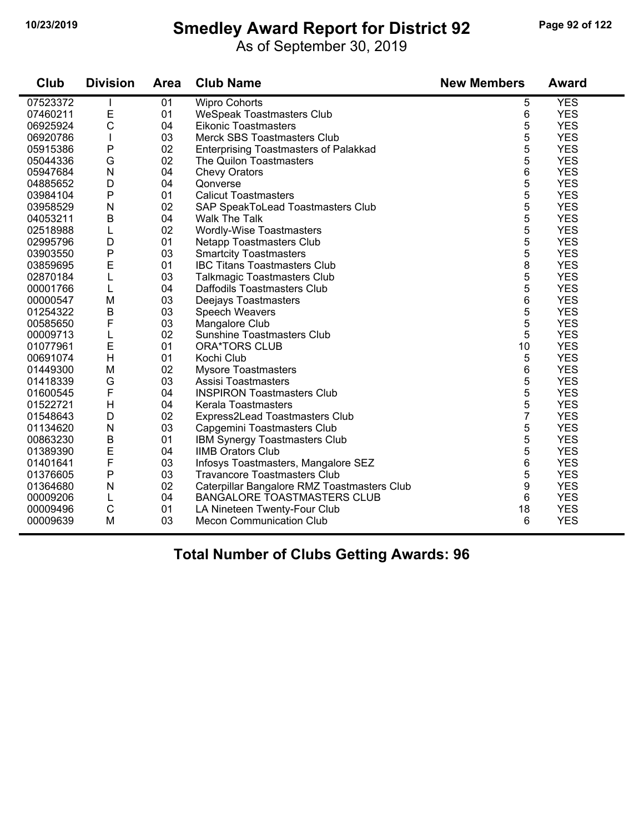### **10/23/2019 Smedley Award Report for District 92 Page 92 of 122**

As of September 30, 2019

| <b>Club</b> | <b>Division</b> | <b>Area</b> | <b>Club Name</b>                             | <b>New Members</b> | <b>Award</b> |
|-------------|-----------------|-------------|----------------------------------------------|--------------------|--------------|
| 07523372    |                 | 01          | <b>Wipro Cohorts</b>                         | 5                  | <b>YES</b>   |
| 07460211    | Е               | 01          | <b>WeSpeak Toastmasters Club</b>             | 6                  | <b>YES</b>   |
| 06925924    | $\mathsf{C}$    | 04          | <b>Eikonic Toastmasters</b>                  | 5                  | <b>YES</b>   |
| 06920786    |                 | 03          | Merck SBS Toastmasters Club                  | 5                  | <b>YES</b>   |
| 05915386    | $\mathsf{P}$    | 02          | <b>Enterprising Toastmasters of Palakkad</b> | 5                  | <b>YES</b>   |
| 05044336    | G               | 02          | The Quilon Toastmasters                      | 5                  | <b>YES</b>   |
| 05947684    | N               | 04          | <b>Chevy Orators</b>                         | 6                  | <b>YES</b>   |
| 04885652    | D               | 04          | Qonverse                                     | 5                  | <b>YES</b>   |
| 03984104    | P               | 01          | <b>Calicut Toastmasters</b>                  | 5                  | <b>YES</b>   |
| 03958529    | N               | 02          | SAP SpeakToLead Toastmasters Club            | 5                  | <b>YES</b>   |
| 04053211    | B               | 04          | <b>Walk The Talk</b>                         | 5                  | <b>YES</b>   |
| 02518988    | L               | 02          | Wordly-Wise Toastmasters                     | 5                  | <b>YES</b>   |
| 02995796    | D               | 01          | <b>Netapp Toastmasters Club</b>              | 5                  | <b>YES</b>   |
| 03903550    | P               | 03          | <b>Smartcity Toastmasters</b>                | 5                  | <b>YES</b>   |
| 03859695    | E               | 01          | <b>IBC Titans Toastmasters Club</b>          | 8                  | <b>YES</b>   |
| 02870184    | L               | 03          | <b>Talkmagic Toastmasters Club</b>           | 5                  | <b>YES</b>   |
| 00001766    | L               | 04          | Daffodils Toastmasters Club                  | 5                  | <b>YES</b>   |
| 00000547    | M               | 03          | Deejays Toastmasters                         | 6                  | <b>YES</b>   |
| 01254322    | $\sf B$         | 03          | Speech Weavers                               | 5                  | <b>YES</b>   |
| 00585650    | F               | 03          | Mangalore Club                               | 5                  | <b>YES</b>   |
| 00009713    | L               | 02          | <b>Sunshine Toastmasters Club</b>            | 5                  | <b>YES</b>   |
| 01077961    | E               | 01          | <b>ORA*TORS CLUB</b>                         | 10                 | <b>YES</b>   |
| 00691074    | Н               | 01          | Kochi Club                                   | 5                  | <b>YES</b>   |
| 01449300    | M               | 02          | <b>Mysore Toastmasters</b>                   | 6                  | <b>YES</b>   |
| 01418339    | G               | 03          | Assisi Toastmasters                          | 5                  | <b>YES</b>   |
| 01600545    | F               | 04          | <b>INSPIRON Toastmasters Club</b>            | 5                  | <b>YES</b>   |
| 01522721    | H               | 04          | Kerala Toastmasters                          | 5                  | <b>YES</b>   |
| 01548643    | D               | 02          | Express2Lead Toastmasters Club               | 7                  | <b>YES</b>   |
| 01134620    | N               | 03          | Capgemini Toastmasters Club                  | 5                  | <b>YES</b>   |
| 00863230    | B               | 01          | IBM Synergy Toastmasters Club                | 5                  | <b>YES</b>   |
| 01389390    | E               | 04          | <b>IIMB Orators Club</b>                     | 5                  | <b>YES</b>   |
| 01401641    | F               | 03          | Infosys Toastmasters, Mangalore SEZ          | 6                  | <b>YES</b>   |
| 01376605    | $\mathsf{P}$    | 03          | <b>Travancore Toastmasters Club</b>          | 5                  | <b>YES</b>   |
| 01364680    | N               | 02          | Caterpillar Bangalore RMZ Toastmasters Club  | 9                  | <b>YES</b>   |
| 00009206    | L               | 04          | <b>BANGALORE TOASTMASTERS CLUB</b>           | 6                  | <b>YES</b>   |
| 00009496    | $\mathsf{C}$    | 01          | LA Nineteen Twenty-Four Club                 | 18                 | <b>YES</b>   |
| 00009639    | M               | 03          | <b>Mecon Communication Club</b>              | 6                  | <b>YES</b>   |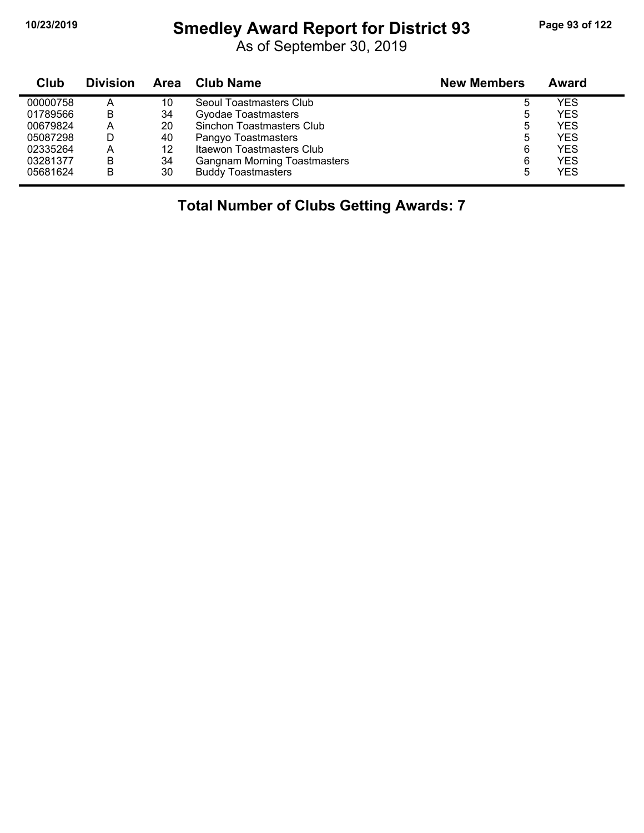# **10/23/2019 Smedley Award Report for District 93 Page 93 of 122**

As of September 30, 2019

| Club     | <b>Division</b> | Area | <b>Club Name</b>                    | <b>New Members</b> | Award      |
|----------|-----------------|------|-------------------------------------|--------------------|------------|
| 00000758 | А               | 10   | Seoul Toastmasters Club             |                    | <b>YES</b> |
| 01789566 | В               | 34   | Gyodae Toastmasters                 | 5                  | <b>YES</b> |
| 00679824 | A               | 20   | Sinchon Toastmasters Club           | 5                  | <b>YES</b> |
| 05087298 |                 | 40   | Pangyo Toastmasters                 | 5                  | <b>YES</b> |
| 02335264 | А               | 12   | Itaewon Toastmasters Club           | 6                  | <b>YES</b> |
| 03281377 | В               | 34   | <b>Gangnam Morning Toastmasters</b> | 6                  | <b>YES</b> |
| 05681624 | B               | 30   | <b>Buddy Toastmasters</b>           | 5                  | <b>YES</b> |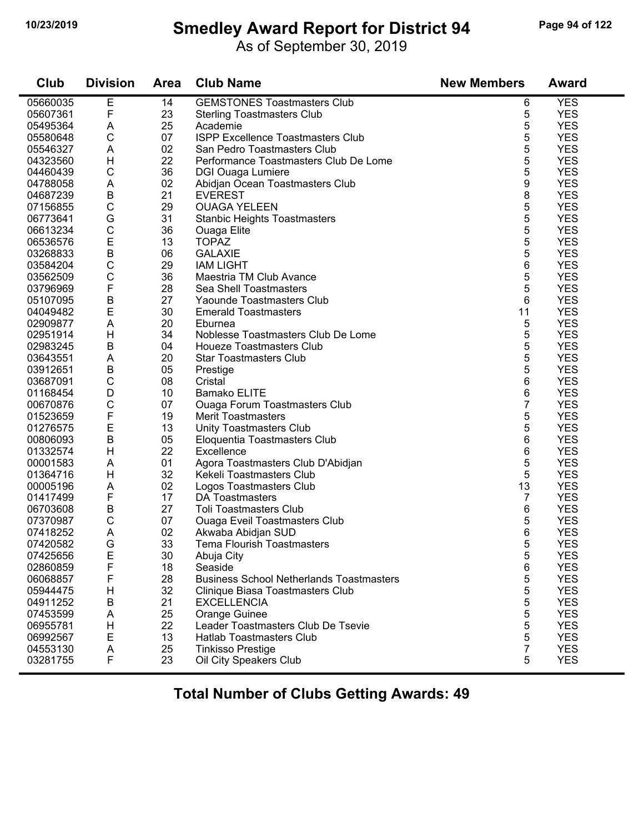# **10/23/2019 Smedley Award Report for District 94 Page 94 of 122**

As of September 30, 2019

| <b>Club</b> | <b>Division</b> | <b>Area</b> | <b>Club Name</b>                                | <b>New Members</b> | <b>Award</b> |
|-------------|-----------------|-------------|-------------------------------------------------|--------------------|--------------|
| 05660035    | Е               | 14          | <b>GEMSTONES Toastmasters Club</b>              | 6                  | <b>YES</b>   |
| 05607361    | F               | 23          | <b>Sterling Toastmasters Club</b>               | 5                  | <b>YES</b>   |
| 05495364    | A               | 25          | Academie                                        | 5                  | <b>YES</b>   |
| 05580648    | $\mathsf C$     | 07          | ISPP Excellence Toastmasters Club               | 5                  | <b>YES</b>   |
| 05546327    | A               | 02          | San Pedro Toastmasters Club                     | 5                  | <b>YES</b>   |
| 04323560    | H               | 22          | Performance Toastmasters Club De Lome           | 5                  | <b>YES</b>   |
| 04460439    | $\mathsf C$     | 36          | <b>DGI Ouaga Lumiere</b>                        | 5                  | <b>YES</b>   |
| 04788058    | A               | 02          | Abidjan Ocean Toastmasters Club                 | 9                  | <b>YES</b>   |
| 04687239    | B               | 21          | <b>EVEREST</b>                                  | 8                  | <b>YES</b>   |
| 07156855    | $\mathsf C$     | 29          | <b>OUAGA YELEEN</b>                             | 5                  | <b>YES</b>   |
| 06773641    | G               | 31          | <b>Stanbic Heights Toastmasters</b>             | 5                  | <b>YES</b>   |
| 06613234    | $\mathsf{C}$    | 36          | Ouaga Elite                                     | 5                  | <b>YES</b>   |
| 06536576    | E               | 13          | <b>TOPAZ</b>                                    | 5                  | <b>YES</b>   |
| 03268833    | $\sf B$         | 06          | <b>GALAXIE</b>                                  | 5                  | <b>YES</b>   |
| 03584204    | C               | 29          | <b>IAM LIGHT</b>                                | 6                  | <b>YES</b>   |
| 03562509    | $\mathsf C$     | 36          | Maestria TM Club Avance                         | 5                  | <b>YES</b>   |
|             | F               | 28          | Sea Shell Toastmasters                          |                    | <b>YES</b>   |
| 03796969    |                 |             |                                                 | 5                  |              |
| 05107095    | B               | 27          | Yaounde Toastmasters Club                       | 6                  | <b>YES</b>   |
| 04049482    | E               | 30          | <b>Emerald Toastmasters</b>                     | 11                 | <b>YES</b>   |
| 02909877    | A               | 20          | Eburnea                                         | 5                  | <b>YES</b>   |
| 02951914    | H               | 34          | Noblesse Toastmasters Club De Lome              | 5                  | <b>YES</b>   |
| 02983245    | B               | 04          | <b>Houeze Toastmasters Club</b>                 | 5                  | <b>YES</b>   |
| 03643551    | A               | 20          | <b>Star Toastmasters Club</b>                   | 5                  | <b>YES</b>   |
| 03912651    | B               | 05          | Prestige                                        | 5                  | <b>YES</b>   |
| 03687091    | $\mathsf{C}$    | 08          | Cristal                                         | 6                  | <b>YES</b>   |
| 01168454    | D               | 10          | <b>Bamako ELITE</b>                             | 6                  | <b>YES</b>   |
| 00670876    | $\mathsf{C}$    | 07          | <b>Ouaga Forum Toastmasters Club</b>            | 7                  | <b>YES</b>   |
| 01523659    | F               | 19          | <b>Merit Toastmasters</b>                       | 5                  | <b>YES</b>   |
| 01276575    | E               | 13          | Unity Toastmasters Club                         | 5                  | <b>YES</b>   |
| 00806093    | $\mathsf B$     | 05          | Eloquentia Toastmasters Club                    | 6                  | <b>YES</b>   |
| 01332574    | H               | 22          | Excellence                                      | 6                  | <b>YES</b>   |
| 00001583    | A               | 01          | Agora Toastmasters Club D'Abidjan               | 5                  | <b>YES</b>   |
| 01364716    | H               | 32          | Kekeli Toastmasters Club                        | 5                  | <b>YES</b>   |
| 00005196    | A               | 02          | Logos Toastmasters Club                         | 13                 | <b>YES</b>   |
| 01417499    | F               | 17          | DA Toastmasters                                 | 7                  | <b>YES</b>   |
| 06703608    | B               | 27          | <b>Toli Toastmasters Club</b>                   | 6                  | <b>YES</b>   |
| 07370987    | $\mathsf{C}$    | 07          | <b>Ouaga Eveil Toastmasters Club</b>            | 5                  | <b>YES</b>   |
| 07418252    | A               | 02          | Akwaba Abidjan SUD                              | 6                  | <b>YES</b>   |
| 07420582    | G               | 33          | Tema Flourish Toastmasters                      | 5                  | <b>YES</b>   |
| 07425656    | Е               | 30          | Abuja City                                      | 5                  | <b>YES</b>   |
| 02860859    | F               | 18          | Seaside                                         | 6                  | <b>YES</b>   |
| 06068857    | F               | 28          | <b>Business School Netherlands Toastmasters</b> | 5                  | <b>YES</b>   |
| 05944475    | H               | 32          | Clinique Biasa Toastmasters Club                | 5                  | <b>YES</b>   |
| 04911252    | B               | 21          | <b>EXCELLENCIA</b>                              | 5                  | <b>YES</b>   |
| 07453599    | A               | 25          | Orange Guinee                                   | 5                  | <b>YES</b>   |
| 06955781    | H               | 22          | Leader Toastmasters Club De Tsevie              | 5                  | <b>YES</b>   |
| 06992567    | E               | 13          | Hatlab Toastmasters Club                        | 5                  | <b>YES</b>   |
| 04553130    | A               | 25          | <b>Tinkisso Prestige</b>                        | 7                  | <b>YES</b>   |
| 03281755    | F               | 23          |                                                 | 5                  | <b>YES</b>   |
|             |                 |             | Oil City Speakers Club                          |                    |              |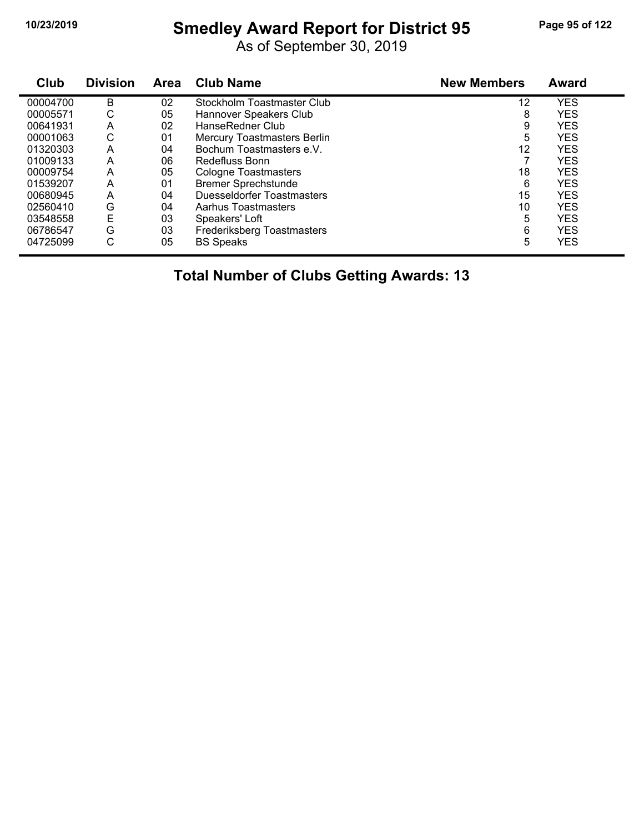# **10/23/2019 Smedley Award Report for District 95 Page 95 of 122**

As of September 30, 2019

| Club     | <b>Division</b> | Area | <b>Club Name</b>            | <b>New Members</b> | <b>Award</b> |
|----------|-----------------|------|-----------------------------|--------------------|--------------|
| 00004700 | B               | 02   | Stockholm Toastmaster Club  | 12                 | <b>YES</b>   |
| 00005571 | С               | 05   | Hannover Speakers Club      | 8                  | <b>YES</b>   |
| 00641931 | A               | 02   | HanseRedner Club            | 9                  | <b>YES</b>   |
| 00001063 | С               | 01   | Mercury Toastmasters Berlin | 5                  | <b>YES</b>   |
| 01320303 | Α               | 04   | Bochum Toastmasters e.V.    | 12                 | <b>YES</b>   |
| 01009133 | Α               | 06   | Redefluss Bonn              |                    | <b>YES</b>   |
| 00009754 | A               | 05   | Cologne Toastmasters        | 18                 | <b>YES</b>   |
| 01539207 | A               | 01   | <b>Bremer Sprechstunde</b>  | 6                  | <b>YES</b>   |
| 00680945 | A               | 04   | Duesseldorfer Toastmasters  | 15                 | <b>YES</b>   |
| 02560410 | G               | 04   | Aarhus Toastmasters         | 10                 | <b>YES</b>   |
| 03548558 | E               | 03   | Speakers' Loft              | 5                  | <b>YES</b>   |
| 06786547 | G               | 03   | Frederiksberg Toastmasters  | 6                  | <b>YES</b>   |
| 04725099 | С               | 05   | <b>BS Speaks</b>            | 5                  | <b>YES</b>   |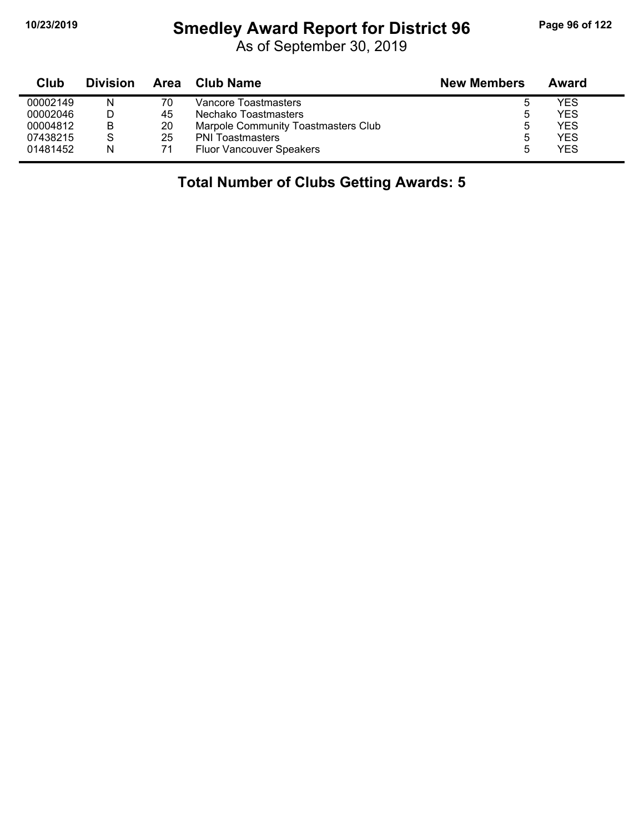# **10/23/2019 Smedley Award Report for District 96 Page 96 of 122**

As of September 30, 2019

| Club     | <b>Division</b> | Area | Club Name                           | <b>New Members</b> | Award |
|----------|-----------------|------|-------------------------------------|--------------------|-------|
| 00002149 | N               | 70   | Vancore Toastmasters                |                    | YES   |
| 00002046 |                 | 45   | Nechako Toastmasters                | b                  | YES   |
| 00004812 | В               | 20   | Marpole Community Toastmasters Club |                    | YES.  |
| 07438215 | S               | 25   | <b>PNI Toastmasters</b>             | b                  | YES   |
| 01481452 | N               | 71   | <b>Fluor Vancouver Speakers</b>     |                    | YES   |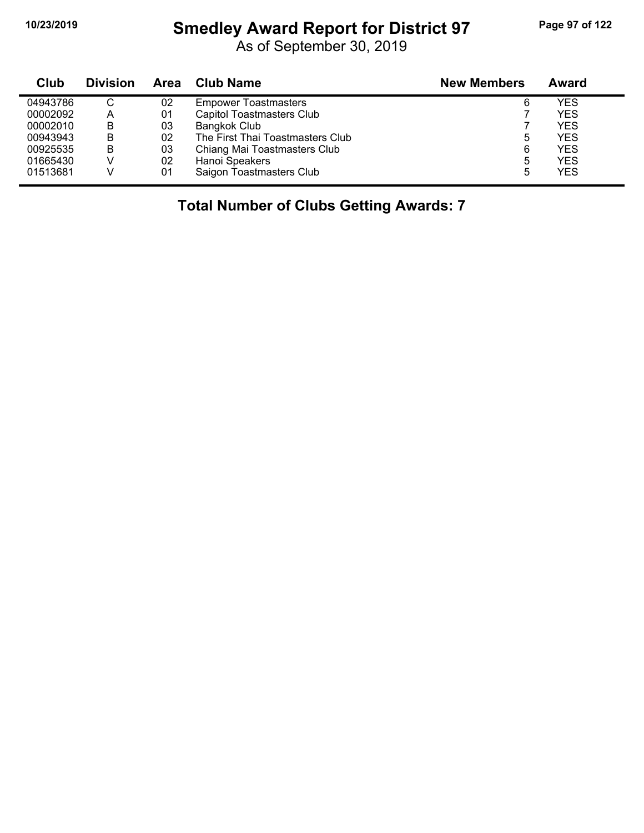# **10/23/2019 Smedley Award Report for District 97 Page 97 of 122**

As of September 30, 2019

| Club     | <b>Division</b> | Area | <b>Club Name</b>                 | <b>New Members</b> | Award      |
|----------|-----------------|------|----------------------------------|--------------------|------------|
| 04943786 | C               | 02   | <b>Empower Toastmasters</b>      | 6                  | <b>YES</b> |
| 00002092 | A               | 01   | <b>Capitol Toastmasters Club</b> |                    | <b>YES</b> |
| 00002010 | B               | 03   | Bangkok Club                     |                    | <b>YES</b> |
| 00943943 | B               | 02   | The First Thai Toastmasters Club | 5                  | <b>YES</b> |
| 00925535 | B               | 03   | Chiang Mai Toastmasters Club     | 6                  | <b>YES</b> |
| 01665430 |                 | 02   | Hanoi Speakers                   | 5                  | <b>YES</b> |
| 01513681 |                 | 01   | Saigon Toastmasters Club         | 5                  | <b>YES</b> |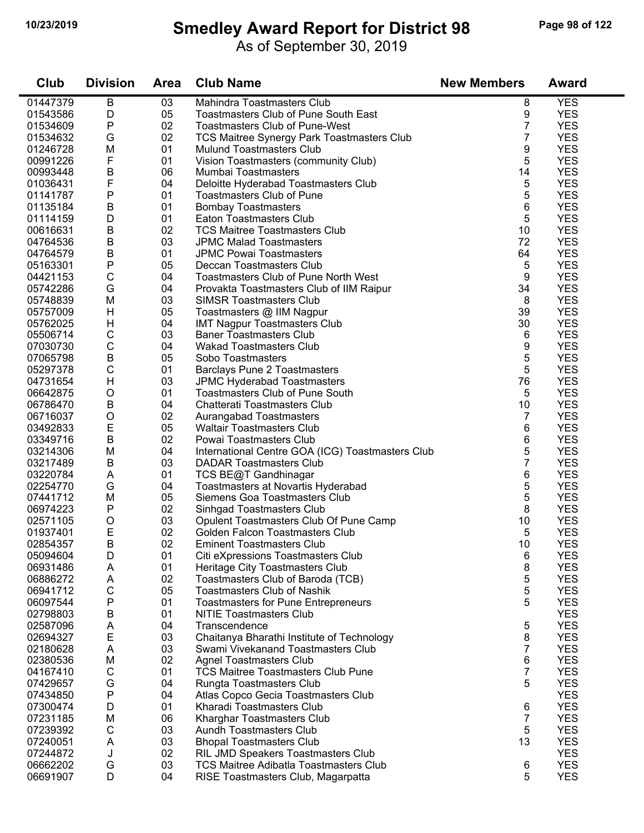### **10/23/2019 Smedley Award Report for District 98 Page 98 of 122**

As of September 30, 2019

| Club     | <b>Division</b> | <b>Area</b> | <b>Club Name</b>                                 | <b>New Members</b> | <b>Award</b> |
|----------|-----------------|-------------|--------------------------------------------------|--------------------|--------------|
| 01447379 | B               | 03          | Mahindra Toastmasters Club                       | 8                  | <b>YES</b>   |
| 01543586 | D               | 05          | Toastmasters Club of Pune South East             | 9                  | <b>YES</b>   |
| 01534609 | ${\sf P}$       | 02          | <b>Toastmasters Club of Pune-West</b>            | $\overline{7}$     | <b>YES</b>   |
| 01534632 | G               | 02          | TCS Maitree Synergy Park Toastmasters Club       | 7                  | <b>YES</b>   |
| 01246728 | M               | 01          | <b>Mulund Toastmasters Club</b>                  | 9                  | <b>YES</b>   |
| 00991226 | F               | 01          | Vision Toastmasters (community Club)             | 5                  | <b>YES</b>   |
| 00993448 | В               | 06          | Mumbai Toastmasters                              | 14                 | <b>YES</b>   |
| 01036431 | F               | 04          | Deloitte Hyderabad Toastmasters Club             | 5                  | <b>YES</b>   |
| 01141787 | Ρ               | 01          | <b>Toastmasters Club of Pune</b>                 | 5                  | <b>YES</b>   |
| 01135184 | B               | 01          | <b>Bombay Toastmasters</b>                       | 6                  | <b>YES</b>   |
| 01114159 | D               | 01          | Eaton Toastmasters Club                          | 5                  | <b>YES</b>   |
| 00616631 | B               | 02          | <b>TCS Maitree Toastmasters Club</b>             | 10                 | <b>YES</b>   |
| 04764536 | В               | 03          | <b>JPMC Malad Toastmasters</b>                   | 72                 | <b>YES</b>   |
| 04764579 | B               | 01          | <b>JPMC Powai Toastmasters</b>                   | 64                 | <b>YES</b>   |
| 05163301 | P               | 05          | Deccan Toastmasters Club                         | 5                  | <b>YES</b>   |
| 04421153 | $\mathsf C$     | 04          | <b>Toastmasters Club of Pune North West</b>      | 9                  | <b>YES</b>   |
| 05742286 | G               | 04          | Provakta Toastmasters Club of IIM Raipur         | 34                 | <b>YES</b>   |
| 05748839 | M               | 03          | <b>SIMSR Toastmasters Club</b>                   | 8                  | <b>YES</b>   |
| 05757009 | H               | 05          | Toastmasters @ IIM Nagpur                        | 39                 | <b>YES</b>   |
| 05762025 | H               | 04          | <b>IMT Nagpur Toastmasters Club</b>              | 30                 | <b>YES</b>   |
| 05506714 | $\mathsf C$     | 03          | <b>Baner Toastmasters Club</b>                   | 6                  | <b>YES</b>   |
| 07030730 | $\mathsf C$     | 04          | <b>Wakad Toastmasters Club</b>                   | 9                  | <b>YES</b>   |
| 07065798 | $\sf B$         | 05          | Sobo Toastmasters                                | 5                  | <b>YES</b>   |
| 05297378 | $\mathsf C$     | 01          | <b>Barclays Pune 2 Toastmasters</b>              | 5                  | <b>YES</b>   |
| 04731654 | H               | 03          | JPMC Hyderabad Toastmasters                      | 76                 | <b>YES</b>   |
| 06642875 | O               | 01          | Toastmasters Club of Pune South                  | 5                  | <b>YES</b>   |
| 06786470 | В               | 04          | Chatterati Toastmasters Club                     | 10                 | <b>YES</b>   |
| 06716037 | $\circ$         | 02          | Aurangabad Toastmasters                          | 7                  | <b>YES</b>   |
| 03492833 | E               | 05          | <b>Waltair Toastmasters Club</b>                 | 6                  | <b>YES</b>   |
| 03349716 | B               | 02          | Powai Toastmasters Club                          | 6                  | <b>YES</b>   |
| 03214306 | M               | 04          | International Centre GOA (ICG) Toastmasters Club | 5                  | <b>YES</b>   |
| 03217489 | B               | 03          | <b>DADAR Toastmasters Club</b>                   | 7                  | <b>YES</b>   |
| 03220784 | A               | 01          | TCS BE@T Gandhinagar                             | 6                  | <b>YES</b>   |
| 02254770 | G               | 04          | Toastmasters at Novartis Hyderabad               | 5                  | <b>YES</b>   |
| 07441712 | M               | 05          | Siemens Goa Toastmasters Club                    | 5                  | <b>YES</b>   |
| 06974223 | $\mathsf{P}$    | 02          | Sinhgad Toastmasters Club                        | 8                  | <b>YES</b>   |
| 02571105 | O               | 03          | Opulent Toastmasters Club Of Pune Camp           | 10                 | <b>YES</b>   |
| 01937401 | Е               | 02          | Golden Falcon Toastmasters Club                  | 5                  | <b>YES</b>   |
| 02854357 | B               | 02          | Eminent Toastmasters Club                        | 10                 | <b>YES</b>   |
| 05094604 | D               | 01          | Citi eXpressions Toastmasters Club               | 6                  | <b>YES</b>   |
| 06931486 | A               | 01          | Heritage City Toastmasters Club                  | 8                  | <b>YES</b>   |
| 06886272 | A               | 02          | Toastmasters Club of Baroda (TCB)                | 5                  | <b>YES</b>   |
| 06941712 | C               | 05          | <b>Toastmasters Club of Nashik</b>               | 5                  | <b>YES</b>   |
| 06097544 | Ρ               | 01          | <b>Toastmasters for Pune Entrepreneurs</b>       | 5                  | <b>YES</b>   |
| 02798803 | B               | 01          | <b>NITIE Toastmasters Club</b>                   |                    | <b>YES</b>   |
| 02587096 | Α               | 04          | Transcendence                                    | 5                  | <b>YES</b>   |
| 02694327 | Е               | 03          | Chaitanya Bharathi Institute of Technology       | 8                  | <b>YES</b>   |
| 02180628 | A               | 03          | Swami Vivekanand Toastmasters Club               | 7                  | <b>YES</b>   |
| 02380536 | M               | 02          | <b>Agnel Toastmasters Club</b>                   | 6                  | <b>YES</b>   |
| 04167410 | C               | 01          | <b>TCS Maitree Toastmasters Club Pune</b>        | 7                  | <b>YES</b>   |
| 07429657 | G               | 04          | Rungta Toastmasters Club                         | 5                  | <b>YES</b>   |
| 07434850 | P               | 04          | Atlas Copco Gecia Toastmasters Club              |                    | <b>YES</b>   |
| 07300474 | D               | 01          | Kharadi Toastmasters Club                        | 6                  | <b>YES</b>   |
| 07231185 | M               | 06          | Kharghar Toastmasters Club                       | 7                  | <b>YES</b>   |
| 07239392 | $\mathsf C$     | 03          | Aundh Toastmasters Club                          | 5                  | <b>YES</b>   |
| 07240051 | Α               | 03          | <b>Bhopal Toastmasters Club</b>                  | 13                 | <b>YES</b>   |
| 07244872 | J               | 02          | RIL JMD Speakers Toastmasters Club               |                    | <b>YES</b>   |
| 06662202 | G               | 03          | <b>TCS Maitree Adibatla Toastmasters Club</b>    | 6                  | <b>YES</b>   |
| 06691907 | D               | 04          | RISE Toastmasters Club, Magarpatta               | 5                  | <b>YES</b>   |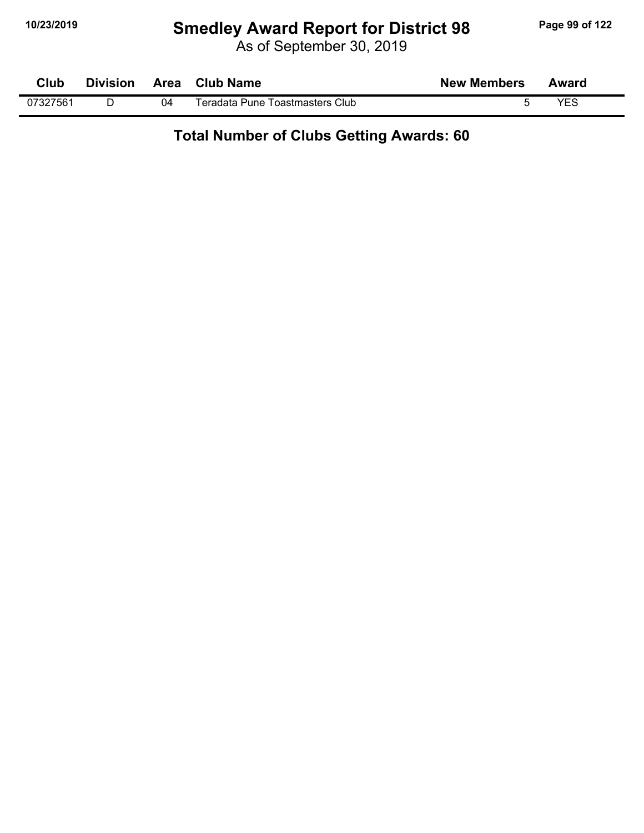# **10/23/2019 Smedley Award Report for District 98 Page 99 of 122**

As of September 30, 2019

| Club     | <b>Division</b> |    | Area Club Name                  | <b>New Members</b> | Award |  |
|----------|-----------------|----|---------------------------------|--------------------|-------|--|
| 07327561 |                 | 04 | Teradata Pune Toastmasters Club |                    | YES   |  |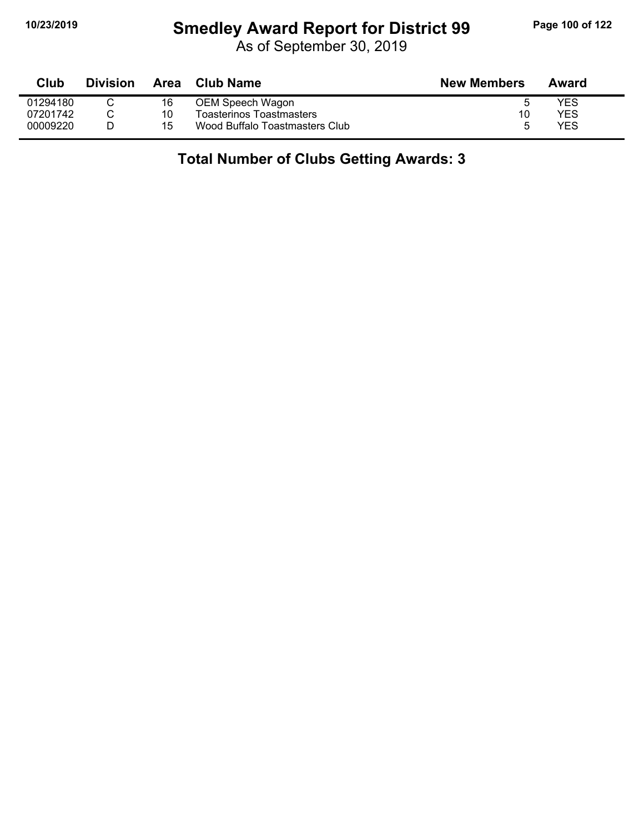# **10/23/2019 Smedley Award Report for District 99 Page 100 of 122**

As of September 30, 2019

| Club     | <b>Division</b> | Area | Club Name                      | <b>New Members</b> | Award |
|----------|-----------------|------|--------------------------------|--------------------|-------|
| 01294180 |                 | 16   | OEM Speech Wagon               |                    | YES   |
| 07201742 |                 | 10   | Toasterinos Toastmasters       | 10                 | YES   |
| 00009220 |                 | 15   | Wood Buffalo Toastmasters Club |                    | YES   |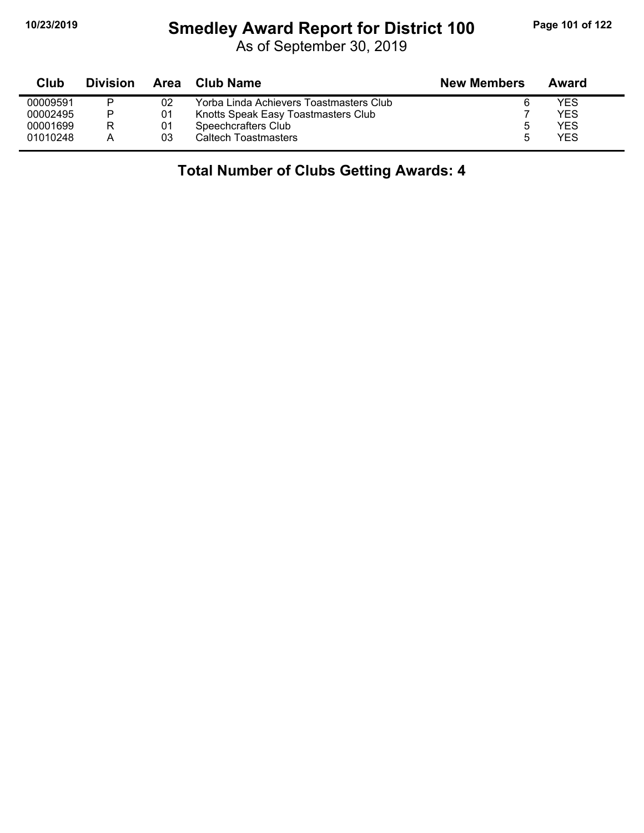## **10/23/2019 Smedley Award Report for District 100 Page 101 of 122**

As of September 30, 2019

| Club     | <b>Division</b> | Area | Club Name                               | <b>New Members</b> | Award |  |
|----------|-----------------|------|-----------------------------------------|--------------------|-------|--|
| 00009591 | P               | 02   | Yorba Linda Achievers Toastmasters Club |                    | YES   |  |
| 00002495 | P               | 01   | Knotts Speak Easy Toastmasters Club     |                    | YES   |  |
| 00001699 | R               | 01   | Speechcrafters Club                     |                    | YES   |  |
| 01010248 | А               | 03   | Caltech Toastmasters                    |                    | YES   |  |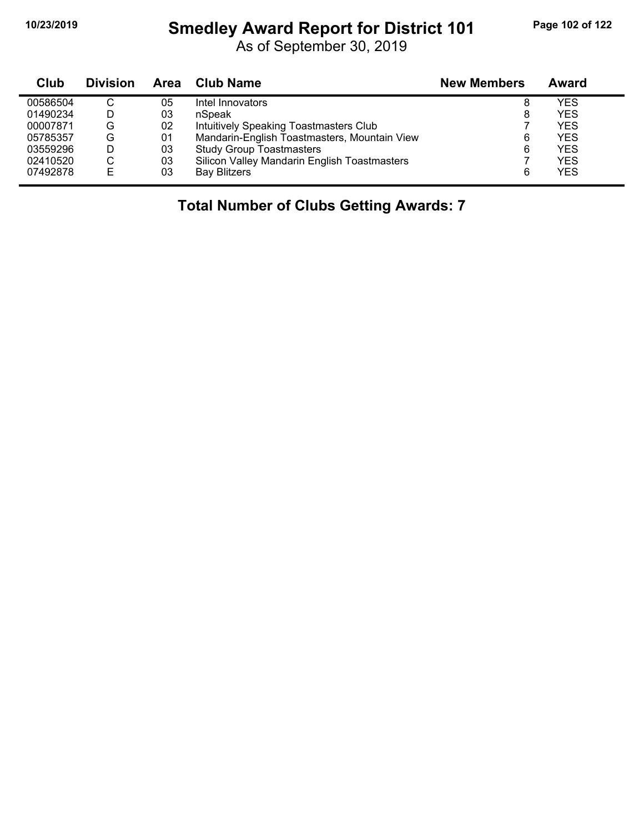# **10/23/2019 Smedley Award Report for District 101 Page 102 of 122**

As of September 30, 2019

| Club     | <b>Division</b> | Area | <b>Club Name</b>                             | <b>New Members</b> | Award      |
|----------|-----------------|------|----------------------------------------------|--------------------|------------|
| 00586504 | $\sim$<br>◡     | 05   | Intel Innovators                             | 8                  | YES        |
| 01490234 | D               | 03   | nSpeak                                       | 8                  | <b>YES</b> |
| 00007871 | G               | 02   | Intuitively Speaking Toastmasters Club       |                    | <b>YES</b> |
| 05785357 | G               | 01   | Mandarin-English Toastmasters, Mountain View | 6                  | <b>YES</b> |
| 03559296 | D               | 03   | <b>Study Group Toastmasters</b>              | 6                  | <b>YES</b> |
| 02410520 | С               | 03   | Silicon Valley Mandarin English Toastmasters |                    | <b>YES</b> |
| 07492878 | F               | 03   | <b>Bay Blitzers</b>                          | 6                  | <b>YES</b> |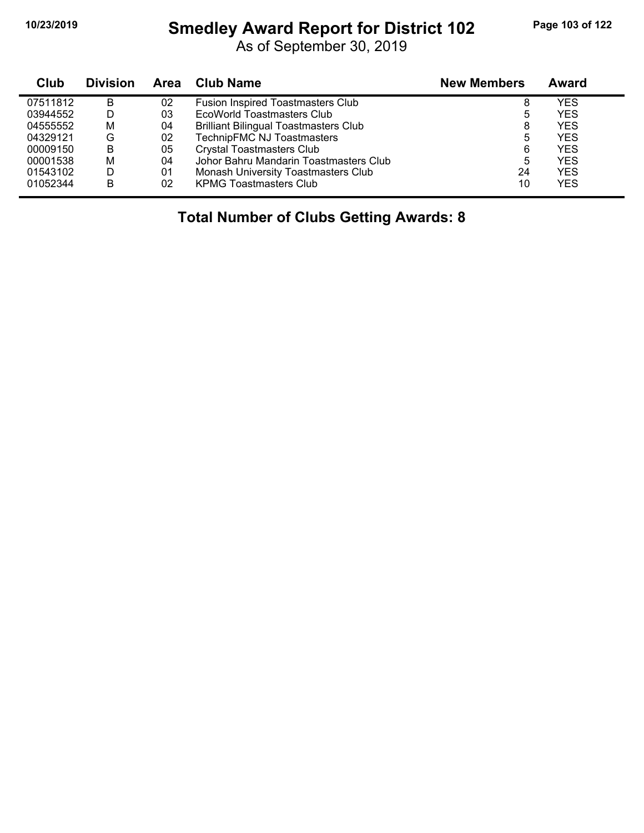# **10/23/2019 Smedley Award Report for District 102 Page 103 of 122**

As of September 30, 2019

| Club     | <b>Division</b> | <b>Area</b> | Club Name                                    | <b>New Members</b> | Award      |
|----------|-----------------|-------------|----------------------------------------------|--------------------|------------|
| 07511812 | в               | 02          | <b>Fusion Inspired Toastmasters Club</b>     | 8                  | YES        |
| 03944552 | D               | 03          | EcoWorld Toastmasters Club                   | 5                  | <b>YES</b> |
| 04555552 | M               | 04          | <b>Brilliant Bilingual Toastmasters Club</b> | 8                  | <b>YES</b> |
| 04329121 | G               | 02          | TechnipFMC NJ Toastmasters                   | 5                  | <b>YES</b> |
| 00009150 | B               | 05          | <b>Crystal Toastmasters Club</b>             | 6                  | <b>YES</b> |
| 00001538 | М               | 04          | Johor Bahru Mandarin Toastmasters Club       | 5                  | YES        |
| 01543102 | D               | 01          | Monash University Toastmasters Club          | 24                 | <b>YES</b> |
| 01052344 | В               | 02          | <b>KPMG Toastmasters Club</b>                | 10                 | YES        |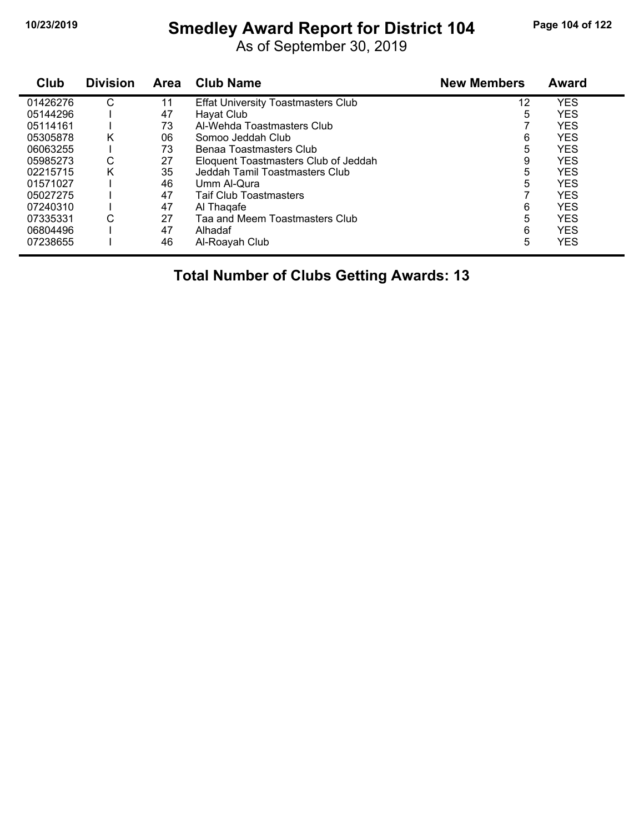# **10/23/2019 Smedley Award Report for District 104 Page 104 of 122**

As of September 30, 2019

| Club     | <b>Division</b> | <b>Area</b> | <b>Club Name</b>                          | <b>New Members</b> | Award      |
|----------|-----------------|-------------|-------------------------------------------|--------------------|------------|
| 01426276 | С               | 11          | <b>Effat University Toastmasters Club</b> | 12                 | <b>YES</b> |
| 05144296 |                 | 47          | Hayat Club                                | 5                  | <b>YES</b> |
| 05114161 |                 | 73          | Al-Wehda Toastmasters Club                |                    | <b>YES</b> |
| 05305878 | Κ               | 06          | Somoo Jeddah Club                         | 6                  | <b>YES</b> |
| 06063255 |                 | 73          | Benaa Toastmasters Club                   | 5                  | <b>YES</b> |
| 05985273 | С               | 27          | Eloquent Toastmasters Club of Jeddah      | 9                  | <b>YES</b> |
| 02215715 | Κ               | 35          | Jeddah Tamil Toastmasters Club            | 5                  | <b>YES</b> |
| 01571027 |                 | 46          | Umm Al-Qura                               | 5                  | <b>YES</b> |
| 05027275 |                 | 47          | <b>Taif Club Toastmasters</b>             |                    | <b>YES</b> |
| 07240310 |                 | 47          | Al Thagafe                                | 6                  | <b>YES</b> |
| 07335331 | С               | 27          | Taa and Meem Toastmasters Club            | 5                  | <b>YES</b> |
| 06804496 |                 | 47          | Alhadaf                                   | 6                  | <b>YES</b> |
| 07238655 |                 | 46          | Al-Roayah Club                            | 5                  | <b>YES</b> |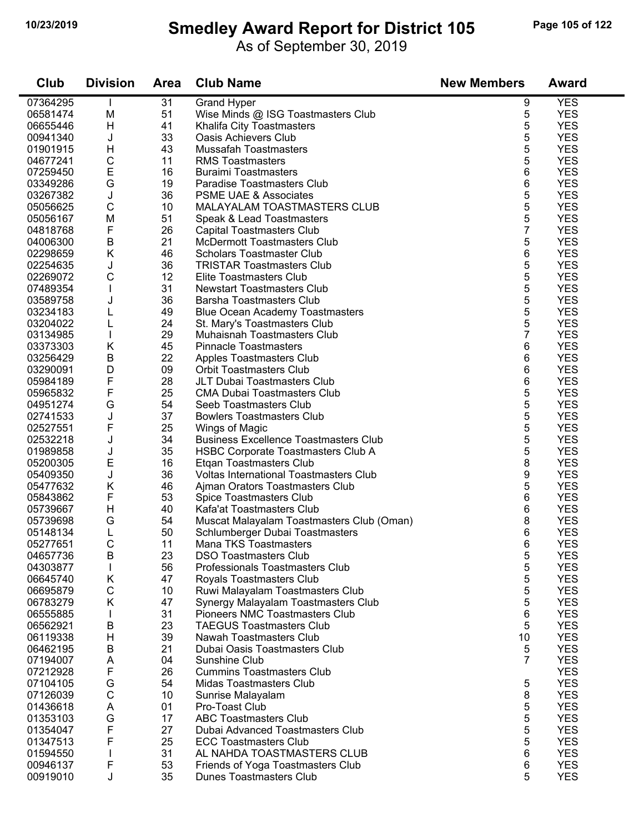### **10/23/2019 Smedley Award Report for District 105 Page 105 of 122**

As of September 30, 2019

| Club                 | <b>Division</b> | <b>Area</b> | <b>Club Name</b>                                               | <b>New Members</b> | Award                    |
|----------------------|-----------------|-------------|----------------------------------------------------------------|--------------------|--------------------------|
| 07364295             |                 | 31          | <b>Grand Hyper</b>                                             | 9                  | <b>YES</b>               |
| 06581474             | M               | 51          | Wise Minds @ ISG Toastmasters Club                             | 5                  | <b>YES</b>               |
| 06655446             | H               | 41          | Khalifa City Toastmasters                                      | 5                  | <b>YES</b>               |
| 00941340             | J               | 33          | <b>Oasis Achievers Club</b>                                    | 5                  | <b>YES</b>               |
| 01901915             | H               | 43          | <b>Mussafah Toastmasters</b>                                   | 5                  | <b>YES</b>               |
| 04677241             | $\mathsf C$     | 11          | <b>RMS Toastmasters</b>                                        | 5                  | <b>YES</b>               |
| 07259450             | E               | 16          | <b>Buraimi Toastmasters</b>                                    | 6                  | <b>YES</b>               |
| 03349286             | G               | 19          | Paradise Toastmasters Club                                     | 6                  | <b>YES</b>               |
| 03267382             | J               | 36          | <b>PSME UAE &amp; Associates</b>                               | 5                  | <b>YES</b>               |
| 05056625             | $\mathsf C$     | 10          | MALAYALAM TOASTMASTERS CLUB                                    | 5                  | <b>YES</b>               |
| 05056167             | M               | 51          | Speak & Lead Toastmasters                                      | 5                  | <b>YES</b>               |
| 04818768             | F               | 26          | <b>Capital Toastmasters Club</b>                               | 7                  | <b>YES</b>               |
| 04006300             | Β               | 21          | <b>McDermott Toastmasters Club</b>                             | 5                  | <b>YES</b>               |
| 02298659             | Κ               | 46          | <b>Scholars Toastmaster Club</b>                               | 6                  | <b>YES</b>               |
| 02254635             | J               | 36          | <b>TRISTAR Toastmasters Club</b>                               | 5                  | <b>YES</b>               |
| 02269072             | C               | 12          | Elite Toastmasters Club                                        | 5                  | <b>YES</b>               |
| 07489354             | $\mathbf{I}$    | 31          | <b>Newstart Toastmasters Club</b>                              | 5                  | <b>YES</b>               |
| 03589758             | J               | 36          | <b>Barsha Toastmasters Club</b>                                | 5                  | <b>YES</b>               |
| 03234183             |                 | 49          | <b>Blue Ocean Academy Toastmasters</b>                         | 5                  | <b>YES</b>               |
| 03204022             | L               | 24          | St. Mary's Toastmasters Club                                   | 5                  | <b>YES</b>               |
| 03134985             | $\mathbf{I}$    | 29          | Muhaisnah Toastmasters Club                                    | $\overline{7}$     | <b>YES</b>               |
| 03373303             | Κ               | 45          | <b>Pinnacle Toastmasters</b>                                   | 6                  | <b>YES</b>               |
| 03256429             | B               | 22          | <b>Apples Toastmasters Club</b>                                | 6                  | <b>YES</b>               |
| 03290091             | D               | 09          | <b>Orbit Toastmasters Club</b>                                 | 6                  | <b>YES</b>               |
| 05984189             | F               | 28          | JLT Dubai Toastmasters Club                                    | 6                  | <b>YES</b>               |
| 05965832             | F               | 25          | <b>CMA Dubai Toastmasters Club</b>                             | 5                  | <b>YES</b>               |
| 04951274             | G               | 54          | Seeb Toastmasters Club                                         | 5                  | <b>YES</b>               |
| 02741533             | J<br>F          | 37<br>25    | <b>Bowlers Toastmasters Club</b>                               | 5                  | <b>YES</b><br><b>YES</b> |
| 02527551<br>02532218 | J               | 34          | Wings of Magic<br><b>Business Excellence Toastmasters Club</b> | 5<br>5             | <b>YES</b>               |
| 01989858             | J               | 35          | <b>HSBC Corporate Toastmasters Club A</b>                      | 5                  | <b>YES</b>               |
| 05200305             | E               | 16          | Etgan Toastmasters Club                                        | 8                  | <b>YES</b>               |
| 05409350             | J               | 36          | <b>Voltas International Toastmasters Club</b>                  | 9                  | <b>YES</b>               |
| 05477632             | Κ               | 46          | Ajman Orators Toastmasters Club                                | 5                  | <b>YES</b>               |
| 05843862             | F               | 53          | Spice Toastmasters Club                                        | 6                  | <b>YES</b>               |
| 05739667             | H               | 40          | Kafa'at Toastmasters Club                                      | 6                  | <b>YES</b>               |
| 05739698             | G               | 54          | Muscat Malayalam Toastmasters Club (Oman)                      | 8                  | <b>YES</b>               |
| 05148134             | L               | 50          | Schlumberger Dubai Toastmasters                                | 6                  | <b>YES</b>               |
| 05277651             | С               | 11          | Mana TKS Toastmasters                                          | 6                  | <b>YES</b>               |
| 04657736             | B               | 23          | <b>DSO Toastmasters Club</b>                                   | 5                  | <b>YES</b>               |
| 04303877             | L               | 56          | Professionals Toastmasters Club                                | 5                  | <b>YES</b>               |
| 06645740             | Κ               | 47          | <b>Royals Toastmasters Club</b>                                | 5                  | <b>YES</b>               |
| 06695879             | С               | 10          | Ruwi Malayalam Toastmasters Club                               | 5                  | <b>YES</b>               |
| 06783279             | K               | 47          | Synergy Malayalam Toastmasters Club                            | 5                  | <b>YES</b>               |
| 06555885             |                 | 31          | Pioneers NMC Toastmasters Club                                 | 6                  | <b>YES</b>               |
| 06562921             | В               | 23          | <b>TAEGUS Toastmasters Club</b>                                | 5                  | <b>YES</b>               |
| 06119338             | H               | 39          | Nawah Toastmasters Club                                        | 10                 | <b>YES</b>               |
| 06462195             | B               | 21          | Dubai Oasis Toastmasters Club                                  | 5                  | <b>YES</b>               |
| 07194007             | Α               | 04          | Sunshine Club                                                  | 7                  | <b>YES</b>               |
| 07212928             | F               | 26          | <b>Cummins Toastmasters Club</b>                               |                    | <b>YES</b>               |
| 07104105             | G               | 54          | <b>Midas Toastmasters Club</b>                                 | 5                  | <b>YES</b>               |
| 07126039             | $\mathsf C$     | 10          | Sunrise Malayalam                                              | 8                  | <b>YES</b>               |
| 01436618             | A               | 01          | Pro-Toast Club                                                 | 5                  | <b>YES</b>               |
| 01353103             | G               | 17          | <b>ABC Toastmasters Club</b>                                   | 5                  | <b>YES</b>               |
| 01354047             | F               | 27          | Dubai Advanced Toastmasters Club                               | 5                  | <b>YES</b>               |
| 01347513             | F               | 25          | <b>ECC Toastmasters Club</b>                                   | 5                  | <b>YES</b>               |
| 01594550             |                 | 31          | AL NAHDA TOASTMASTERS CLUB                                     | 6                  | <b>YES</b>               |
| 00946137             | F               | 53          | Friends of Yoga Toastmasters Club                              | 6                  | <b>YES</b>               |
| 00919010             | J               | 35          | <b>Dunes Toastmasters Club</b>                                 | 5                  | <b>YES</b>               |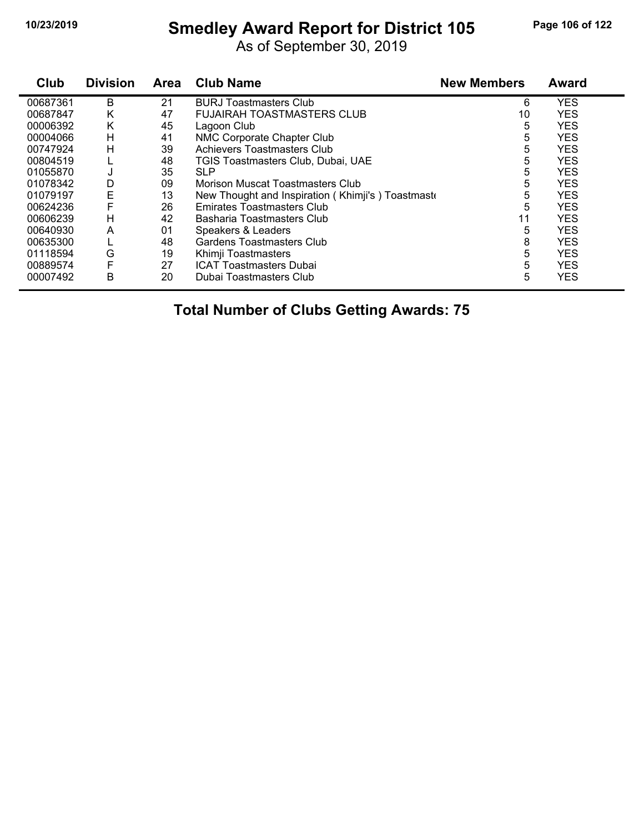### **10/23/2019 Smedley Award Report for District 105 Page 106 of 122**

As of September 30, 2019

| Club     | <b>Division</b> | <b>Area</b> | <b>Club Name</b>                                  | <b>New Members</b> | <b>Award</b> |
|----------|-----------------|-------------|---------------------------------------------------|--------------------|--------------|
| 00687361 | B               | 21          | <b>BURJ Toastmasters Club</b>                     | 6                  | <b>YES</b>   |
| 00687847 | Κ               | 47          | <b>FUJAIRAH TOASTMASTERS CLUB</b>                 | 10 <sup>°</sup>    | <b>YES</b>   |
| 00006392 | Κ               | 45          | Lagoon Club                                       | 5                  | <b>YES</b>   |
| 00004066 | H               | 41          | NMC Corporate Chapter Club                        | 5                  | <b>YES</b>   |
| 00747924 | H               | 39          | Achievers Toastmasters Club                       | 5                  | <b>YES</b>   |
| 00804519 |                 | 48          | TGIS Toastmasters Club, Dubai, UAE                | 5                  | <b>YES</b>   |
| 01055870 | J               | 35          | <b>SLP</b>                                        | 5                  | <b>YES</b>   |
| 01078342 | D               | 09          | Morison Muscat Toastmasters Club                  | 5                  | <b>YES</b>   |
| 01079197 | E               | 13          | New Thought and Inspiration (Khimji's) Toastmaste | 5                  | <b>YES</b>   |
| 00624236 | F               | 26          | Emirates Toastmasters Club                        | 5                  | <b>YES</b>   |
| 00606239 | Н               | 42          | Basharia Toastmasters Club                        | 11                 | <b>YES</b>   |
| 00640930 | A               | 01          | Speakers & Leaders                                | 5                  | <b>YES</b>   |
| 00635300 |                 | 48          | Gardens Toastmasters Club                         | 8                  | <b>YES</b>   |
| 01118594 | G               | 19          | Khimji Toastmasters                               | 5                  | <b>YES</b>   |
| 00889574 | F               | 27          | <b>ICAT Toastmasters Dubai</b>                    | 5                  | <b>YES</b>   |
| 00007492 | B               | 20          | Dubai Toastmasters Club                           | 5                  | <b>YES</b>   |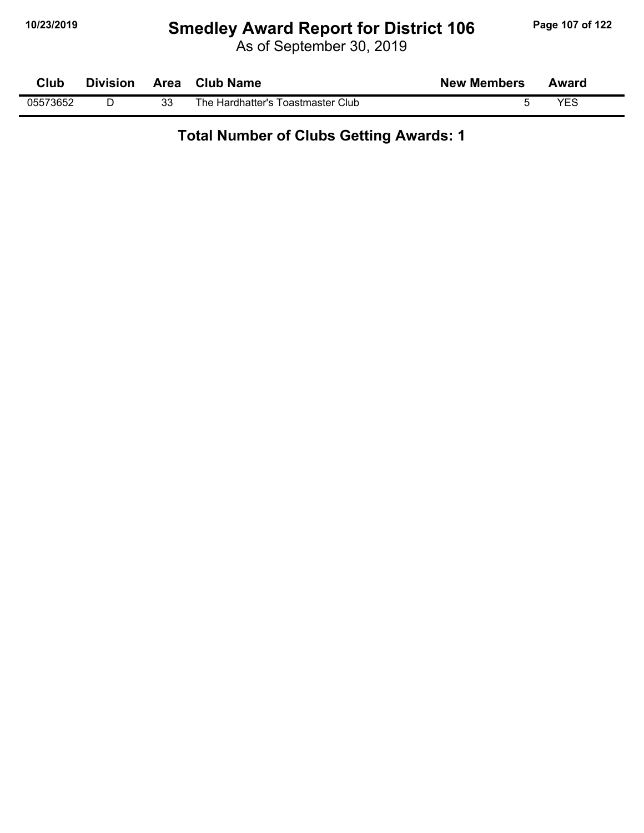# **10/23/2019 Smedley Award Report for District 106 Page 107 of 122**

As of September 30, 2019

| Club     | <b>Division</b> | Area | <b>Club Name</b>                  | <b>New Members</b> | Award |
|----------|-----------------|------|-----------------------------------|--------------------|-------|
| 05573652 |                 | 33   | The Hardhatter's Toastmaster Club |                    | YES   |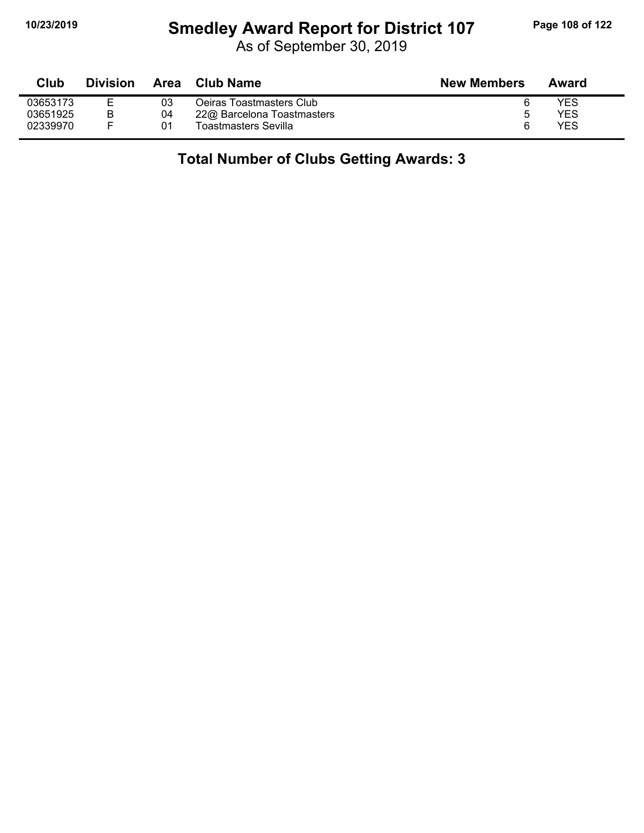# **10/23/2019 Smedley Award Report for District 107 Page 108 of 122**

As of September 30, 2019

| <b>Club</b> | <b>Division</b> | Area | Club Name                  | <b>New Members</b> | Award |
|-------------|-----------------|------|----------------------------|--------------------|-------|
| 03653173    |                 | 03   | Oeiras Toastmasters Club   | b                  | YES   |
| 03651925    |                 | 04   | 22@ Barcelona Toastmasters | b                  | YES   |
| 02339970    |                 | 01   | Toastmasters Sevilla       | 6                  | YES   |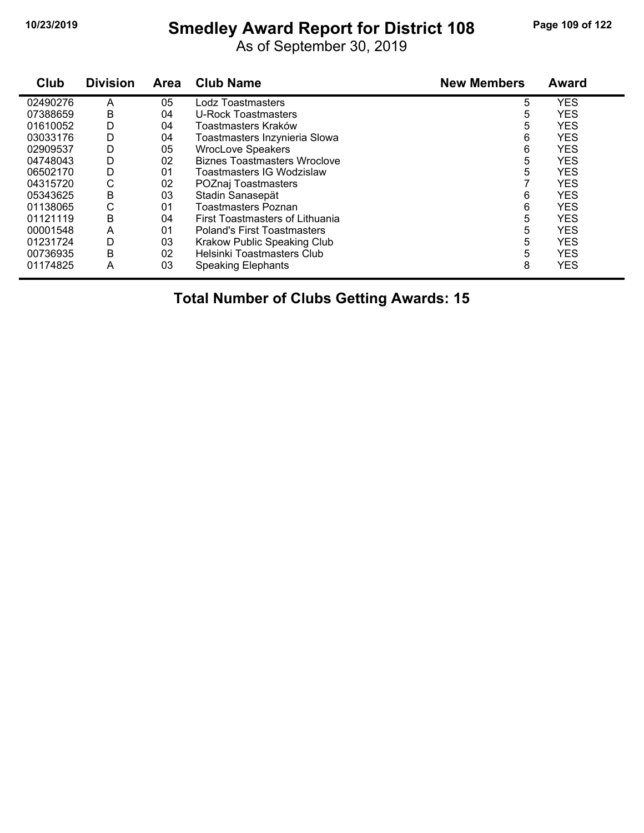# **10/23/2019 Smedley Award Report for District 108 Page 109 of 122**

As of September 30, 2019

| Club     | <b>Division</b> | <b>Area</b> | <b>Club Name</b>                    | <b>New Members</b> | <b>Award</b> |
|----------|-----------------|-------------|-------------------------------------|--------------------|--------------|
| 02490276 | A               | 05          | Lodz Toastmasters                   | 5                  | <b>YES</b>   |
| 07388659 | B               | 04          | U-Rock Toastmasters                 | 5                  | <b>YES</b>   |
| 01610052 | D               | 04          | Toastmasters Kraków                 | 5                  | <b>YES</b>   |
| 03033176 | D               | 04          | Toastmasters Inzynieria Slowa       | 6                  | <b>YES</b>   |
| 02909537 | D               | 05          | <b>WrocLove Speakers</b>            | 6                  | <b>YES</b>   |
| 04748043 | D               | 02          | <b>Biznes Toastmasters Wroclove</b> | 5                  | <b>YES</b>   |
| 06502170 | D               | 01          | Toastmasters IG Wodzislaw           | 5                  | <b>YES</b>   |
| 04315720 | С               | 02          | POZnaj Toastmasters                 |                    | <b>YES</b>   |
| 05343625 | B               | 03          | Stadin Sanasepät                    | 6                  | <b>YES</b>   |
| 01138065 | C               | 01          | <b>Toastmasters Poznan</b>          | 6                  | <b>YES</b>   |
| 01121119 | B               | 04          | First Toastmasters of Lithuania     | 5                  | <b>YES</b>   |
| 00001548 | A               | 01          | <b>Poland's First Toastmasters</b>  | 5                  | <b>YES</b>   |
| 01231724 | D               | 03          | Krakow Public Speaking Club         | 5                  | <b>YES</b>   |
| 00736935 | B               | 02          | Helsinki Toastmasters Club          | 5                  | <b>YES</b>   |
| 01174825 | A               | 03          | <b>Speaking Elephants</b>           | 8                  | <b>YES</b>   |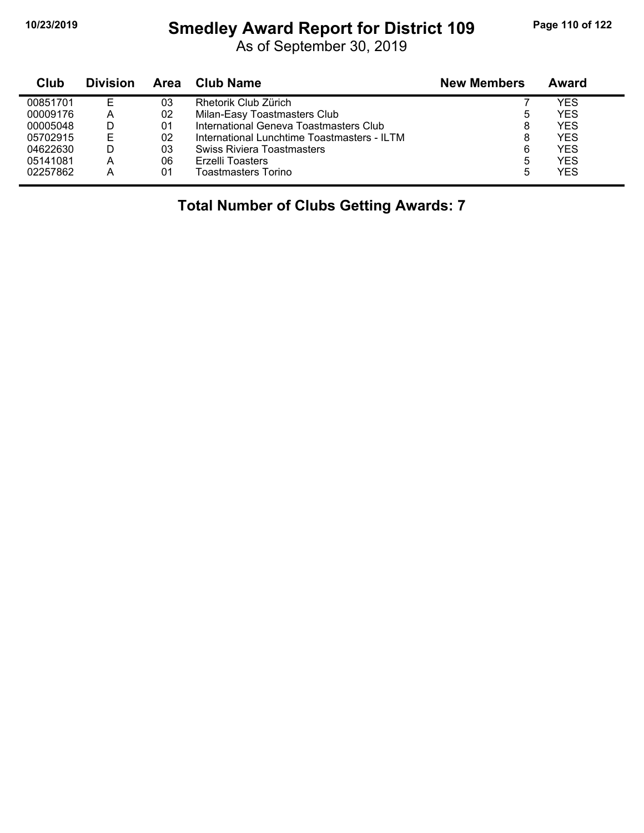#### **10/23/2019 Smedley Award Report for District 109 Page 110 of 122**

As of September 30, 2019

| Club     | <b>Division</b> | Area | <b>Club Name</b>                            | <b>New Members</b> | Award |
|----------|-----------------|------|---------------------------------------------|--------------------|-------|
| 00851701 | F               | 03   | Rhetorik Club Zürich                        |                    | YES   |
| 00009176 | А               | 02   | Milan-Easy Toastmasters Club                | ა                  | YES   |
| 00005048 | D               | 01   | International Geneva Toastmasters Club      | 8                  | YES   |
| 05702915 | F               | 02   | International Lunchtime Toastmasters - ILTM | 8                  | YES   |
| 04622630 |                 | 03   | Swiss Riviera Toastmasters                  | 6                  | YES   |
| 05141081 | А               | 06   | Erzelli Toasters                            | 5                  | YES   |
| 02257862 | А               | 01   | Toastmasters Torino                         | 5                  | YES   |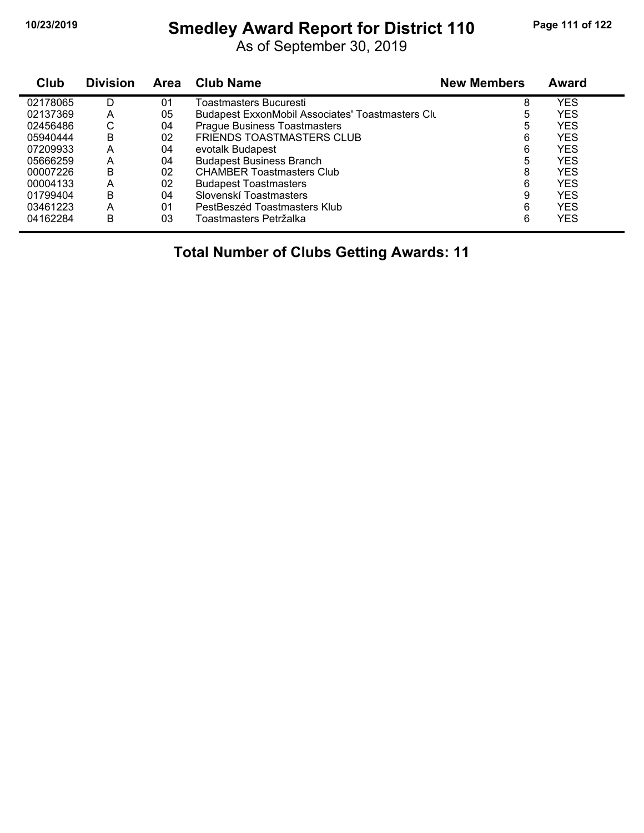# **10/23/2019 Smedley Award Report for District 110 Page 111 of 122**

As of September 30, 2019

| Club     | <b>Division</b> | Area | <b>Club Name</b>                                        | <b>New Members</b> | Award      |
|----------|-----------------|------|---------------------------------------------------------|--------------------|------------|
| 02178065 | D               | 01   | Toastmasters Bucuresti                                  | 8                  | <b>YES</b> |
| 02137369 | А               | 05   | <b>Budapest ExxonMobil Associates' Toastmasters Clu</b> | 5                  | <b>YES</b> |
| 02456486 | С               | 04   | <b>Prague Business Toastmasters</b>                     | 5                  | <b>YES</b> |
| 05940444 | B               | 02   | <b>FRIENDS TOASTMASTERS CLUB</b>                        | 6                  | <b>YES</b> |
| 07209933 | А               | 04   | evotalk Budapest                                        | 6                  | <b>YES</b> |
| 05666259 | Α               | 04   | <b>Budapest Business Branch</b>                         | 5                  | <b>YES</b> |
| 00007226 | B               | 02   | <b>CHAMBER Toastmasters Club</b>                        | 8                  | <b>YES</b> |
| 00004133 | A               | 02   | <b>Budapest Toastmasters</b>                            | 6                  | <b>YES</b> |
| 01799404 | B               | 04   | Slovenskí Toastmasters                                  | 9                  | <b>YES</b> |
| 03461223 | A               | 01   | PestBeszéd Toastmasters Klub                            | 6                  | <b>YES</b> |
| 04162284 | B               | 03   | Toastmasters Petržalka                                  | 6                  | <b>YES</b> |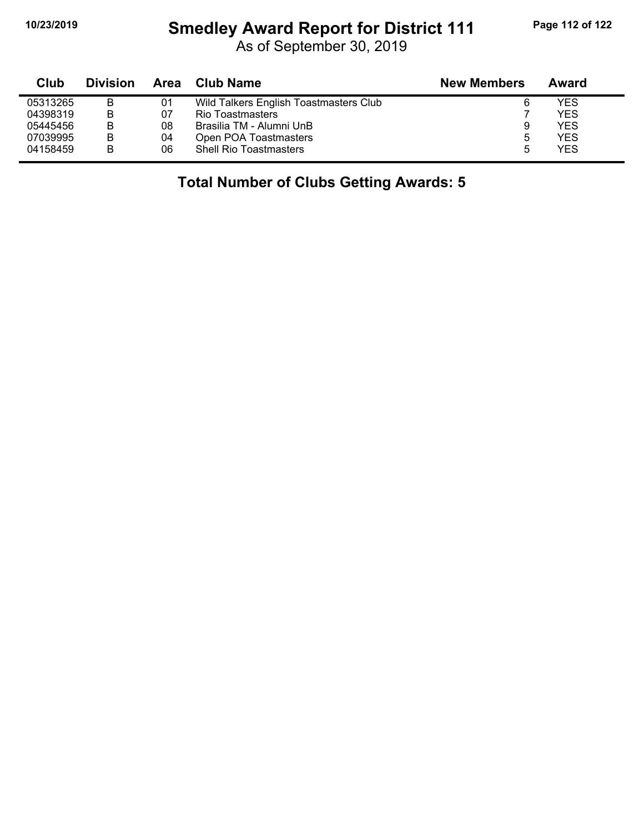# **10/23/2019 Smedley Award Report for District 111 Page 112 of 122**

As of September 30, 2019

| Club     | <b>Division</b> |    | Area Club Name                         | <b>New Members</b> | Award      |  |
|----------|-----------------|----|----------------------------------------|--------------------|------------|--|
| 05313265 | B               | 01 | Wild Talkers English Toastmasters Club | 6                  | YES        |  |
| 04398319 | B               | 07 | Rio Toastmasters                       |                    | <b>YES</b> |  |
| 05445456 | В               | 08 | Brasilia TM - Alumni UnB               | 9                  | <b>YES</b> |  |
| 07039995 | B               | 04 | Open POA Toastmasters                  | 5                  | <b>YES</b> |  |
| 04158459 | B               | 06 | <b>Shell Rio Toastmasters</b>          | 5                  | <b>YES</b> |  |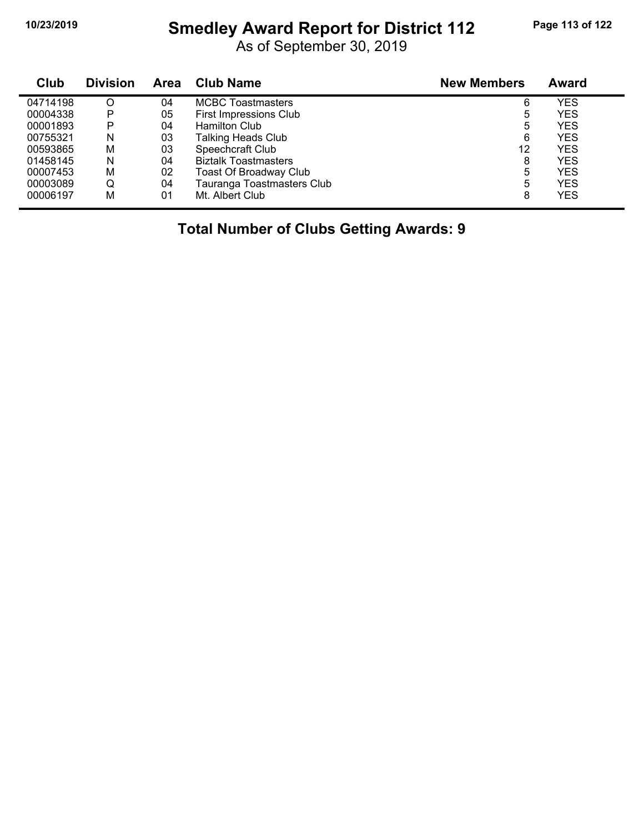# **10/23/2019 Smedley Award Report for District 112 Page 113 of 122**

As of September 30, 2019

| Club     | <b>Division</b> | <b>Area</b> | <b>Club Name</b>              | <b>New Members</b> | Award      |  |
|----------|-----------------|-------------|-------------------------------|--------------------|------------|--|
| 04714198 |                 | 04          | <b>MCBC Toastmasters</b>      | 6                  | YES        |  |
| 00004338 | P               | 05          | First Impressions Club        | 5                  | YES        |  |
| 00001893 | P               | 04          | <b>Hamilton Club</b>          | 5                  | YES        |  |
| 00755321 | N               | 03          | <b>Talking Heads Club</b>     | 6                  | YES        |  |
| 00593865 | M               | 03          | Speechcraft Club              | 12                 | YES        |  |
| 01458145 | N               | 04          | <b>Biztalk Toastmasters</b>   | 8                  | YES        |  |
| 00007453 | M               | 02          | <b>Toast Of Broadway Club</b> | 5                  | YES        |  |
| 00003089 | Q               | 04          | Tauranga Toastmasters Club    | 5                  | <b>YES</b> |  |
| 00006197 | М               | 01          | Mt. Albert Club               | 8                  | YES        |  |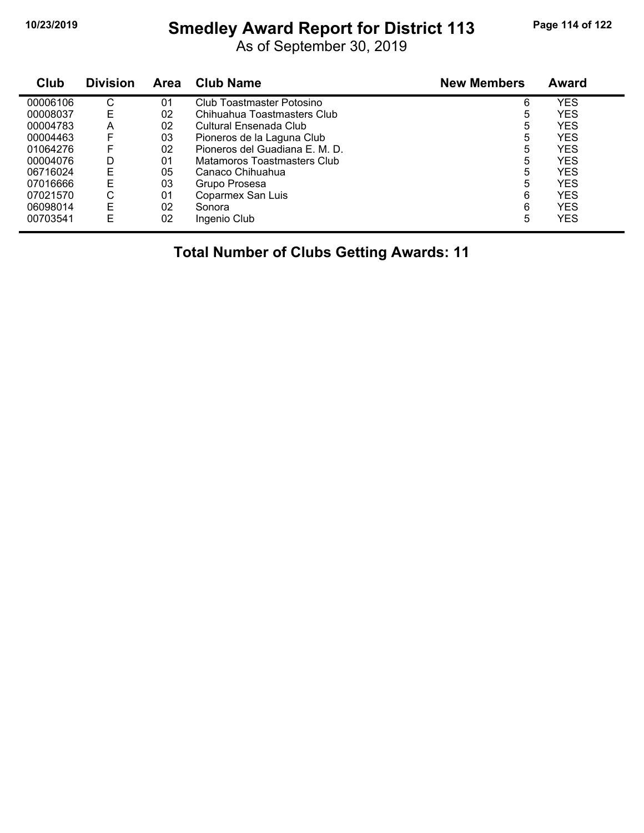# **10/23/2019 Smedley Award Report for District 113 Page 114 of 122**

As of September 30, 2019

| Club     | <b>Division</b> | <b>Area</b> | <b>Club Name</b>                 | <b>New Members</b> | Award      |
|----------|-----------------|-------------|----------------------------------|--------------------|------------|
| 00006106 | С               | 01          | <b>Club Toastmaster Potosino</b> | 6                  | <b>YES</b> |
| 00008037 | E               | 02          | Chihuahua Toastmasters Club      | 5                  | YES        |
| 00004783 | A               | 02          | Cultural Ensenada Club           | 5                  | YES        |
| 00004463 | F               | 03          | Pioneros de la Laguna Club       | 5                  | YES        |
| 01064276 | F               | 02          | Pioneros del Guadiana E. M. D.   | 5                  | <b>YES</b> |
| 00004076 | D               | 01          | Matamoros Toastmasters Club      | 5                  | YES        |
| 06716024 | E               | 05          | Canaco Chihuahua                 | 5                  | YES        |
| 07016666 | E               | 03          | Grupo Prosesa                    | 5                  | <b>YES</b> |
| 07021570 | С               | 01          | Coparmex San Luis                | 6                  | YES        |
| 06098014 | E               | 02          | Sonora                           | 6                  | YES        |
| 00703541 | E               | 02          | Ingenio Club                     | 5                  | <b>YES</b> |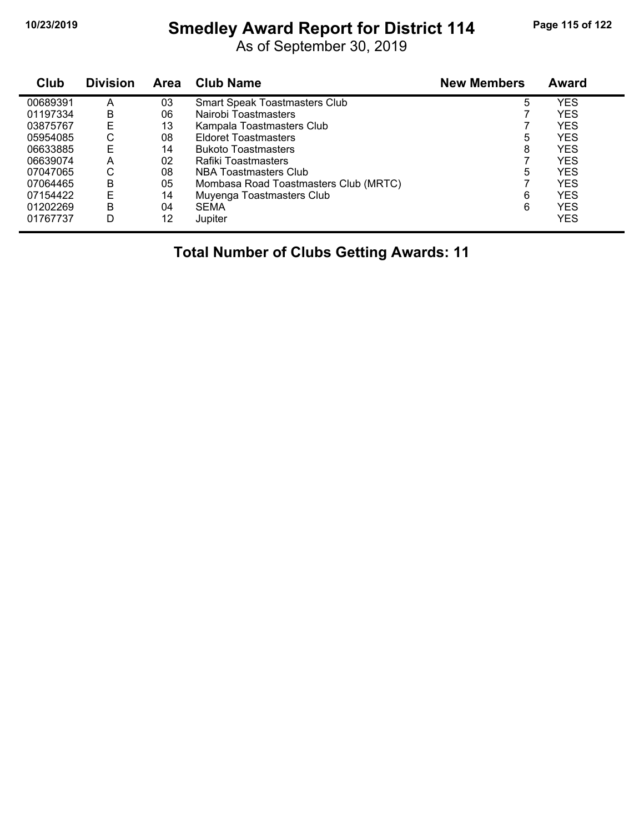# **10/23/2019 Smedley Award Report for District 114 Page 115 of 122**

As of September 30, 2019

| Club     | <b>Division</b> | Area | Club Name                             | <b>New Members</b> | <b>Award</b> |
|----------|-----------------|------|---------------------------------------|--------------------|--------------|
| 00689391 | Α               | 03   | <b>Smart Speak Toastmasters Club</b>  | 5                  | YES          |
| 01197334 | В               | 06   | Nairobi Toastmasters                  |                    | <b>YES</b>   |
| 03875767 | E               | 13   | Kampala Toastmasters Club             |                    | <b>YES</b>   |
| 05954085 | С               | 08   | <b>Eldoret Toastmasters</b>           | 5                  | <b>YES</b>   |
| 06633885 | E               | 14   | <b>Bukoto Toastmasters</b>            | 8                  | <b>YES</b>   |
| 06639074 | A               | 02   | Rafiki Toastmasters                   |                    | <b>YES</b>   |
| 07047065 | С               | 08   | NBA Toastmasters Club                 | 5                  | <b>YES</b>   |
| 07064465 | B               | 05   | Mombasa Road Toastmasters Club (MRTC) |                    | <b>YES</b>   |
| 07154422 | E               | 14   | Muyenga Toastmasters Club             | 6                  | <b>YES</b>   |
| 01202269 | B               | 04   | <b>SEMA</b>                           | 6                  | <b>YES</b>   |
| 01767737 | D               | 12   | Jupiter                               |                    | <b>YES</b>   |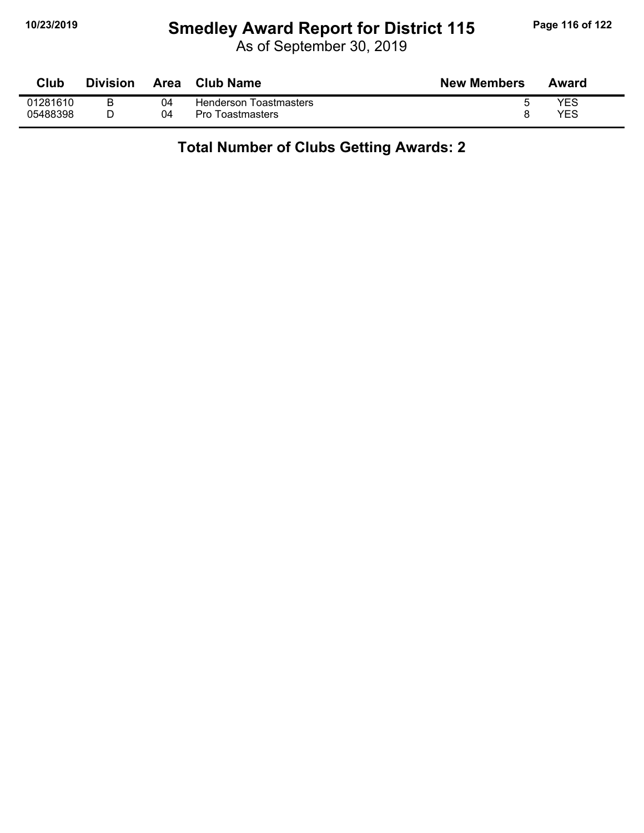# **10/23/2019 Smedley Award Report for District 115 Page 116 of 122**

As of September 30, 2019

| Club     | <b>Division</b> | Area | Club Name               | <b>New Members</b> | Award |
|----------|-----------------|------|-------------------------|--------------------|-------|
| 01281610 | в               | 04   | Henderson Toastmasters  |                    | YES   |
| 05488398 |                 | 04   | <b>Pro Toastmasters</b> |                    | YES   |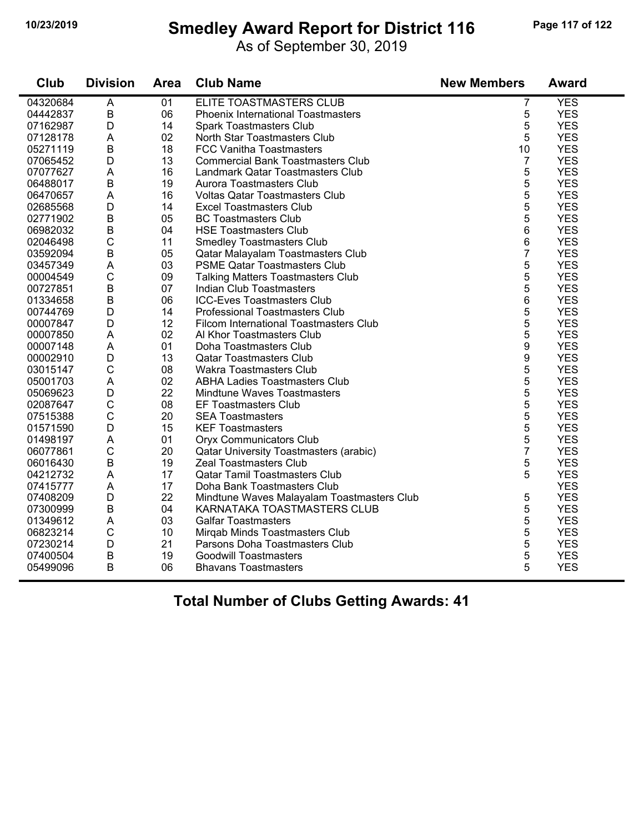#### **10/23/2019 Smedley Award Report for District 116 Page 117 of 122**

| Club     | <b>Division</b> | Area | <b>Club Name</b>                              | <b>New Members</b> | <b>Award</b> |
|----------|-----------------|------|-----------------------------------------------|--------------------|--------------|
| 04320684 | A               | 01   | ELITE TOASTMASTERS CLUB                       | 7                  | <b>YES</b>   |
| 04442837 | B               | 06   | <b>Phoenix International Toastmasters</b>     | 5                  | <b>YES</b>   |
| 07162987 | D               | 14   | <b>Spark Toastmasters Club</b>                | 5                  | <b>YES</b>   |
| 07128178 | A               | 02   | North Star Toastmasters Club                  | 5                  | <b>YES</b>   |
| 05271119 | $\mathsf B$     | 18   | <b>FCC Vanitha Toastmasters</b>               | 10                 | <b>YES</b>   |
| 07065452 | D               | 13   | <b>Commercial Bank Toastmasters Club</b>      | 7                  | <b>YES</b>   |
| 07077627 | A               | 16   | Landmark Qatar Toastmasters Club              | 5                  | <b>YES</b>   |
| 06488017 | $\mathsf B$     | 19   | Aurora Toastmasters Club                      | 5                  | <b>YES</b>   |
| 06470657 | A               | 16   | <b>Voltas Qatar Toastmasters Club</b>         | 5                  | <b>YES</b>   |
| 02685568 | D               | 14   | <b>Excel Toastmasters Club</b>                | 5                  | <b>YES</b>   |
| 02771902 | $\sf B$         | 05   | <b>BC Toastmasters Club</b>                   | 5                  | <b>YES</b>   |
| 06982032 | $\sf B$         | 04   | <b>HSE Toastmasters Club</b>                  | 6                  | <b>YES</b>   |
| 02046498 | $\mathsf C$     | 11   | <b>Smedley Toastmasters Club</b>              | 6                  | <b>YES</b>   |
| 03592094 | B               | 05   | Qatar Malayalam Toastmasters Club             | 7                  | <b>YES</b>   |
| 03457349 | A               | 03   | <b>PSME Qatar Toastmasters Club</b>           | 5                  | <b>YES</b>   |
| 00004549 | $\mathsf C$     | 09   | <b>Talking Matters Toastmasters Club</b>      | 5                  | <b>YES</b>   |
| 00727851 | $\sf B$         | 07   | <b>Indian Club Toastmasters</b>               | 5                  | <b>YES</b>   |
| 01334658 | $\overline{B}$  | 06   | <b>ICC-Eves Toastmasters Club</b>             | 6                  | <b>YES</b>   |
| 00744769 | D               | 14   | <b>Professional Toastmasters Club</b>         | 5                  | <b>YES</b>   |
| 00007847 | D               | 12   | Filcom International Toastmasters Club        | 5                  | <b>YES</b>   |
| 00007850 | A               | 02   | Al Khor Toastmasters Club                     | 5                  | <b>YES</b>   |
| 00007148 | A               | 01   | Doha Toastmasters Club                        | 9                  | <b>YES</b>   |
| 00002910 | D               | 13   | <b>Qatar Toastmasters Club</b>                | 9                  | <b>YES</b>   |
| 03015147 | $\mathsf{C}$    | 08   | <b>Wakra Toastmasters Club</b>                | 5                  | <b>YES</b>   |
| 05001703 | A               | 02   | <b>ABHA Ladies Toastmasters Club</b>          | 5                  | <b>YES</b>   |
| 05069623 | D               | 22   | <b>Mindtune Waves Toastmasters</b>            | 5                  | <b>YES</b>   |
| 02087647 | $\mathsf C$     | 08   | <b>EF Toastmasters Club</b>                   | 5                  | <b>YES</b>   |
| 07515388 | C               | 20   | <b>SEA Toastmasters</b>                       | 5                  | <b>YES</b>   |
| 01571590 | D               | 15   | <b>KEF Toastmasters</b>                       | 5                  | <b>YES</b>   |
| 01498197 | A               | 01   | <b>Oryx Communicators Club</b>                | 5                  | <b>YES</b>   |
| 06077861 | C               | 20   | <b>Qatar University Toastmasters (arabic)</b> | $\overline{7}$     | <b>YES</b>   |
| 06016430 | B               | 19   | <b>Zeal Toastmasters Club</b>                 | 5                  | <b>YES</b>   |
| 04212732 | A               | 17   | <b>Qatar Tamil Toastmasters Club</b>          | 5                  | <b>YES</b>   |
| 07415777 | A               | 17   | Doha Bank Toastmasters Club                   |                    | <b>YES</b>   |
| 07408209 | D               | 22   | Mindtune Waves Malayalam Toastmasters Club    | 5                  | <b>YES</b>   |
| 07300999 | $\overline{B}$  | 04   | KARNATAKA TOASTMASTERS CLUB                   | 5                  | <b>YES</b>   |
| 01349612 | A               | 03   | <b>Galfar Toastmasters</b>                    | 5                  | <b>YES</b>   |
| 06823214 | $\mathsf C$     | 10   | Mirqab Minds Toastmasters Club                | 5                  | <b>YES</b>   |
| 07230214 | D               | 21   | Parsons Doha Toastmasters Club                | 5                  | <b>YES</b>   |
| 07400504 | $\sf B$         | 19   | <b>Goodwill Toastmasters</b>                  | 5                  | <b>YES</b>   |
| 05499096 | B               | 06   | <b>Bhavans Toastmasters</b>                   | 5                  | <b>YES</b>   |
|          |                 |      |                                               |                    |              |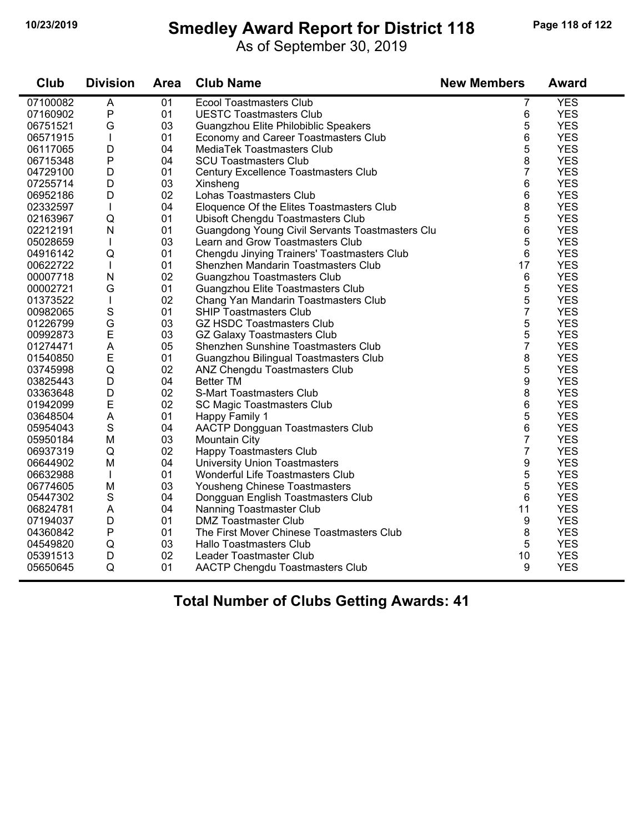# **10/23/2019 Smedley Award Report for District 118 Page 118 of 122**

As of September 30, 2019

| Club     | <b>Division</b> | Area | <b>Club Name</b>                                | <b>New Members</b> | <b>Award</b> |
|----------|-----------------|------|-------------------------------------------------|--------------------|--------------|
| 07100082 | A               | 01   | <b>Ecool Toastmasters Club</b>                  | 7                  | <b>YES</b>   |
| 07160902 | $\sf P$         | 01   | <b>UESTC Toastmasters Club</b>                  | 6                  | <b>YES</b>   |
| 06751521 | G               | 03   | Guangzhou Elite Philobiblic Speakers            | 5                  | <b>YES</b>   |
| 06571915 | T               | 01   | Economy and Career Toastmasters Club            | 6                  | <b>YES</b>   |
| 06117065 | D               | 04   | MediaTek Toastmasters Club                      | 5                  | <b>YES</b>   |
| 06715348 | $\sf P$         | 04   | <b>SCU Toastmasters Club</b>                    | 8                  | <b>YES</b>   |
| 04729100 | D               | 01   | Century Excellence Toastmasters Club            | 7                  | <b>YES</b>   |
| 07255714 | D               | 03   | Xinsheng                                        | 6                  | <b>YES</b>   |
| 06952186 | D               | 02   | Lohas Toastmasters Club                         | 6                  | <b>YES</b>   |
| 02332597 | $\mathbf{I}$    | 04   | Eloquence Of the Elites Toastmasters Club       | 8                  | <b>YES</b>   |
| 02163967 | Q               | 01   | Ubisoft Chengdu Toastmasters Club               | 5                  | <b>YES</b>   |
| 02212191 | N               | 01   | Guangdong Young Civil Servants Toastmasters Clu | 6                  | <b>YES</b>   |
| 05028659 | T               | 03   | Learn and Grow Toastmasters Club                | 5                  | <b>YES</b>   |
| 04916142 | Q               | 01   | Chengdu Jinying Trainers' Toastmasters Club     | 6                  | <b>YES</b>   |
| 00622722 | T               | 01   | Shenzhen Mandarin Toastmasters Club             | 17                 | <b>YES</b>   |
| 00007718 | $\mathsf{N}$    | 02   | Guangzhou Toastmasters Club                     | 6                  | <b>YES</b>   |
| 00002721 | G               | 01   | Guangzhou Elite Toastmasters Club               | 5                  | <b>YES</b>   |
| 01373522 |                 | 02   | Chang Yan Mandarin Toastmasters Club            | 5                  | <b>YES</b>   |
| 00982065 | $\mathbf S$     | 01   | <b>SHIP Toastmasters Club</b>                   | $\overline{7}$     | <b>YES</b>   |
| 01226799 | G               | 03   | <b>GZ HSDC Toastmasters Club</b>                | 5                  | <b>YES</b>   |
| 00992873 | E               | 03   | <b>GZ Galaxy Toastmasters Club</b>              | 5                  | <b>YES</b>   |
| 01274471 | A               | 05   | Shenzhen Sunshine Toastmasters Club             | $\overline{7}$     | <b>YES</b>   |
| 01540850 | E               | 01   | Guangzhou Bilingual Toastmasters Club           | 8                  | <b>YES</b>   |
| 03745998 | Q               | 02   | ANZ Chengdu Toastmasters Club                   | 5                  | <b>YES</b>   |
| 03825443 | D               | 04   | <b>Better TM</b>                                | 9                  | <b>YES</b>   |
| 03363648 | D               | 02   | <b>S-Mart Toastmasters Club</b>                 | 8                  | <b>YES</b>   |
| 01942099 | E               | 02   | <b>SC Magic Toastmasters Club</b>               | 6                  | <b>YES</b>   |
| 03648504 | A               | 01   | Happy Family 1                                  | 5                  | <b>YES</b>   |
| 05954043 | $\mathbf S$     | 04   | <b>AACTP Dongguan Toastmasters Club</b>         | 6                  | <b>YES</b>   |
| 05950184 | M               | 03   | <b>Mountain City</b>                            | $\overline{7}$     | <b>YES</b>   |
| 06937319 | $\sf Q$         | 02   | Happy Toastmasters Club                         | 7                  | <b>YES</b>   |
| 06644902 | M               | 04   | <b>University Union Toastmasters</b>            | 9                  | <b>YES</b>   |
| 06632988 | $\mathbf{I}$    | 01   | Wonderful Life Toastmasters Club                | 5                  | <b>YES</b>   |
| 06774605 | M               | 03   | Yousheng Chinese Toastmasters                   | 5                  | <b>YES</b>   |
| 05447302 | $\mathbf S$     | 04   | Dongguan English Toastmasters Club              | 6                  | <b>YES</b>   |
| 06824781 | A               | 04   | Nanning Toastmaster Club                        | 11                 | <b>YES</b>   |
| 07194037 | D               | 01   | <b>DMZ Toastmaster Club</b>                     | 9                  | <b>YES</b>   |
| 04360842 | $\mathsf{P}$    | 01   | The First Mover Chinese Toastmasters Club       | 8                  | <b>YES</b>   |
| 04549820 | Q               | 03   | <b>Hallo Toastmasters Club</b>                  | 5                  | <b>YES</b>   |
| 05391513 | D               | 02   | Leader Toastmaster Club                         | 10                 | <b>YES</b>   |
| 05650645 | Q               | 01   | AACTP Chengdu Toastmasters Club                 | 9                  | <b>YES</b>   |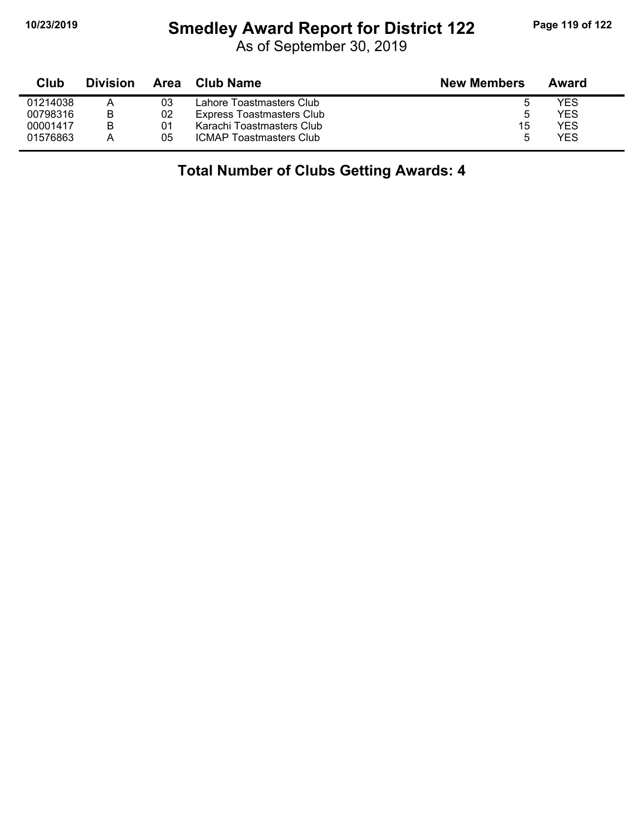#### **10/23/2019 Smedley Award Report for District 122 Page 119 of 122**

As of September 30, 2019

| Club     | <b>Division</b> | Area | <b>Club Name</b>                 | <b>New Members</b> | Award |
|----------|-----------------|------|----------------------------------|--------------------|-------|
| 01214038 |                 | 03   | Lahore Toastmasters Club         |                    | YES   |
| 00798316 | В               | 02   | <b>Express Toastmasters Club</b> | b                  | YES   |
| 00001417 | B               | 01   | Karachi Toastmasters Club        | 15                 | YES   |
| 01576863 | А               | 05   | <b>ICMAP Toastmasters Club</b>   | 5                  | YES   |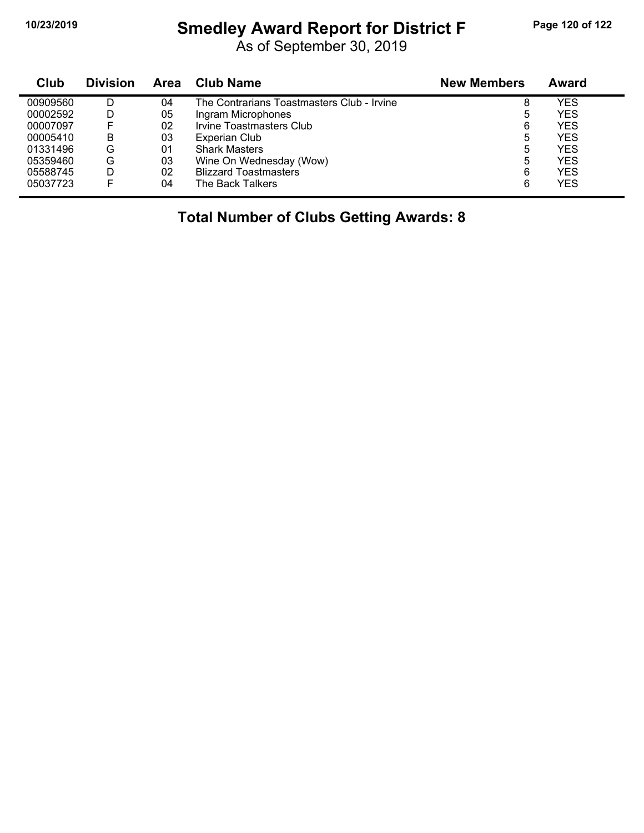#### **10/23/2019 Smedley Award Report for District F Page 120 of 122**

As of September 30, 2019

| Club     | <b>Division</b> | Area | <b>Club Name</b>                           | <b>New Members</b> | Award      |
|----------|-----------------|------|--------------------------------------------|--------------------|------------|
| 00909560 | D               | 04   | The Contrarians Toastmasters Club - Irvine | 8                  | YES        |
| 00002592 |                 | 05   | Ingram Microphones                         | 5                  | <b>YES</b> |
| 00007097 |                 | 02   | Irvine Toastmasters Club                   | 6                  | <b>YES</b> |
| 00005410 | В               | 03   | <b>Experian Club</b>                       | 5                  | YES        |
| 01331496 | G               | 01   | <b>Shark Masters</b>                       | 5                  | <b>YES</b> |
| 05359460 | G               | 03   | Wine On Wednesday (Wow)                    | 5                  | <b>YES</b> |
| 05588745 | D               | 02   | <b>Blizzard Toastmasters</b>               | 6                  | <b>YES</b> |
| 05037723 |                 | 04   | The Back Talkers                           | 6                  | <b>YES</b> |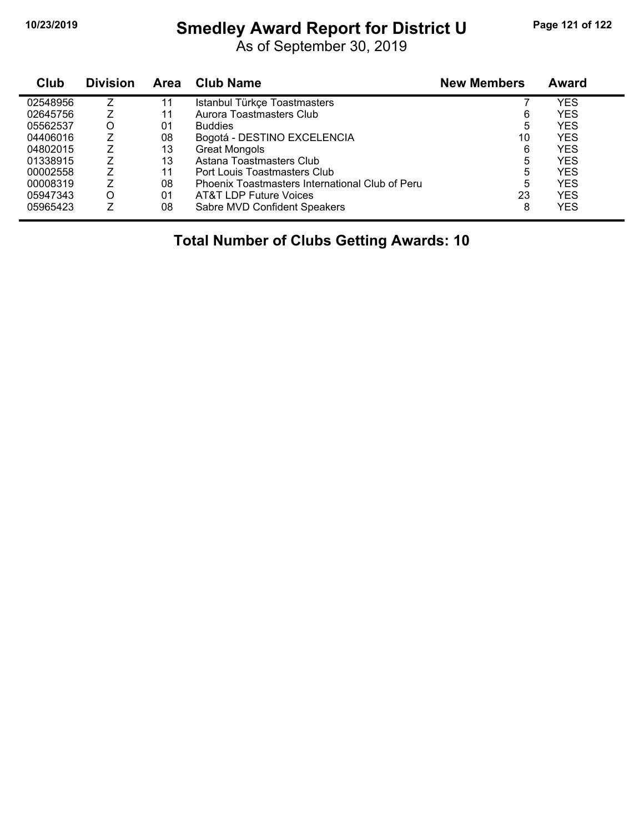# **10/23/2019 Smedley Award Report for District U Page 121 of 122**

As of September 30, 2019

| Club     | <b>Division</b> | Area | <b>Club Name</b>                                | <b>New Members</b> | <b>Award</b> |
|----------|-----------------|------|-------------------------------------------------|--------------------|--------------|
| 02548956 |                 | 11   | Istanbul Türkçe Toastmasters                    |                    | YES          |
| 02645756 |                 | 11   | Aurora Toastmasters Club                        | 6                  | <b>YES</b>   |
| 05562537 | O               | 01   | <b>Buddies</b>                                  | 5                  | <b>YES</b>   |
| 04406016 |                 | 08   | Bogotá - DESTINO EXCELENCIA                     | 10                 | <b>YES</b>   |
| 04802015 |                 | 13   | <b>Great Mongols</b>                            | 6                  | <b>YES</b>   |
| 01338915 |                 | 13   | Astana Toastmasters Club                        | 5                  | <b>YES</b>   |
| 00002558 |                 | 11   | Port Louis Toastmasters Club                    | 5                  | <b>YES</b>   |
| 00008319 |                 | 08   | Phoenix Toastmasters International Club of Peru | 5                  | YES          |
| 05947343 | Ω               | 01   | AT&T LDP Future Voices                          | 23                 | <b>YES</b>   |
| 05965423 |                 | 08   | Sabre MVD Confident Speakers                    | 8                  | YES          |